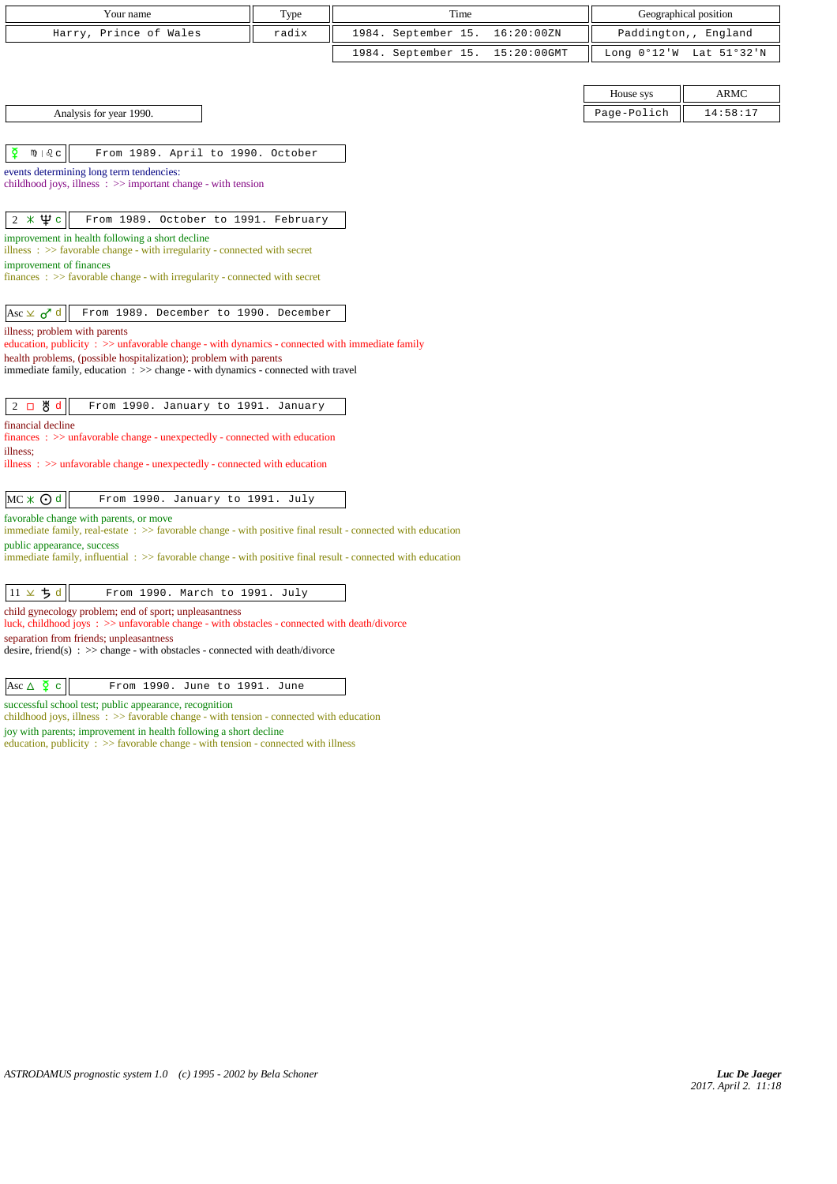| Your name                                                                                                                                             | Type  | Time                |             |             | Geographical position   |
|-------------------------------------------------------------------------------------------------------------------------------------------------------|-------|---------------------|-------------|-------------|-------------------------|
| Harry, Prince of Wales                                                                                                                                | radix | 1984. September 15. | 16:20:00ZN  |             | Paddington,, England    |
|                                                                                                                                                       |       | 1984. September 15. | 15:20:00GMT |             | Long 0°12'W Lat 51°32'N |
|                                                                                                                                                       |       |                     |             |             |                         |
|                                                                                                                                                       |       |                     |             | House sys   | <b>ARMC</b>             |
| Analysis for year 1990.                                                                                                                               |       |                     |             | Page-Polich | 14:58:17                |
|                                                                                                                                                       |       |                     |             |             |                         |
| ₫<br>$m \mid \partial_c c$<br>From 1989. April to 1990. October                                                                                       |       |                     |             |             |                         |
| events determining long term tendencies:                                                                                                              |       |                     |             |             |                         |
| childhood joys, illness $\Rightarrow$ important change - with tension                                                                                 |       |                     |             |             |                         |
| $2 * 4c$<br>From 1989. October to 1991. February                                                                                                      |       |                     |             |             |                         |
| improvement in health following a short decline                                                                                                       |       |                     |             |             |                         |
| illness : $\gg$ favorable change - with irregularity - connected with secret                                                                          |       |                     |             |             |                         |
| improvement of finances<br>$finances : \gg$ favorable change - with irregularity - connected with secret                                              |       |                     |             |             |                         |
|                                                                                                                                                       |       |                     |             |             |                         |
| Asc $\times$ $\sigma$ <sup>d</sup><br>From 1989. December to 1990. December                                                                           |       |                     |             |             |                         |
| illness; problem with parents                                                                                                                         |       |                     |             |             |                         |
| education, publicity $\Rightarrow$ >> unfavorable change - with dynamics - connected with immediate family                                            |       |                     |             |             |                         |
| health problems, (possible hospitalization); problem with parents<br>immediate family, education : >> change - with dynamics - connected with travel  |       |                     |             |             |                         |
|                                                                                                                                                       |       |                     |             |             |                         |
| $2$ 口 め d<br>From 1990. January to 1991. January                                                                                                      |       |                     |             |             |                         |
| financial decline                                                                                                                                     |       |                     |             |             |                         |
| $finances : \gg$ unfavorable change - unexpectedly - connected with education<br>illness;                                                             |       |                     |             |             |                         |
| illness $\Rightarrow$ >> unfavorable change - unexpectedly - connected with education                                                                 |       |                     |             |             |                         |
|                                                                                                                                                       |       |                     |             |             |                         |
| $MC * ① d$<br>From 1990. January to 1991. July                                                                                                        |       |                     |             |             |                         |
| favorable change with parents, or move<br>immediate family, real-estate : >> favorable change - with positive final result - connected with education |       |                     |             |             |                         |
| public appearance, success                                                                                                                            |       |                     |             |             |                         |
| immediate family, influential $\Rightarrow$ > favorable change - with positive final result - connected with education                                |       |                     |             |             |                         |
|                                                                                                                                                       |       |                     |             |             |                         |
| $11 \times 5$ d<br>From 1990. March to 1991. July                                                                                                     |       |                     |             |             |                         |
| child gynecology problem; end of sport; unpleasantness<br>luck, childhood joys: >> unfavorable change - with obstacles - connected with death/divorce |       |                     |             |             |                         |
| separation from friends; unpleasantness                                                                                                               |       |                     |             |             |                         |

 $\begin{array}{|c|c|c|c|}\n\hline \text{Asc } \Delta & \texttt{\c} & \texttt{From 1990. June to 1991. June}\n\hline \end{array}$ 

successful school test; public appearance, recognition

childhood joys, illness : >> favorable change - with tension - connected with education joy with parents; improvement in health following a short decline

education, publicity :  $>\!>$  favorable change - with tension - connected with illness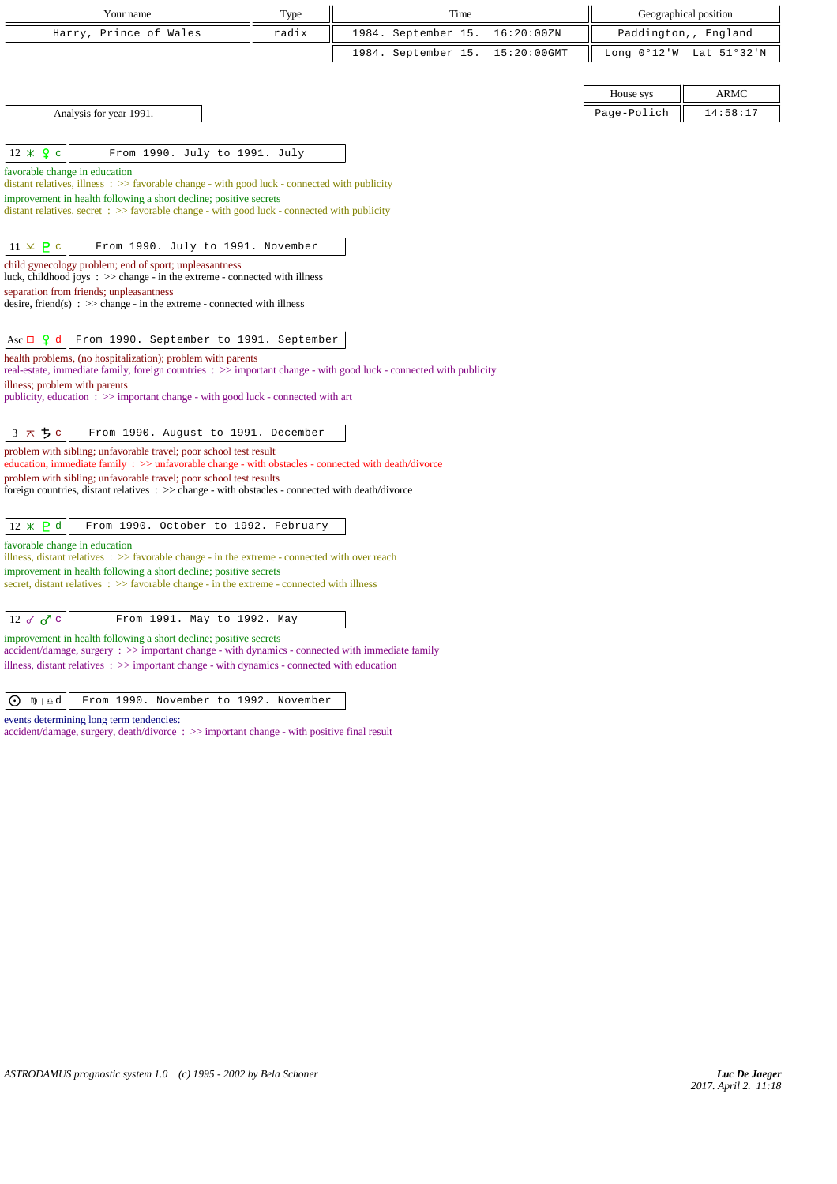| Your name                                                                                                                                                                   | Type  | Time                               | Geographical position    |
|-----------------------------------------------------------------------------------------------------------------------------------------------------------------------------|-------|------------------------------------|--------------------------|
| Harry, Prince of Wales                                                                                                                                                      | radix | 16:20:00ZN<br>1984. September 15.  | Paddington,, England     |
|                                                                                                                                                                             |       | 1984. September 15.<br>15:20:00GMT | Long 0°12'W Lat 51°32'N  |
|                                                                                                                                                                             |       |                                    |                          |
|                                                                                                                                                                             |       |                                    | <b>ARMC</b><br>House sys |
| Analysis for year 1991.                                                                                                                                                     |       |                                    | Page-Polich<br>14:58:17  |
|                                                                                                                                                                             |       |                                    |                          |
| $12 * 9c$<br>From 1990. July to 1991. July                                                                                                                                  |       |                                    |                          |
| favorable change in education<br>distant relatives, illness $\Rightarrow$ favorable change - with good luck - connected with publicity                                      |       |                                    |                          |
| improvement in health following a short decline; positive secrets                                                                                                           |       |                                    |                          |
| distant relatives, secret $\Rightarrow$ Savorable change - with good luck - connected with publicity                                                                        |       |                                    |                          |
| $11 \times P$ c<br>From 1990. July to 1991. November                                                                                                                        |       |                                    |                          |
| child gynecology problem; end of sport; unpleasantness<br>luck, childhood joys $\Rightarrow$ > $\Rightarrow$ change - in the extreme - connected with illness               |       |                                    |                          |
| separation from friends; unpleasantness                                                                                                                                     |       |                                    |                          |
| desire, friend(s) : $\gg$ change - in the extreme - connected with illness                                                                                                  |       |                                    |                          |
| Asc $\Box$ $\varphi$ d<br>From 1990. September to 1991. September                                                                                                           |       |                                    |                          |
| health problems, (no hospitalization); problem with parents                                                                                                                 |       |                                    |                          |
| real-estate, immediate family, foreign countries : >> important change - with good luck - connected with publicity                                                          |       |                                    |                          |
| illness; problem with parents<br>publicity, education $\Rightarrow$ important change - with good luck - connected with art                                                  |       |                                    |                          |
|                                                                                                                                                                             |       |                                    |                          |
| 3 スち c<br>From 1990. August to 1991. December                                                                                                                               |       |                                    |                          |
| problem with sibling; unfavorable travel; poor school test result<br>education, immediate family : >> unfavorable change - with obstacles - connected with death/divorce    |       |                                    |                          |
| problem with sibling; unfavorable travel; poor school test results                                                                                                          |       |                                    |                          |
| foreign countries, distant relatives $\Rightarrow$ > $\Rightarrow$ change - with obstacles - connected with death/divorce                                                   |       |                                    |                          |
| $12 \times P d$<br>From 1990. October to 1992. February                                                                                                                     |       |                                    |                          |
| favorable change in education                                                                                                                                               |       |                                    |                          |
| illness, distant relatives $\Rightarrow$ favorable change - in the extreme - connected with over reach                                                                      |       |                                    |                          |
| improvement in health following a short decline; positive secrets<br>secret, distant relatives $\Rightarrow$ >> favorable change - in the extreme - connected with illness  |       |                                    |                          |
|                                                                                                                                                                             |       |                                    |                          |
| From 1991. May to 1992. May<br>$12 \times \sigma$ c                                                                                                                         |       |                                    |                          |
| improvement in health following a short decline; positive secrets<br>$accident/damage$ , surgery : $\gg$ important change - with dynamics - connected with immediate family |       |                                    |                          |
| illness, distant relatives $\Rightarrow$ >> important change - with dynamics - connected with education                                                                     |       |                                    |                          |
|                                                                                                                                                                             |       |                                    |                          |
| From 1990. November to 1992. November<br>⊙ n∌⊥≞d                                                                                                                            |       |                                    |                          |

events determining long term tendencies:

accident/damage, surgery, death/divorce : >> important change - with positive final result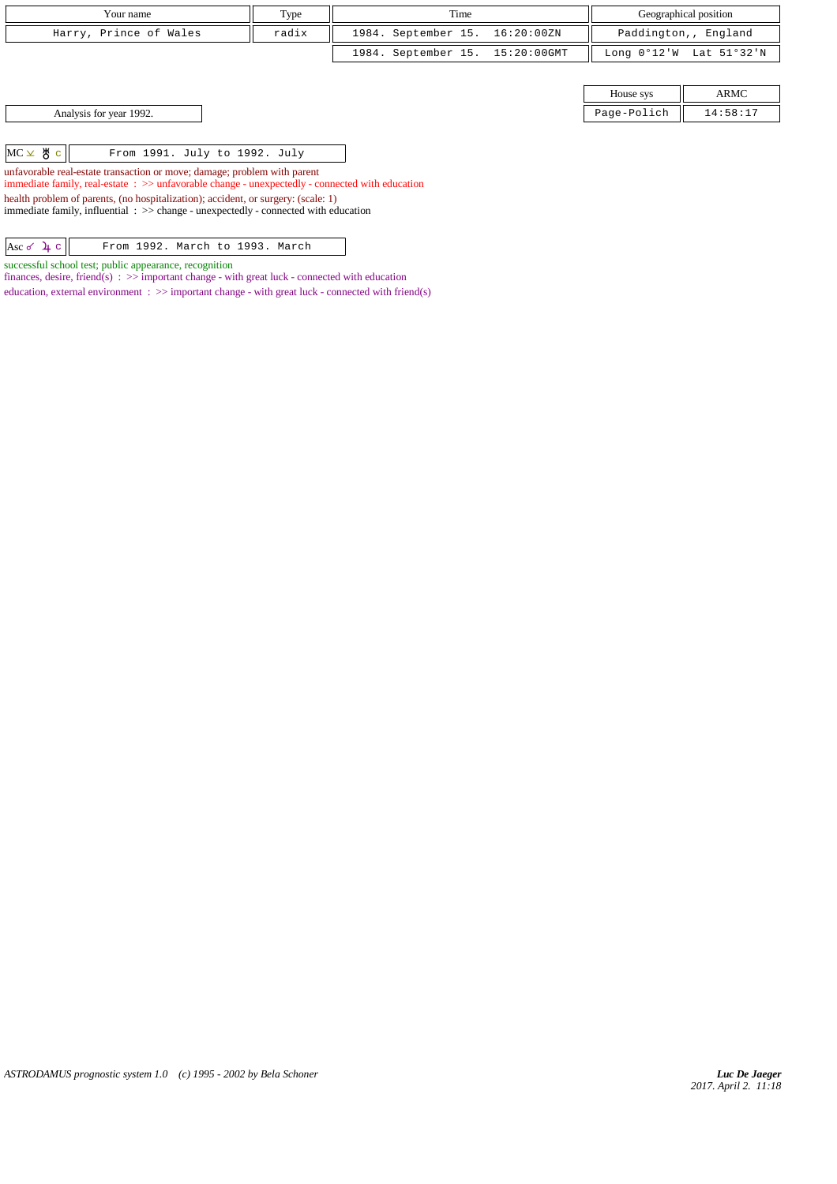| Your name              | Type  | Time                            | Geographical position                                     |
|------------------------|-------|---------------------------------|-----------------------------------------------------------|
| Harry, Prince of Wales | radix | 1984. September 15. 16:20:00ZN  | Paddington,, England                                      |
|                        |       | 1984. September 15. 15:20:00GMT | Long $0^{\circ}12^{\prime}W$ Lat $51^{\circ}32^{\prime}N$ |

| Analysis for year 1992. |  |
|-------------------------|--|
|-------------------------|--|

 $MC \times BC$   $||$  From 1991. July to 1992. July

unfavorable real-estate transaction or move; damage; problem with parent immediate family, real-estate : >> unfavorable change - unexpectedly - connected with education health problem of parents, (no hospitalization); accident, or surgery: (scale: 1)

immediate family, influential : >> change - unexpectedly - connected with education

 $|{\rm Ass}\,\sigma\,1\!\!\downarrow$  c  $|$  From 1992. March to 1993. March

successful school test; public appearance, recognition

finances, desire, friend(s)  $\Rightarrow$  important change - with great luck - connected with education education, external environment  $\Rightarrow$  > important change - with great luck - connected with friend(s)

House sys ARMC Page-Polich  $\parallel$  14:58:17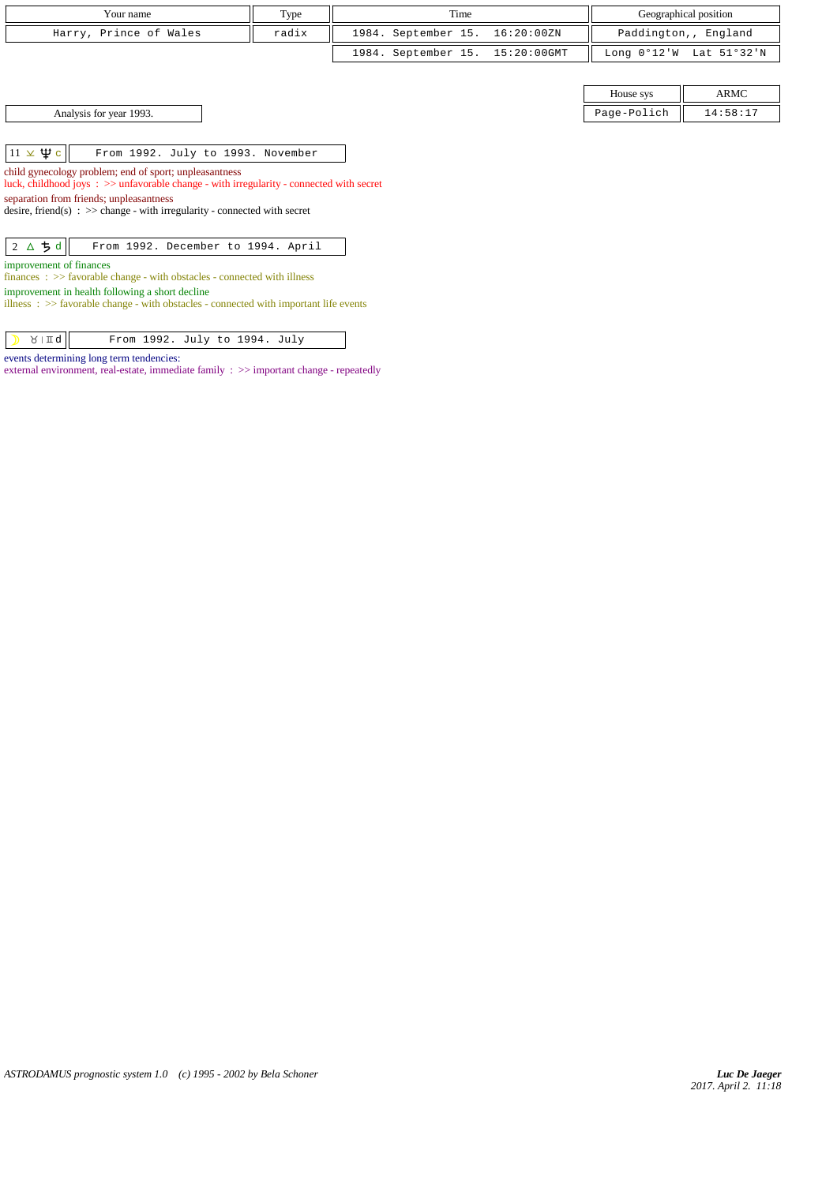| Your name              | T <sub>VDE</sub> | Time                            | Geographical position                                     |
|------------------------|------------------|---------------------------------|-----------------------------------------------------------|
| Harry, Prince of Wales | radix            | 1984. September 15. 16:20:00ZN  | Paddington,, England                                      |
|                        |                  | 1984. September 15. 15:20:00GMT | Long $0^{\circ}12^{\prime}W$ Lat $51^{\circ}32^{\prime}N$ |

| Analysis for year 1993. |  |
|-------------------------|--|
|-------------------------|--|

House sys ARMC Page-Polich  $\parallel$  14:58:17

 $\boxed{11 \times \Psi c}$  From 1992. July to 1993. November

child gynecology problem; end of sport; unpleasantness luck, childhood joys : >> unfavorable change - with irregularity - connected with secret

separation from friends; unpleasantness

desire, friend(s)  $\Rightarrow$  > change - with irregularity - connected with secret

| $ 2 \Delta 5d $ From 1992. December to 1994. April |
|----------------------------------------------------|
|----------------------------------------------------|

improvement of finances

finances : >> favorable change - with obstacles - connected with illness

improvement in health following a short decline  $\lim_{x \to \infty}$  :  $\lim_{x \to \infty}$  favorable change - with obstacles - connected with important life events

 $\sqrt{3}$   $\sqrt{4}$  From 1992. July to 1994. July

events determining long term tendencies:

external environment, real-estate, immediate family :  $\gg$  important change - repeatedly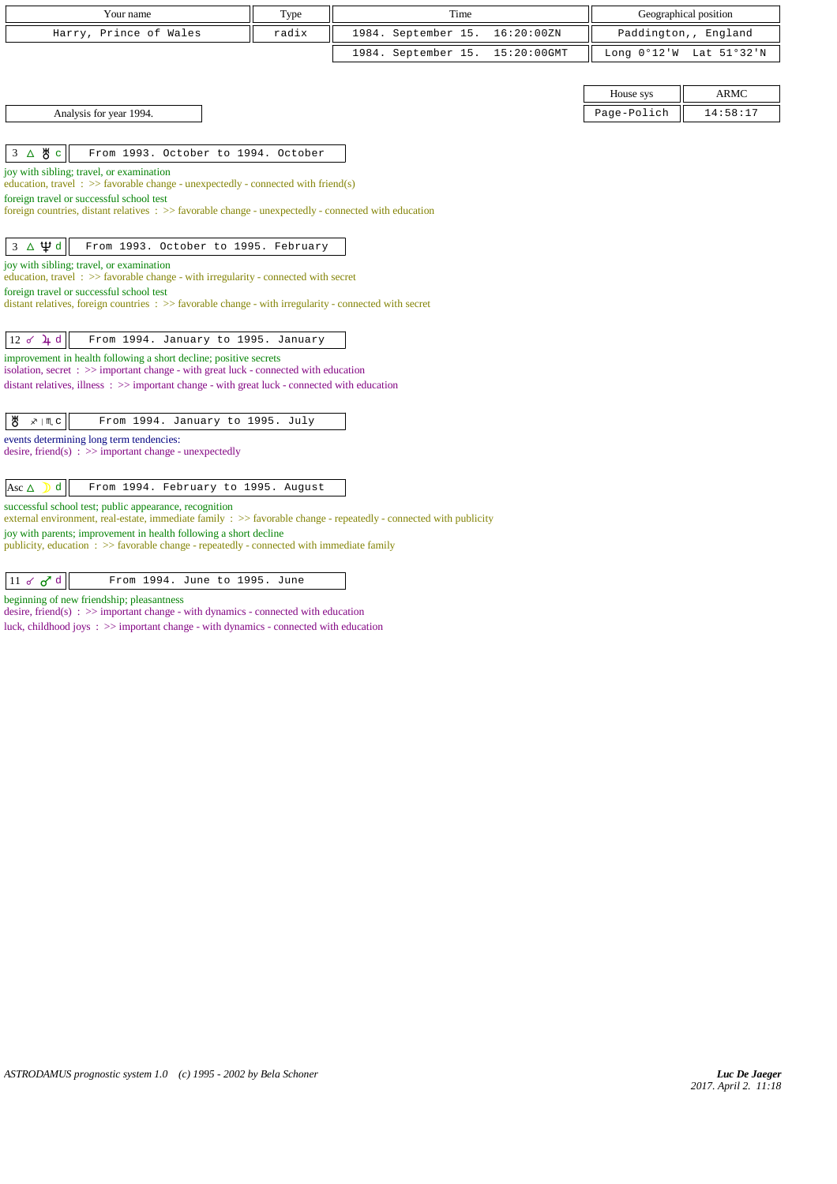| Your name                                                                                                                                                                                                 | Type  | Time                |             |                       | Geographical position |
|-----------------------------------------------------------------------------------------------------------------------------------------------------------------------------------------------------------|-------|---------------------|-------------|-----------------------|-----------------------|
| Harry, Prince of Wales                                                                                                                                                                                    | radix | 1984. September 15. | 16:20:00ZN  |                       | Paddington,, England  |
|                                                                                                                                                                                                           |       | 1984. September 15. | 15:20:00GMT | Long $0^{\circ}12$ 'W | Lat 51°32'N           |
|                                                                                                                                                                                                           |       |                     |             |                       |                       |
|                                                                                                                                                                                                           |       |                     |             | House sys             | ARMC                  |
| Analysis for year 1994.                                                                                                                                                                                   |       |                     |             | Page-Polich           | 14:58:17              |
|                                                                                                                                                                                                           |       |                     |             |                       |                       |
| 3 △ 5 °<br>From 1993. October to 1994. October                                                                                                                                                            |       |                     |             |                       |                       |
| joy with sibling; travel, or examination<br>education, travel: $\gg$ favorable change - unexpectedly - connected with friend(s)                                                                           |       |                     |             |                       |                       |
| foreign travel or successful school test                                                                                                                                                                  |       |                     |             |                       |                       |
| foreign countries, distant relatives : >> favorable change - unexpectedly - connected with education                                                                                                      |       |                     |             |                       |                       |
| $3 \Delta \Psi d$<br>From 1993. October to 1995. February                                                                                                                                                 |       |                     |             |                       |                       |
| joy with sibling; travel, or examination                                                                                                                                                                  |       |                     |             |                       |                       |
| education, travel: $\gg$ favorable change - with irregularity - connected with secret                                                                                                                     |       |                     |             |                       |                       |
| foreign travel or successful school test<br>distant relatives, foreign countries $\Rightarrow$ Savorable change - with irregularity - connected with secret                                               |       |                     |             |                       |                       |
|                                                                                                                                                                                                           |       |                     |             |                       |                       |
| $12 \times 4$ d<br>From 1994. January to 1995. January                                                                                                                                                    |       |                     |             |                       |                       |
| improvement in health following a short decline; positive secrets                                                                                                                                         |       |                     |             |                       |                       |
| isolation, secret $\Rightarrow$ important change - with great luck - connected with education<br>distant relatives, illness $\Rightarrow$ > important change - with great luck - connected with education |       |                     |             |                       |                       |
|                                                                                                                                                                                                           |       |                     |             |                       |                       |
| ₩<br>From 1994. January to 1995. July<br><sub></sub> ⁄   ጢ ሮ                                                                                                                                              |       |                     |             |                       |                       |
| events determining long term tendencies:                                                                                                                                                                  |       |                     |             |                       |                       |
| desire, friend(s) : $\gg$ important change - unexpectedly                                                                                                                                                 |       |                     |             |                       |                       |
| d<br>From 1994. February to 1995. August<br>Asc $\Delta$                                                                                                                                                  |       |                     |             |                       |                       |
| successful school test; public appearance, recognition                                                                                                                                                    |       |                     |             |                       |                       |
| external environment, real-estate, immediate family : >> favorable change - repeatedly - connected with publicity                                                                                         |       |                     |             |                       |                       |
| joy with parents; improvement in health following a short decline<br>publicity, education $\Rightarrow$ > favorable change - repeatedly - connected with immediate family                                 |       |                     |             |                       |                       |
|                                                                                                                                                                                                           |       |                     |             |                       |                       |

| 11 d d d<br>From 1994. June to 1995. June |
|-------------------------------------------|
|-------------------------------------------|

beginning of new friendship; pleasantness

desire, friend(s) : >> important change - with dynamics - connected with education

luck, childhood joys : >> important change - with dynamics - connected with education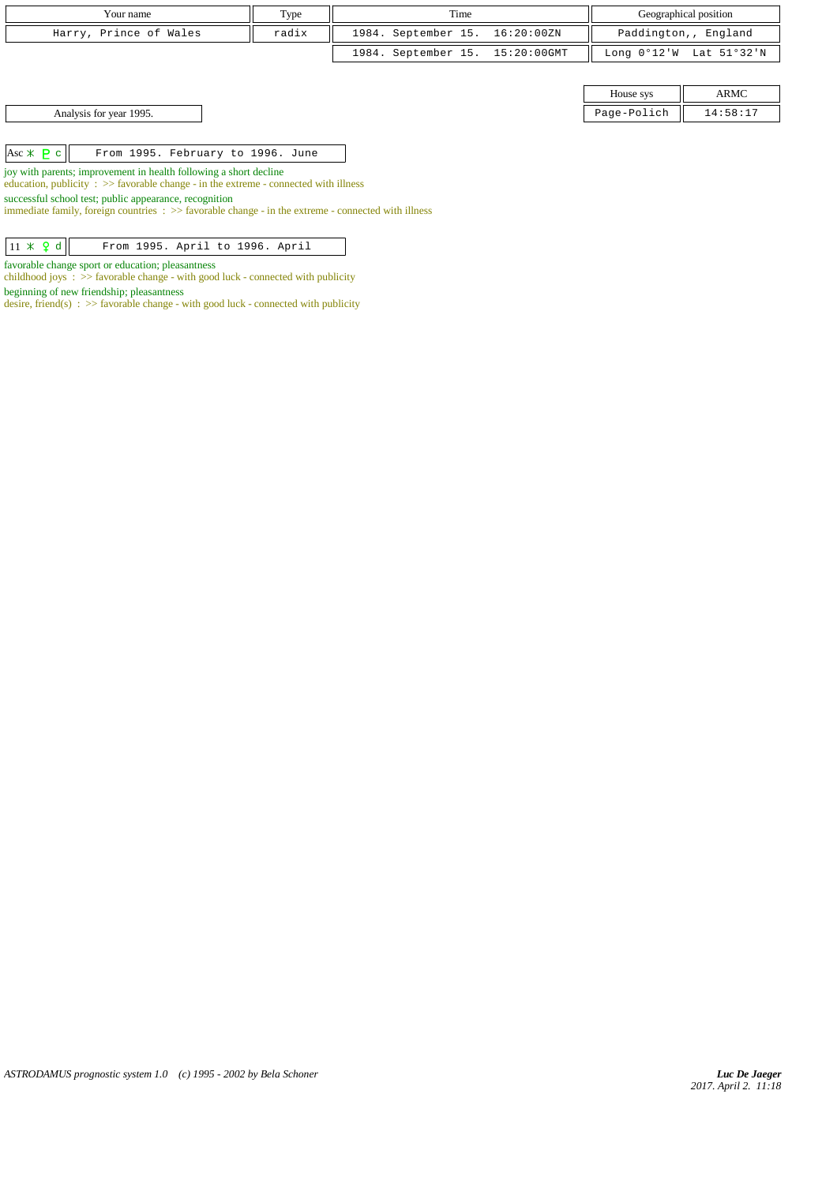| Your name              | Type  | Time                            | Geographical position   |
|------------------------|-------|---------------------------------|-------------------------|
| Harry, Prince of Wales | radix | 1984. September 15. 16:20:00ZN  | Paddington,, England    |
|                        |       | 1984. September 15. 15:20:00GMT | Long 0°12'W Lat 51°32'N |
|                        |       |                                 |                         |

House sys  $\parallel$  ARMC Page-Polich  $\parallel$  14:58:17

Asc c From 1995. February to 1996. June

joy with parents; improvement in health following a short decline education, publicity  $\Rightarrow$  favorable change - in the extreme - connected with illness

successful school test; public appearance, recognition

immediate family, foreign countries :  $\gg$  favorable change - in the extreme - connected with illness

|--|

favorable change sport or education; pleasantness childhood joys : >> favorable change - with good luck - connected with publicity

beginning of new friendship; pleasantness

desire, friend(s) :  $\gg$  favorable change - with good luck - connected with publicity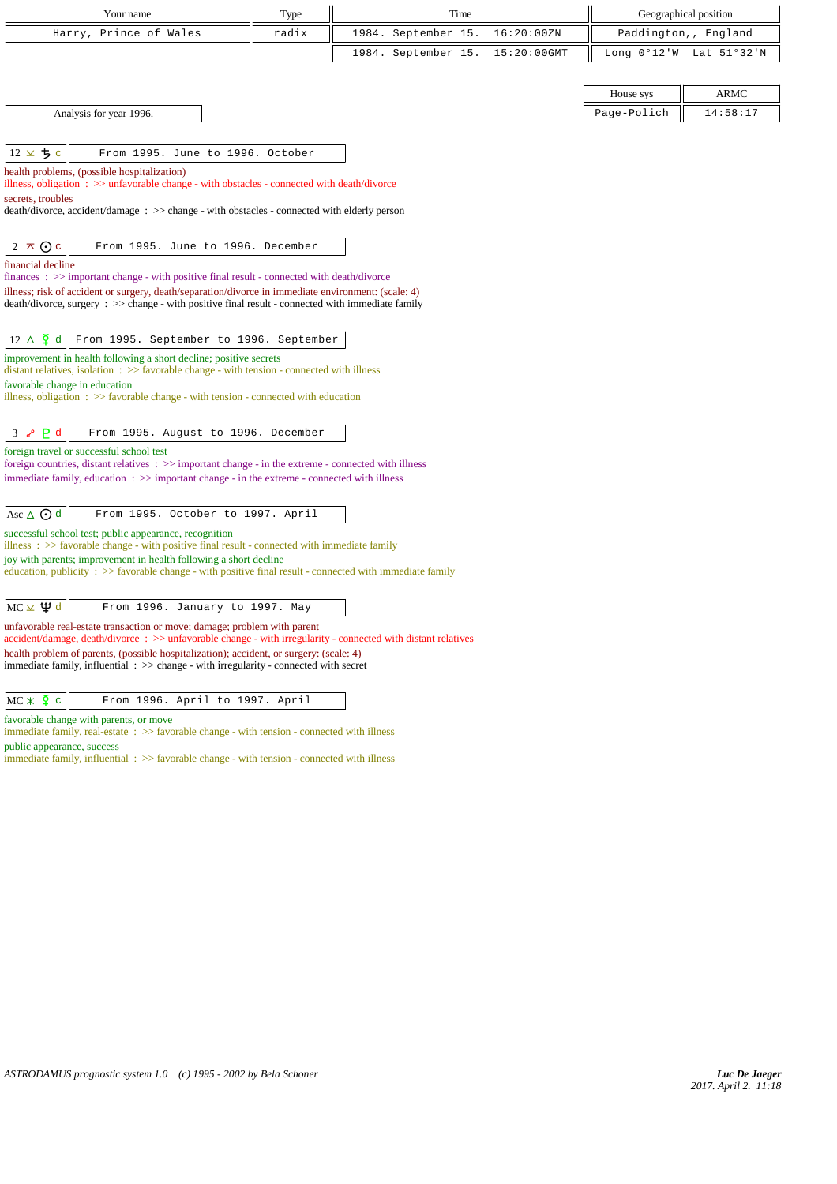| Your name                                                                                                                                                                                                  | Type  |  |                     | Time |             |                       | Geographical position |
|------------------------------------------------------------------------------------------------------------------------------------------------------------------------------------------------------------|-------|--|---------------------|------|-------------|-----------------------|-----------------------|
| Prince of Wales<br>Harry,                                                                                                                                                                                  | radix |  | 1984. September 15. |      | 16:20:00ZN  |                       | Paddington,, England  |
|                                                                                                                                                                                                            |       |  | 1984. September 15. |      | 15:20:00GMT | Long $0^{\circ}12$ 'W | Lat 51°32'N           |
|                                                                                                                                                                                                            |       |  |                     |      |             |                       |                       |
|                                                                                                                                                                                                            |       |  |                     |      |             | House sys             | <b>ARMC</b>           |
| Analysis for year 1996.                                                                                                                                                                                    |       |  |                     |      |             | Page-Polich           | 14:58:17              |
|                                                                                                                                                                                                            |       |  |                     |      |             |                       |                       |
| $12 \times 5c$<br>From 1995. June to 1996. October                                                                                                                                                         |       |  |                     |      |             |                       |                       |
| health problems, (possible hospitalization)<br>illness, obligation $\Rightarrow$ unfavorable change - with obstacles - connected with death/divorce                                                        |       |  |                     |      |             |                       |                       |
| secrets, troubles                                                                                                                                                                                          |       |  |                     |      |             |                       |                       |
| death/divorce, accident/damage : >> change - with obstacles - connected with elderly person                                                                                                                |       |  |                     |      |             |                       |                       |
| $2 \times 0c$<br>From 1995. June to 1996. December                                                                                                                                                         |       |  |                     |      |             |                       |                       |
| financial decline                                                                                                                                                                                          |       |  |                     |      |             |                       |                       |
| finances : >> important change - with positive final result - connected with death/divorce                                                                                                                 |       |  |                     |      |             |                       |                       |
| illness; risk of accident or surgery, death/separation/divorce in immediate environment: (scale: 4)<br>$death/divorce, surgery : >> change - with positive final result - connected with immediate family$ |       |  |                     |      |             |                       |                       |
|                                                                                                                                                                                                            |       |  |                     |      |             |                       |                       |
| $12 \triangle \overline{2}$ d<br>From 1995. September to 1996. September                                                                                                                                   |       |  |                     |      |             |                       |                       |
| improvement in health following a short decline; positive secrets<br>distant relatives, isolation $\Rightarrow$ > favorable change - with tension - connected with illness                                 |       |  |                     |      |             |                       |                       |
| favorable change in education                                                                                                                                                                              |       |  |                     |      |             |                       |                       |
| illness, obligation $\Rightarrow$ favorable change - with tension - connected with education                                                                                                               |       |  |                     |      |             |                       |                       |
| P <sub>d</sub><br>3 <sub>o</sub><br>From 1995. August to 1996. December                                                                                                                                    |       |  |                     |      |             |                       |                       |
| foreign travel or successful school test                                                                                                                                                                   |       |  |                     |      |             |                       |                       |
| foreign countries, distant relatives $\Rightarrow$ important change - in the extreme - connected with illness                                                                                              |       |  |                     |      |             |                       |                       |
| immediate family, education $\Rightarrow$ > important change - in the extreme - connected with illness                                                                                                     |       |  |                     |      |             |                       |                       |
| Asc $\triangle$ $\odot$ d<br>From 1995. October to 1997. April                                                                                                                                             |       |  |                     |      |             |                       |                       |
| successful school test; public appearance, recognition<br>illness $\Rightarrow$ favorable change - with positive final result - connected with immediate family                                            |       |  |                     |      |             |                       |                       |
| joy with parents; improvement in health following a short decline                                                                                                                                          |       |  |                     |      |             |                       |                       |
| education, publicity $\Rightarrow$ Savorable change - with positive final result - connected with immediate family                                                                                         |       |  |                     |      |             |                       |                       |
|                                                                                                                                                                                                            |       |  |                     |      |             |                       |                       |
| $MC \times \Psi d$<br>From 1996. January to 1997. May                                                                                                                                                      |       |  |                     |      |             |                       |                       |
| unfavorable real-estate transaction or move; damage; problem with parent<br>accident/damage, death/divorce: >> unfavorable change - with irregularity - connected with distant relatives                   |       |  |                     |      |             |                       |                       |
| health problem of parents, (possible hospitalization); accident, or surgery: (scale: 4)<br>immediate family, influential $\Rightarrow$ > change - with irregularity - connected with secret                |       |  |                     |      |             |                       |                       |
|                                                                                                                                                                                                            |       |  |                     |      |             |                       |                       |
| $MC \times$ $\Omega$ c<br>From 1996. April to 1997. April                                                                                                                                                  |       |  |                     |      |             |                       |                       |

favorable change with parents, or move

immediate family, real-estate :  $\gg$  favorable change - with tension - connected with illness public appearance, success

immediate family, influential : >> favorable change - with tension - connected with illness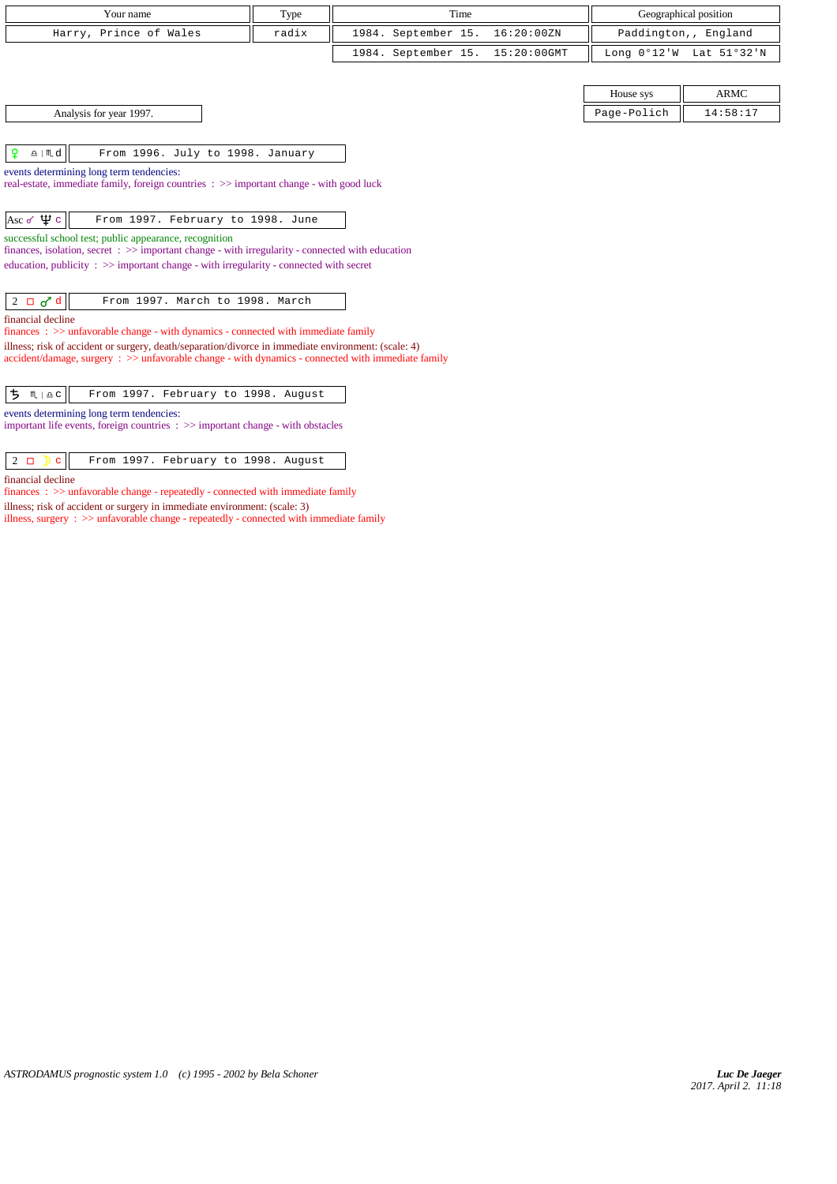| Your name                                                                                                                                                                                                       | Type  | Time                |                | Geographical position |                         |
|-----------------------------------------------------------------------------------------------------------------------------------------------------------------------------------------------------------------|-------|---------------------|----------------|-----------------------|-------------------------|
| Harry, Prince of Wales                                                                                                                                                                                          | radix | 1984. September 15. | 16:20:00ZN     | Paddington,, England  |                         |
|                                                                                                                                                                                                                 |       | 1984. September 15. | $15:20:00$ GMT |                       | Long 0°12'W Lat 51°32'N |
|                                                                                                                                                                                                                 |       |                     |                |                       |                         |
|                                                                                                                                                                                                                 |       |                     |                | House sys             | <b>ARMC</b>             |
| Analysis for year 1997.                                                                                                                                                                                         |       |                     |                | Page-Polich           | 14:58:17                |
|                                                                                                                                                                                                                 |       |                     |                |                       |                         |
| ₽<br>$\underline{\mathbf{a}}$   $\mathbf{m}$ d<br>From 1996. July to 1998. January                                                                                                                              |       |                     |                |                       |                         |
| events determining long term tendencies:                                                                                                                                                                        |       |                     |                |                       |                         |
| real-estate, immediate family, foreign countries : >> important change - with good luck                                                                                                                         |       |                     |                |                       |                         |
| Asc $\sigma \psi$ c<br>From 1997. February to 1998. June                                                                                                                                                        |       |                     |                |                       |                         |
| successful school test; public appearance, recognition                                                                                                                                                          |       |                     |                |                       |                         |
| finances, isolation, secret $\Rightarrow$ >> important change - with irregularity - connected with education                                                                                                    |       |                     |                |                       |                         |
| education, publicity $\Rightarrow$ important change - with irregularity - connected with secret                                                                                                                 |       |                     |                |                       |                         |
| $2 \Box \sigma d$<br>From 1997. March to 1998. March                                                                                                                                                            |       |                     |                |                       |                         |
| financial decline                                                                                                                                                                                               |       |                     |                |                       |                         |
| $finances: \gg$ unfavorable change - with dynamics - connected with immediate family                                                                                                                            |       |                     |                |                       |                         |
| illness; risk of accident or surgery, death/separation/divorce in immediate environment: (scale: 4)<br>$accident/damage$ , surgery : $\gg$ unfavorable change - with dynamics - connected with immediate family |       |                     |                |                       |                         |
|                                                                                                                                                                                                                 |       |                     |                |                       |                         |
| <b>ち</b> m   ≙ c  <br>From 1997. February to 1998. August                                                                                                                                                       |       |                     |                |                       |                         |
| events determining long term tendencies:                                                                                                                                                                        |       |                     |                |                       |                         |
| important life events, foreign countries $\Rightarrow$ important change - with obstacles                                                                                                                        |       |                     |                |                       |                         |

financial decline

 $finances\,$  :  $>>$  unfavorable change - repeatedly - connected with immediate family

illness; risk of accident or surgery in immediate environment: (scale: 3)

illness, surgery :  $\gg$  unfavorable change - repeatedly - connected with immediate family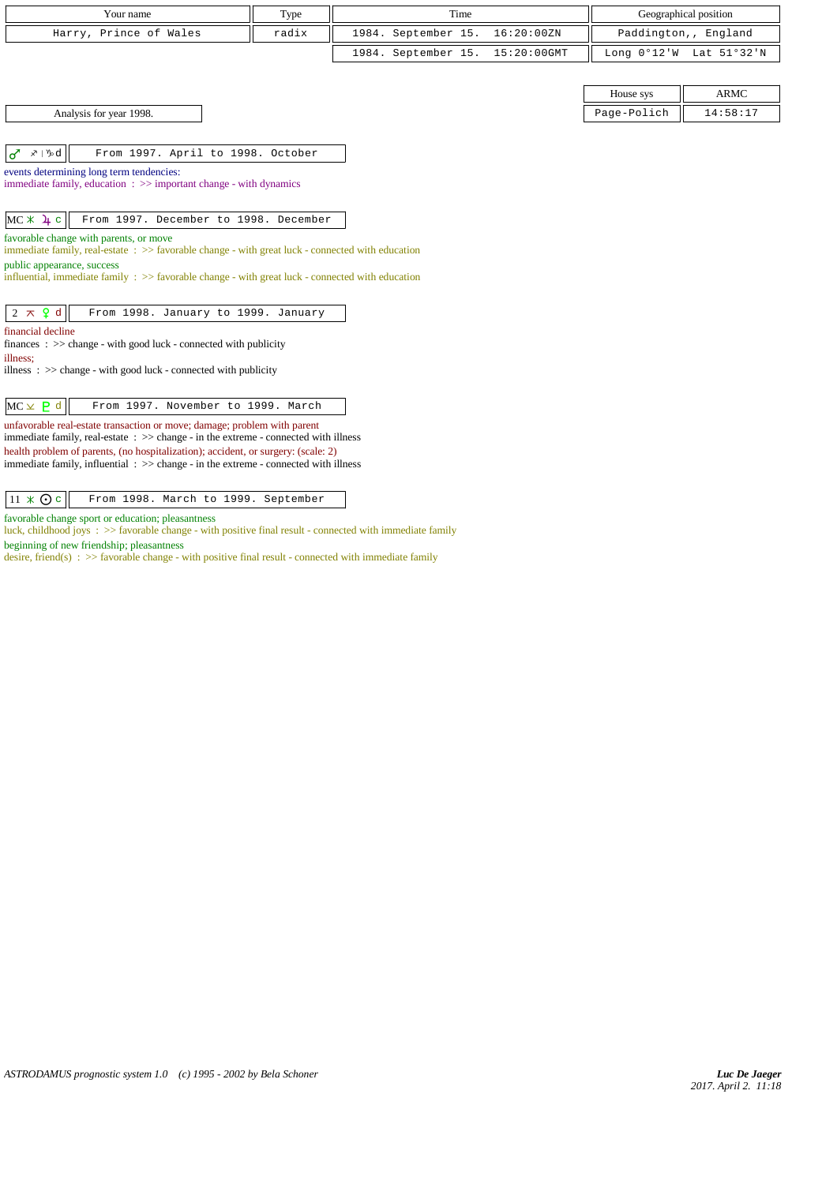| Your name              | Type  | Time                            | Geographical position                                       |
|------------------------|-------|---------------------------------|-------------------------------------------------------------|
| Harry, Prince of Wales | radix | 1984. September 15. 16:20:00ZN  | Paddington,, England                                        |
|                        |       | 1984. September 15. 15:20:00GMT | Long $0^{\circ}12^{\prime}$ W Lat $51^{\circ}32^{\prime}$ N |

Analysis for year 1998.

 $|d^r \times 1$ %d $||$  From 1997. April to 1998. October

events determining long term tendencies:

immediate family, education : >> important change - with dynamics

 $MC X 4 c$  From 1997. December to 1998. December

favorable change with parents, or move

immediate family, real-estate : >> favorable change - with great luck - connected with education public appearance, success

influential, immediate family  $\Rightarrow$  >> favorable change - with great luck - connected with education

 $\begin{vmatrix} 2 & \pi & 0 \\ 0 & \pi & 0 \end{vmatrix}$  From 1998. January to 1999. January

financial decline

finances : >> change - with good luck - connected with publicity illness;

illness : >> change - with good luck - connected with publicity

| $MC \times P d$<br>From 1997. November to 1999. March |  |
|-------------------------------------------------------|--|
|-------------------------------------------------------|--|

unfavorable real-estate transaction or move; damage; problem with parent immediate family, real-estate : >> change - in the extreme - connected with illness health problem of parents, (no hospitalization); accident, or surgery: (scale: 2) immediate family, influential : >> change - in the extreme - connected with illness

 $\boxed{11 \times Q \circ \boxed{ }$  From 1998. March to 1999. September

favorable change sport or education; pleasantness

luck, childhood joys : >> favorable change - with positive final result - connected with immediate family beginning of new friendship; pleasantness

desire, friend(s) : >> favorable change - with positive final result - connected with immediate family

| House sys   | ARMC     |
|-------------|----------|
| Page-Polich | 14:58:17 |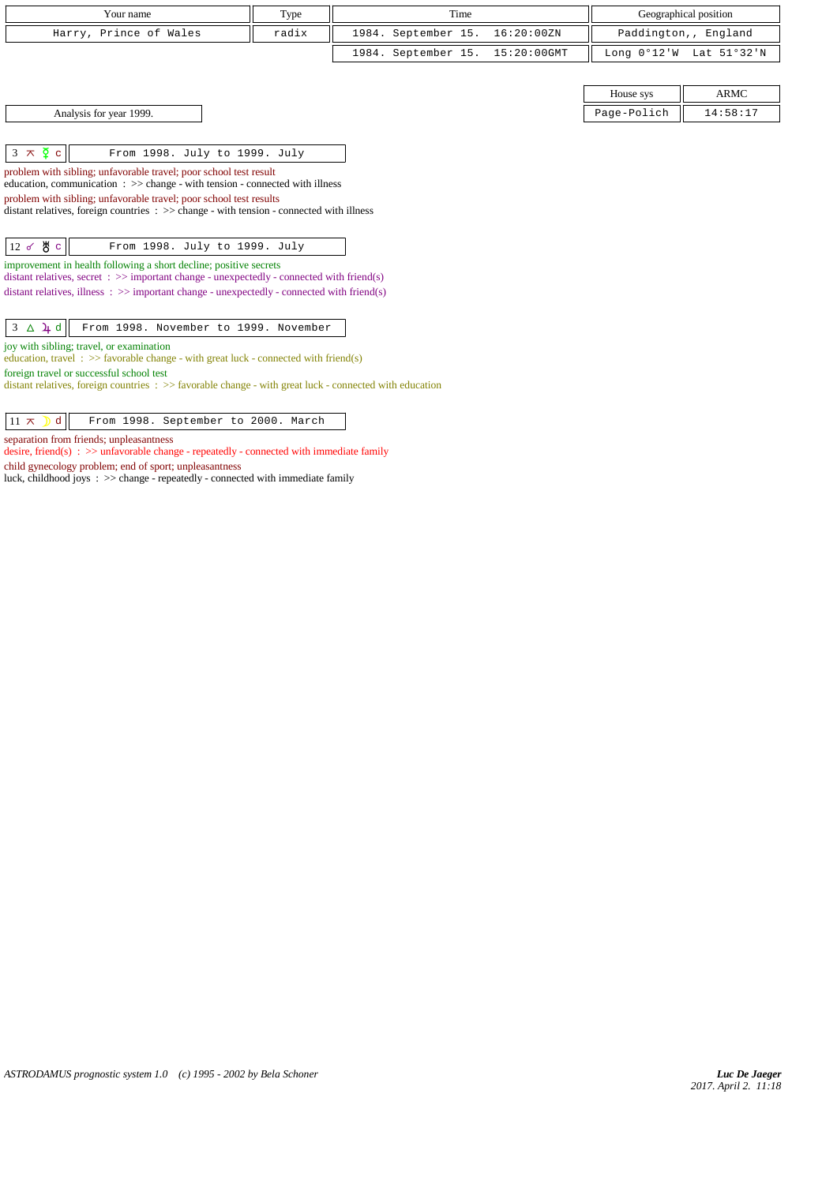| Your name                                                                                                                                                               | Type  | Time |                     |                | Geographical position |                      |
|-------------------------------------------------------------------------------------------------------------------------------------------------------------------------|-------|------|---------------------|----------------|-----------------------|----------------------|
| Harry, Prince of Wales                                                                                                                                                  | radix |      | 1984. September 15. | 16:20:00ZN     |                       | Paddington,, England |
|                                                                                                                                                                         |       |      | 1984. September 15. | $15:20:00$ GMT | Long $0°12'W$         | Lat 51°32'N          |
|                                                                                                                                                                         |       |      |                     |                |                       |                      |
|                                                                                                                                                                         |       |      |                     |                | House sys             | <b>ARMC</b>          |
| Analysis for year 1999.                                                                                                                                                 |       |      |                     |                | Page-Polich           | 14:58:17             |
|                                                                                                                                                                         |       |      |                     |                |                       |                      |
| $3 \times \overline{2}$ c<br>From 1998. July to 1999. July                                                                                                              |       |      |                     |                |                       |                      |
| problem with sibling; unfavorable travel; poor school test result<br>education, communication $\Rightarrow$ >> change - with tension - connected with illness           |       |      |                     |                |                       |                      |
| problem with sibling; unfavorable travel; poor school test results<br>distant relatives, foreign countries : >> change - with tension - connected with illness          |       |      |                     |                |                       |                      |
|                                                                                                                                                                         |       |      |                     |                |                       |                      |
| $12 \times 8$ c<br>From 1998. July to 1999. July                                                                                                                        |       |      |                     |                |                       |                      |
| improvement in health following a short decline; positive secrets<br>distant relatives, secret $\Rightarrow$ important change - unexpectedly - connected with friend(s) |       |      |                     |                |                       |                      |
| distant relatives, illness : $\gg$ important change - unexpectedly - connected with friend(s)                                                                           |       |      |                     |                |                       |                      |
| $3 \Delta \cancel{4} d$<br>From 1998. November to 1999. November                                                                                                        |       |      |                     |                |                       |                      |
| joy with sibling; travel, or examination                                                                                                                                |       |      |                     |                |                       |                      |

education, travel:  $\gg$  favorable change - with great luck - connected with friend(s)

desire, friend(s) : >> unfavorable change - repeatedly - connected with immediate family

luck, childhood joys : >> change - repeatedly - connected with immediate family

 $11 \times$  d From 1998. September to 2000. March

distant relatives, foreign countries : >> favorable change - with great luck - connected with education

foreign travel or successful school test

separation from friends; unpleasantness

child gynecology problem; end of sport; unpleasantness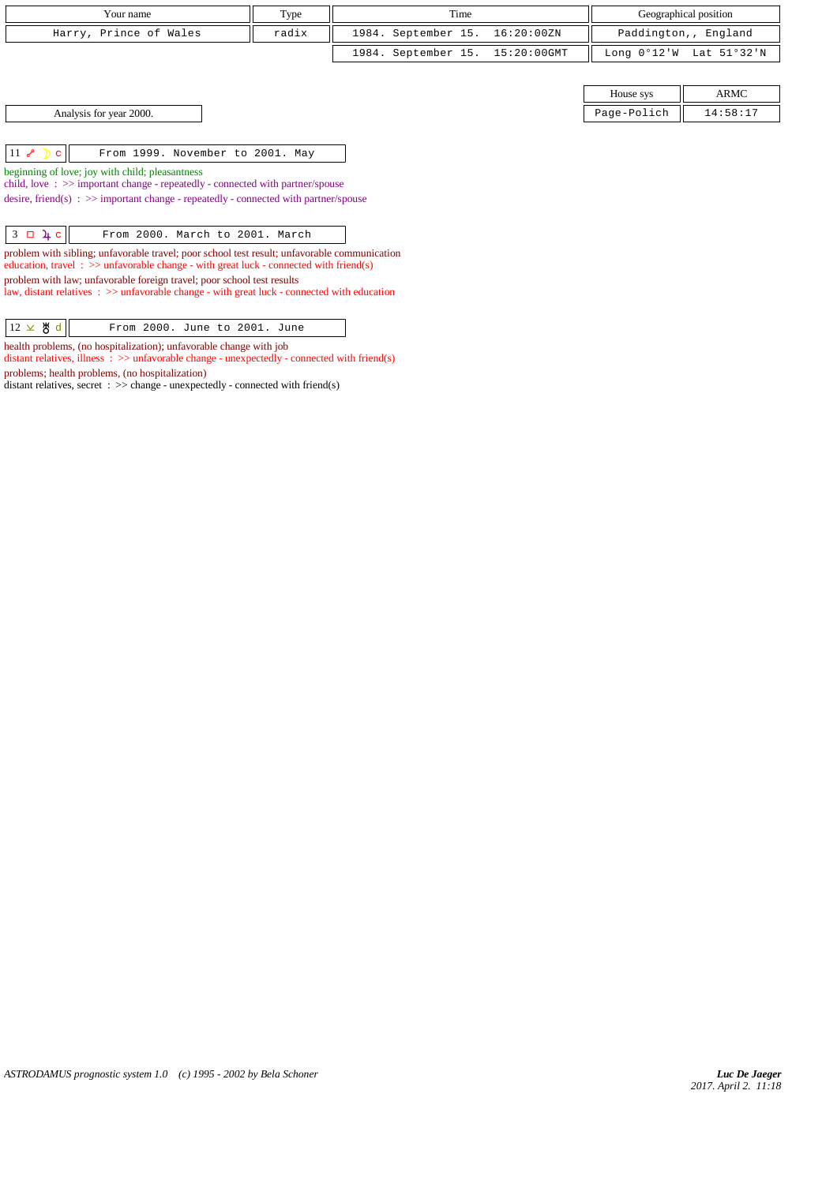| Your name                                                                                                                                                                                                                             | Type  |  | Time                            |            |               | Geographical position |
|---------------------------------------------------------------------------------------------------------------------------------------------------------------------------------------------------------------------------------------|-------|--|---------------------------------|------------|---------------|-----------------------|
| Harry, Prince of Wales                                                                                                                                                                                                                | radix |  | 1984. September 15.             | 16:20:00ZN |               | Paddington,, England  |
|                                                                                                                                                                                                                                       |       |  | 1984. September 15. 15:20:00GMT |            | Long $0°12'W$ | Lat 51°32'N           |
|                                                                                                                                                                                                                                       |       |  |                                 |            |               |                       |
|                                                                                                                                                                                                                                       |       |  |                                 |            | House sys     | <b>ARMC</b>           |
| Analysis for year 2000.                                                                                                                                                                                                               |       |  |                                 |            | Page-Polich   | 14:58:17              |
|                                                                                                                                                                                                                                       |       |  |                                 |            |               |                       |
| $11 \times D$<br>From 1999. November to 2001. May<br>$\mathbf{C}$                                                                                                                                                                     |       |  |                                 |            |               |                       |
| beginning of love; joy with child; pleasantness<br>child, love $\Rightarrow$ important change - repeatedly - connected with partner/spouse<br>desire, friend(s) : $\gg$ important change - repeatedly - connected with partner/spouse |       |  |                                 |            |               |                       |

 $3 \Box \mu c$  From 2000. March to 2001. March problem with sibling; unfavorable travel; poor school test result; unfavorable communication education, travel  $\Rightarrow$  >> unfavorable change - with great luck - connected with friend(s) problem with law; unfavorable foreign travel; poor school test results

law, distant relatives : >> unfavorable change - with great luck - connected with education

| $12 \times 8 d$ |  | From 2000. June to 2001. June |  |  |
|-----------------|--|-------------------------------|--|--|
|-----------------|--|-------------------------------|--|--|

health problems, (no hospitalization); unfavorable change with job

distant relatives, illness  $\therefore$  >> unfavorable change - unexpectedly - connected with friend(s) problems; health problems, (no hospitalization)

distant relatives, secret :  $\gg$  change - unexpectedly - connected with friend(s)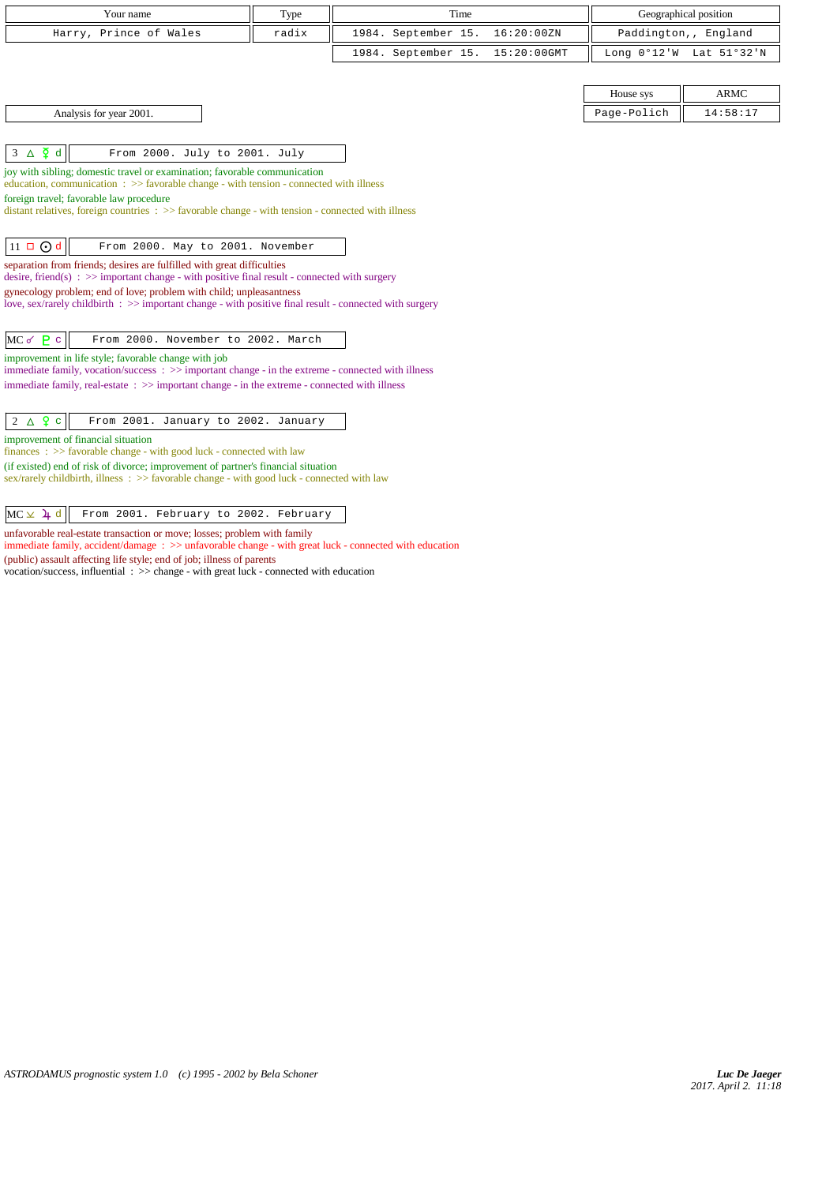| Your name                                                                                                                                                                         | Type  | Time                |             | Geographical position |                      |
|-----------------------------------------------------------------------------------------------------------------------------------------------------------------------------------|-------|---------------------|-------------|-----------------------|----------------------|
| Harry, Prince of Wales                                                                                                                                                            | radix | 1984. September 15. | 16:20:00ZN  |                       | Paddington,, England |
|                                                                                                                                                                                   |       | 1984. September 15. | 15:20:00GMT | Long 0°12'W           | Lat 51°32'N          |
|                                                                                                                                                                                   |       |                     |             |                       |                      |
|                                                                                                                                                                                   |       |                     |             | House sys             | <b>ARMC</b>          |
| Analysis for year 2001.                                                                                                                                                           |       |                     |             | Page-Polich           | 14:58:17             |
|                                                                                                                                                                                   |       |                     |             |                       |                      |
| $3 \Delta \xi d$<br>From 2000. July to 2001. July                                                                                                                                 |       |                     |             |                       |                      |
| joy with sibling; domestic travel or examination; favorable communication                                                                                                         |       |                     |             |                       |                      |
| education, communication $\Rightarrow$ Savorable change - with tension - connected with illness                                                                                   |       |                     |             |                       |                      |
| foreign travel; favorable law procedure<br>distant relatives, foreign countries $\Rightarrow$ > favorable change - with tension - connected with illness                          |       |                     |             |                       |                      |
|                                                                                                                                                                                   |       |                     |             |                       |                      |
| $11 \square$ Od<br>From 2000. May to 2001. November                                                                                                                               |       |                     |             |                       |                      |
| separation from friends; desires are fulfilled with great difficulties                                                                                                            |       |                     |             |                       |                      |
| desire, friend(s) : $\gg$ important change - with positive final result - connected with surgery                                                                                  |       |                     |             |                       |                      |
| gynecology problem; end of love; problem with child; unpleasantness<br>love, sex/rarely childbirth : $\gg$ important change - with positive final result - connected with surgery |       |                     |             |                       |                      |
|                                                                                                                                                                                   |       |                     |             |                       |                      |
| $MC \, \sigma \, P$ c<br>From 2000. November to 2002. March                                                                                                                       |       |                     |             |                       |                      |
| improvement in life style; favorable change with job                                                                                                                              |       |                     |             |                       |                      |
| immediate family, vocation/success: $\gg$ important change - in the extreme - connected with illness                                                                              |       |                     |             |                       |                      |
| immediate family, real-estate $\Rightarrow$ important change - in the extreme - connected with illness                                                                            |       |                     |             |                       |                      |
| $2 \triangle 9$ c<br>From 2001. January to 2002. January                                                                                                                          |       |                     |             |                       |                      |
| improvement of financial situation                                                                                                                                                |       |                     |             |                       |                      |
| finances : $\gg$ favorable change - with good luck - connected with law                                                                                                           |       |                     |             |                       |                      |
| (if existed) end of risk of divorce; improvement of partner's financial situation                                                                                                 |       |                     |             |                       |                      |
| sex/rarely childbirth, illness : >> favorable change - with good luck - connected with law                                                                                        |       |                     |             |                       |                      |
|                                                                                                                                                                                   |       |                     |             |                       |                      |
| $MC \times 4$ d<br>From 2001. February to 2002. February                                                                                                                          |       |                     |             |                       |                      |
| unfavorable real-estate transaction or move; losses; problem with family                                                                                                          |       |                     |             |                       |                      |

immediate family, accident/damage : >> unfavorable change - with great luck - connected with education (public) assault affecting life style; end of job; illness of parents vocation/success, influential : >> change - with great luck - connected with education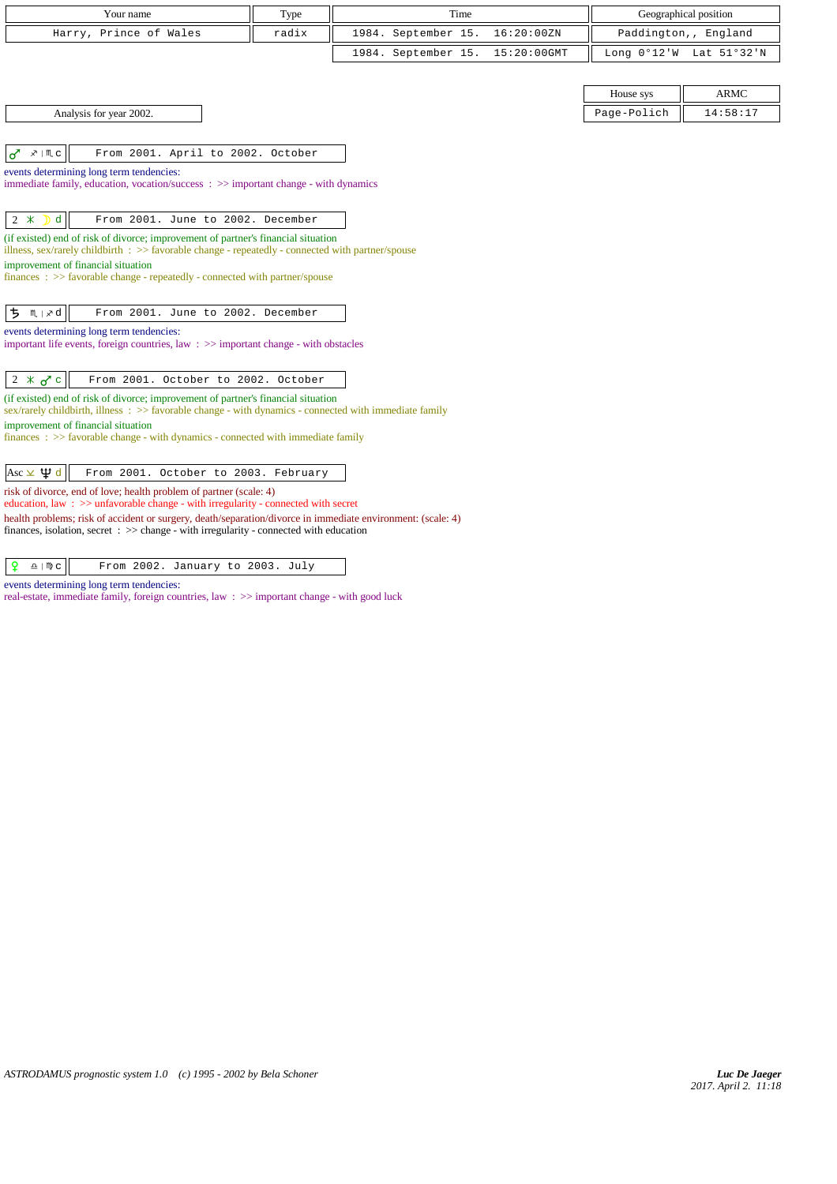| Your name                                                                                                                                                                                                                      | Type  | Time                |                | Geographical position |                         |
|--------------------------------------------------------------------------------------------------------------------------------------------------------------------------------------------------------------------------------|-------|---------------------|----------------|-----------------------|-------------------------|
| Harry, Prince of Wales                                                                                                                                                                                                         | radix | 1984. September 15. | 16:20:00ZN     |                       | Paddington,, England    |
|                                                                                                                                                                                                                                |       | 1984. September 15. | $15:20:00$ GMT |                       | Long 0°12'W Lat 51°32'N |
|                                                                                                                                                                                                                                |       |                     |                |                       |                         |
|                                                                                                                                                                                                                                |       |                     |                | House sys             | <b>ARMC</b>             |
| Analysis for year 2002.                                                                                                                                                                                                        |       |                     |                | Page-Polich           | 14:58:17                |
|                                                                                                                                                                                                                                |       |                     |                |                       |                         |
| ♂<br>From 2001. April to 2002. October<br>$x \mid M$ c                                                                                                                                                                         |       |                     |                |                       |                         |
| events determining long term tendencies:                                                                                                                                                                                       |       |                     |                |                       |                         |
| immediate family, education, vocation/success $\Rightarrow$ important change - with dynamics                                                                                                                                   |       |                     |                |                       |                         |
|                                                                                                                                                                                                                                |       |                     |                |                       |                         |
| $2 *$<br>$\mathbf{D}$ d<br>From 2001. June to 2002. December                                                                                                                                                                   |       |                     |                |                       |                         |
| (if existed) end of risk of divorce; improvement of partner's financial situation<br>illness, sex/rarely childbirth : $\gg$ favorable change - repeatedly - connected with partner/spouse                                      |       |                     |                |                       |                         |
| improvement of financial situation                                                                                                                                                                                             |       |                     |                |                       |                         |
| finances : >> favorable change - repeatedly - connected with partner/spouse                                                                                                                                                    |       |                     |                |                       |                         |
|                                                                                                                                                                                                                                |       |                     |                |                       |                         |
| ち<br>$M \mid x d$<br>From 2001. June to 2002. December                                                                                                                                                                         |       |                     |                |                       |                         |
| events determining long term tendencies:<br>important life events, foreign countries, law $\Rightarrow$ important change - with obstacles                                                                                      |       |                     |                |                       |                         |
|                                                                                                                                                                                                                                |       |                     |                |                       |                         |
| From 2001. October to 2002. October<br>$2 \times \sigma$ c                                                                                                                                                                     |       |                     |                |                       |                         |
| (if existed) end of risk of divorce; improvement of partner's financial situation<br>sex/rarely childbirth, illness: >> favorable change - with dynamics - connected with immediate family                                     |       |                     |                |                       |                         |
| improvement of financial situation<br>$finances: \gg$ favorable change - with dynamics - connected with immediate family                                                                                                       |       |                     |                |                       |                         |
|                                                                                                                                                                                                                                |       |                     |                |                       |                         |
| Asc $\times$ $\mathfrak{P}$ d<br>From 2001. October to 2003. February                                                                                                                                                          |       |                     |                |                       |                         |
| risk of divorce, end of love; health problem of partner (scale: 4)<br>education, law: >> unfavorable change - with irregularity - connected with secret                                                                        |       |                     |                |                       |                         |
| health problems; risk of accident or surgery, death/separation/divorce in immediate environment: (scale: 4)<br>finances, isolation, secret $\Rightarrow$ > $\Rightarrow$ change - with irregularity - connected with education |       |                     |                |                       |                         |

 $\boxed{ \rho \cong \mathbb{m} \circ }$  From 2002. January to 2003. July

events determining long term tendencies:

real-estate, immediate family, foreign countries, law : >> important change - with good luck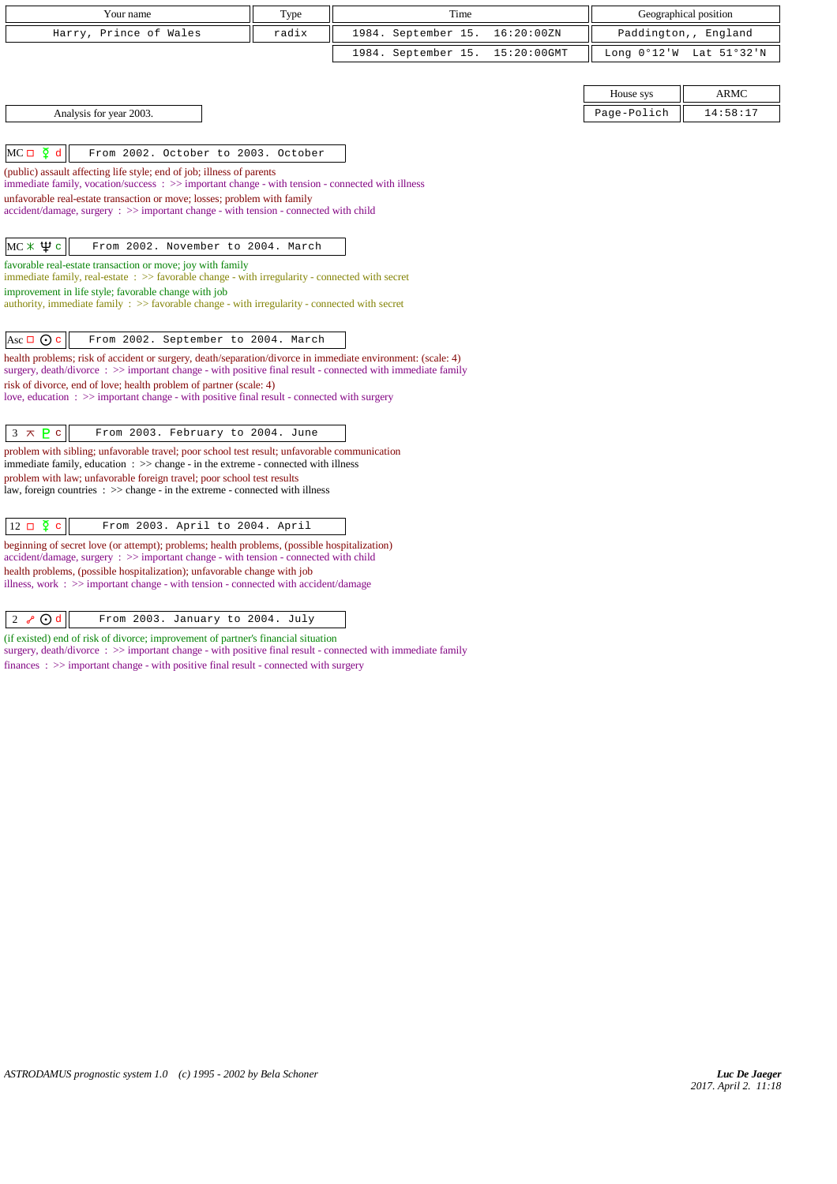| Your name                                                                                                                                                                                                                  | Type  | Time                | Geographical position |                       |                      |
|----------------------------------------------------------------------------------------------------------------------------------------------------------------------------------------------------------------------------|-------|---------------------|-----------------------|-----------------------|----------------------|
| Harry, Prince of Wales                                                                                                                                                                                                     | radix | 1984. September 15. | 16:20:00ZN            |                       | Paddington,, England |
|                                                                                                                                                                                                                            |       | 1984. September 15. | 15:20:00GMT           | Long $0^{\circ}12$ 'W | Lat 51°32'N          |
|                                                                                                                                                                                                                            |       |                     |                       |                       |                      |
|                                                                                                                                                                                                                            |       |                     |                       | House sys             | <b>ARMC</b>          |
| Analysis for year 2003.                                                                                                                                                                                                    |       |                     |                       | Page-Polich           | 14:58:17             |
|                                                                                                                                                                                                                            |       |                     |                       |                       |                      |
| $MC \Box \Phi d$<br>From 2002. October to 2003. October                                                                                                                                                                    |       |                     |                       |                       |                      |
| (public) assault affecting life style; end of job; illness of parents<br>immediate family, vocation/success: >> important change - with tension - connected with illness                                                   |       |                     |                       |                       |                      |
| unfavorable real-estate transaction or move; losses; problem with family                                                                                                                                                   |       |                     |                       |                       |                      |
| $accident/damage$ , surgery : $\gg$ important change - with tension - connected with child                                                                                                                                 |       |                     |                       |                       |                      |
| $MC \times \Psi c$<br>From 2002. November to 2004. March                                                                                                                                                                   |       |                     |                       |                       |                      |
| favorable real-estate transaction or move; joy with family                                                                                                                                                                 |       |                     |                       |                       |                      |
| immediate family, real-estate $\therefore$ >> favorable change - with irregularity - connected with secret                                                                                                                 |       |                     |                       |                       |                      |
| improvement in life style; favorable change with job<br>authority, immediate family : >> favorable change - with irregularity - connected with secret                                                                      |       |                     |                       |                       |                      |
|                                                                                                                                                                                                                            |       |                     |                       |                       |                      |
| Asc $\Box$ $\odot$ c<br>From 2002. September to 2004. March                                                                                                                                                                |       |                     |                       |                       |                      |
| health problems; risk of accident or surgery, death/separation/divorce in immediate environment: (scale: 4)<br>surgery, death/divorce : >> important change - with positive final result - connected with immediate family |       |                     |                       |                       |                      |
| risk of divorce, end of love; health problem of partner (scale: 4)<br>love, education: $\gg$ important change - with positive final result - connected with surgery                                                        |       |                     |                       |                       |                      |
|                                                                                                                                                                                                                            |       |                     |                       |                       |                      |
| $3 \times P$<br>From 2003. February to 2004. June                                                                                                                                                                          |       |                     |                       |                       |                      |
| problem with sibling; unfavorable travel; poor school test result; unfavorable communication<br>$immediate family, education : >> change - in the extreme - connected with illness$                                        |       |                     |                       |                       |                      |
| problem with law; unfavorable foreign travel; poor school test results<br>law, foreign countries $\Rightarrow$ >> change - in the extreme - connected with illness                                                         |       |                     |                       |                       |                      |
|                                                                                                                                                                                                                            |       |                     |                       |                       |                      |
| $12 \Box \Phi c$<br>From 2003. April to 2004. April                                                                                                                                                                        |       |                     |                       |                       |                      |
| beginning of secret love (or attempt); problems; health problems, (possible hospitalization)<br>accident/damage, surgery : >> important change - with tension - connected with child                                       |       |                     |                       |                       |                      |
| health problems, (possible hospitalization); unfavorable change with job<br>illness, work $\div$ $\Rightarrow$ important change - with tension - connected with accident/damage                                            |       |                     |                       |                       |                      |

 $\boxed{2 \sqrt[3]{\bigcirc {\bf d}}}$  From 2003. January to 2004. July

(if existed) end of risk of divorce; improvement of partner's financial situation

surgery, death/divorce :  $>$  important change - with positive final result - connected with immediate family

finances : >> important change - with positive final result - connected with surgery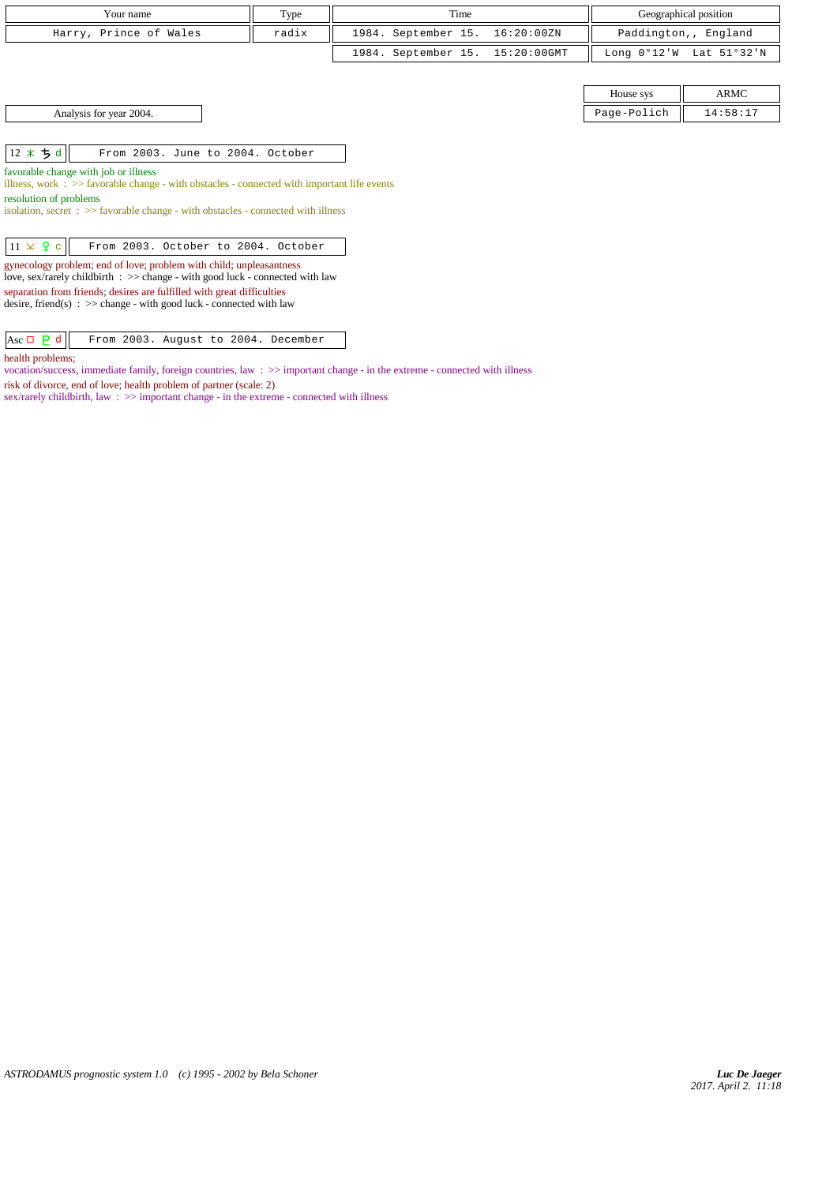| Your name                                                                                                                                                                                                                                                                                                                       | Type  | Time                |                |                       | Geographical position |
|---------------------------------------------------------------------------------------------------------------------------------------------------------------------------------------------------------------------------------------------------------------------------------------------------------------------------------|-------|---------------------|----------------|-----------------------|-----------------------|
| Harry, Prince of Wales                                                                                                                                                                                                                                                                                                          | radix | 1984. September 15. | 16:20:00ZN     |                       | Paddington,, England  |
|                                                                                                                                                                                                                                                                                                                                 |       | 1984. September 15. | $15:20:00$ GMT | Long $0^{\circ}12$ 'W | Lat 51°32'N           |
|                                                                                                                                                                                                                                                                                                                                 |       |                     |                |                       |                       |
|                                                                                                                                                                                                                                                                                                                                 |       |                     |                | House sys             | ARMC                  |
| Analysis for year 2004.                                                                                                                                                                                                                                                                                                         |       |                     |                | Page-Polich           | 14:58:17              |
|                                                                                                                                                                                                                                                                                                                                 |       |                     |                |                       |                       |
| 12 $*$ 5 d<br>From 2003. June to 2004. October                                                                                                                                                                                                                                                                                  |       |                     |                |                       |                       |
| favorable change with job or illness<br>illness, work $\Rightarrow$ > favorable change - with obstacles - connected with important life events                                                                                                                                                                                  |       |                     |                |                       |                       |
| resolution of problems<br>isolation, secret : >> favorable change - with obstacles - connected with illness                                                                                                                                                                                                                     |       |                     |                |                       |                       |
| $11 \times 9$ c<br>From 2003. October to 2004. October                                                                                                                                                                                                                                                                          |       |                     |                |                       |                       |
| gynecology problem; end of love; problem with child; unpleasantness<br>love, sex/rarely childbirth $\Rightarrow$ $\Rightarrow$ change - with good luck - connected with law<br>separation from friends; desires are fulfilled with great difficulties<br>desire, friend(s) : $\gg$ change - with good luck - connected with law |       |                     |                |                       |                       |

Asc d From 2003. August to 2004. December

health problems;

vocation/success, immediate family, foreign countries, law : >> important change - in the extreme - connected with illness

risk of divorce, end of love; health problem of partner (scale: 2) sex/rarely childbirth, law : >> important change - in the extreme - connected with illness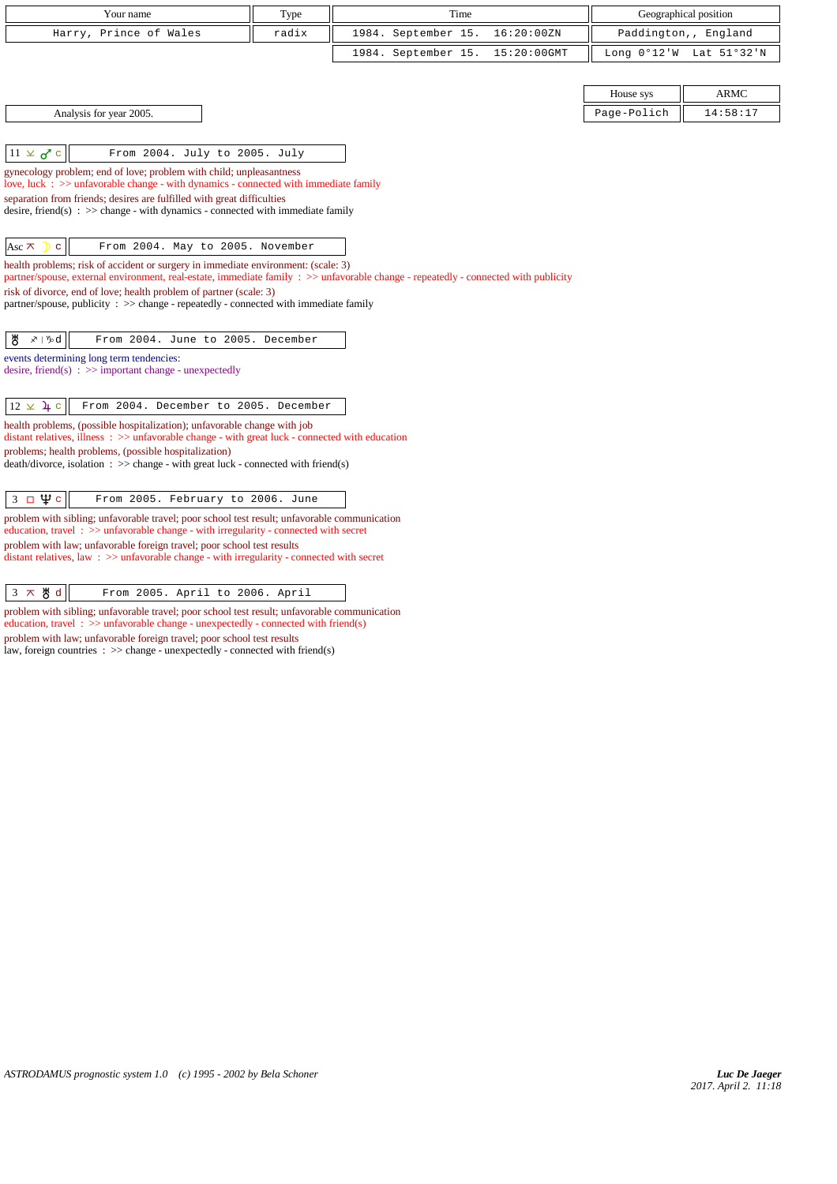| Your name                                                                                                                                                                                                                | Type  | Time                               |             | Geographical position   |
|--------------------------------------------------------------------------------------------------------------------------------------------------------------------------------------------------------------------------|-------|------------------------------------|-------------|-------------------------|
| Harry, Prince of Wales                                                                                                                                                                                                   | radix | 1984. September 15.<br>16:20:00ZN  |             | Paddington,, England    |
|                                                                                                                                                                                                                          |       | 1984. September 15.<br>15:20:00GMT |             | Long 0°12'W Lat 51°32'N |
|                                                                                                                                                                                                                          |       |                                    |             |                         |
|                                                                                                                                                                                                                          |       |                                    | House sys   | <b>ARMC</b>             |
| Analysis for year 2005.                                                                                                                                                                                                  |       |                                    | Page-Polich | 14:58:17                |
|                                                                                                                                                                                                                          |       |                                    |             |                         |
| $11 \times 0$ c<br>From 2004. July to 2005. July                                                                                                                                                                         |       |                                    |             |                         |
| gynecology problem; end of love; problem with child; unpleasantness<br>love, luck $\Rightarrow$ >> unfavorable change - with dynamics - connected with immediate family                                                  |       |                                    |             |                         |
| separation from friends; desires are fulfilled with great difficulties                                                                                                                                                   |       |                                    |             |                         |
| desire, friend(s) : $\gg$ change - with dynamics - connected with immediate family                                                                                                                                       |       |                                    |             |                         |
|                                                                                                                                                                                                                          |       |                                    |             |                         |
| From 2004. May to 2005. November<br>Asc $\pi$<br>$\mathbf{D}$ c                                                                                                                                                          |       |                                    |             |                         |
| health problems; risk of accident or surgery in immediate environment: (scale: 3)<br>partner/spouse, external environment, real-estate, immediate family : >> unfavorable change - repeatedly - connected with publicity |       |                                    |             |                         |
| risk of divorce, end of love; health problem of partner (scale: 3)                                                                                                                                                       |       |                                    |             |                         |
| partner/spouse, publicity : $\gg$ change - repeatedly - connected with immediate family                                                                                                                                  |       |                                    |             |                         |
| ზ<br>$x\mathord{\upharpoonright}\mathord{\mathcal{H}}$ d<br>From 2004. June to 2005. December                                                                                                                            |       |                                    |             |                         |
| events determining long term tendencies:                                                                                                                                                                                 |       |                                    |             |                         |
| desire, friend(s) : $\gg$ important change - unexpectedly                                                                                                                                                                |       |                                    |             |                         |
|                                                                                                                                                                                                                          |       |                                    |             |                         |
| $12 \times 4$ c<br>From 2004. December to 2005. December                                                                                                                                                                 |       |                                    |             |                         |
| health problems, (possible hospitalization); unfavorable change with job<br>distant relatives, illness $\Rightarrow$ > > unfavorable change - with great luck - connected with education                                 |       |                                    |             |                         |
| problems; health problems, (possible hospitalization)                                                                                                                                                                    |       |                                    |             |                         |
| $death/divorce, isolation : \gg change - with great luck - connected with friend(s)$                                                                                                                                     |       |                                    |             |                         |
| $3 \Box \Psi c$<br>From 2005. February to 2006. June                                                                                                                                                                     |       |                                    |             |                         |
| problem with sibling; unfavorable travel; poor school test result; unfavorable communication                                                                                                                             |       |                                    |             |                         |
| education, travel: >> unfavorable change - with irregularity - connected with secret<br>problem with law; unfavorable foreign travel; poor school test results                                                           |       |                                    |             |                         |

distant relatives, law : >> unfavorable change - with irregularity - connected with secret

 $3 \times 8 d$  From 2005. April to 2006. April

problem with sibling; unfavorable travel; poor school test result; unfavorable communication education, travel:  $\gg$  unfavorable change - unexpectedly - connected with friend(s) problem with law; unfavorable foreign travel; poor school test results law, foreign countries : >> change - unexpectedly - connected with friend(s)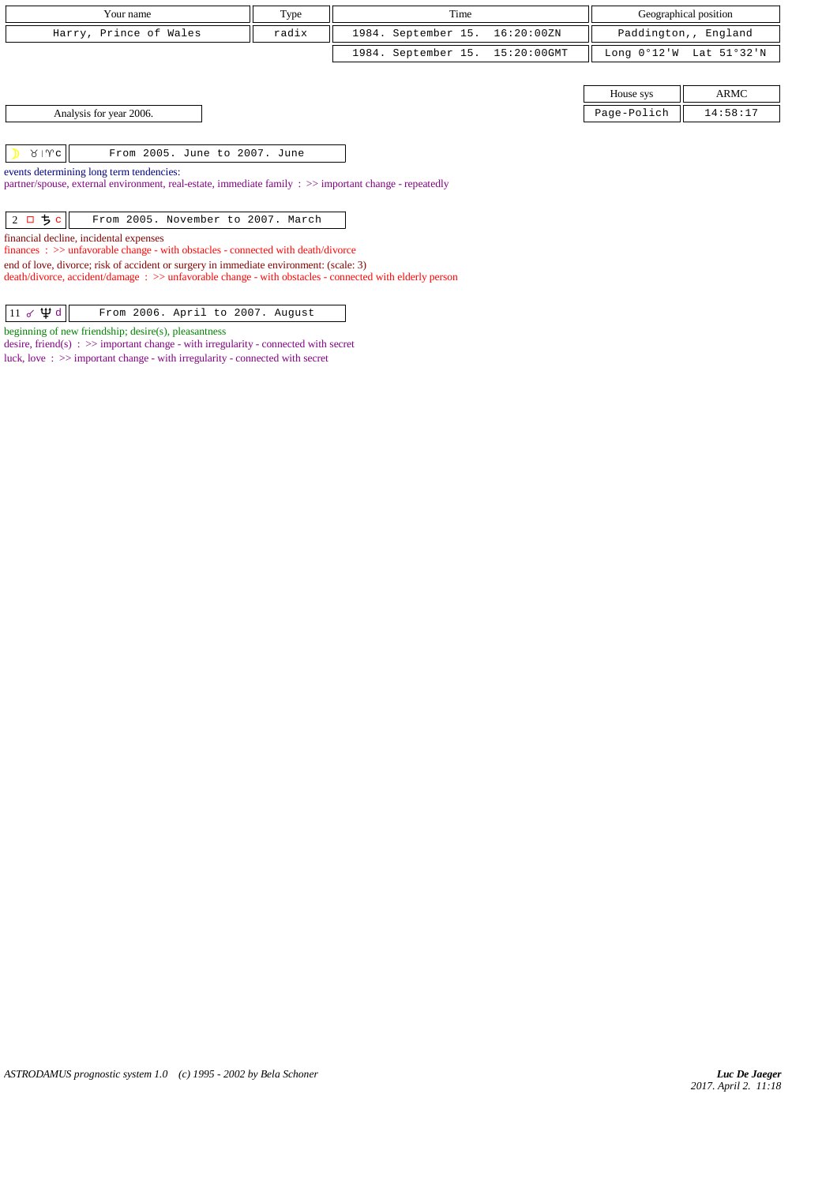| Your name                                                                                                                                                                                        | Type  | Time                |                |             | Geographical position |
|--------------------------------------------------------------------------------------------------------------------------------------------------------------------------------------------------|-------|---------------------|----------------|-------------|-----------------------|
| Harry, Prince of Wales                                                                                                                                                                           | radix | 1984. September 15. | 16:20:00ZN     |             | Paddington,, England  |
|                                                                                                                                                                                                  |       | 1984. September 15. | $15:20:00$ GMT | Long 0°12'W | Lat 51°32'N           |
|                                                                                                                                                                                                  |       |                     |                |             |                       |
|                                                                                                                                                                                                  |       |                     |                | House sys   | ARMC                  |
| Analysis for year 2006.                                                                                                                                                                          |       |                     |                | Page-Polich | 14:58:17              |
|                                                                                                                                                                                                  |       |                     |                |             |                       |
| $81$ Mc<br>From 2005. June to 2007. June                                                                                                                                                         |       |                     |                |             |                       |
| events determining long term tendencies:<br>partner/spouse, external environment, real-estate, immediate family : >> important change - repeatedly                                               |       |                     |                |             |                       |
|                                                                                                                                                                                                  |       |                     |                |             |                       |
| ちゃ<br>From 2005. November to 2007. March<br>$2\Box$                                                                                                                                              |       |                     |                |             |                       |
| financial decline, incidental expenses                                                                                                                                                           |       |                     |                |             |                       |
| $finances : \gg$ unfavorable change - with obstacles - connected with death/divorce                                                                                                              |       |                     |                |             |                       |
| end of love, divorce; risk of accident or surgery in immediate environment: (scale: 3)<br>death/divorce, accident/damage: >> unfavorable change - with obstacles - connected with elderly person |       |                     |                |             |                       |
|                                                                                                                                                                                                  |       |                     |                |             |                       |
| $11 \times \Psi d$<br>From 2006. April to 2007. August                                                                                                                                           |       |                     |                |             |                       |

beginning of new friendship; desire(s), pleasantness

desire, friend(s)  $\therefore$   $\gg$  important change - with irregularity - connected with secret luck, love : >> important change - with irregularity - connected with secret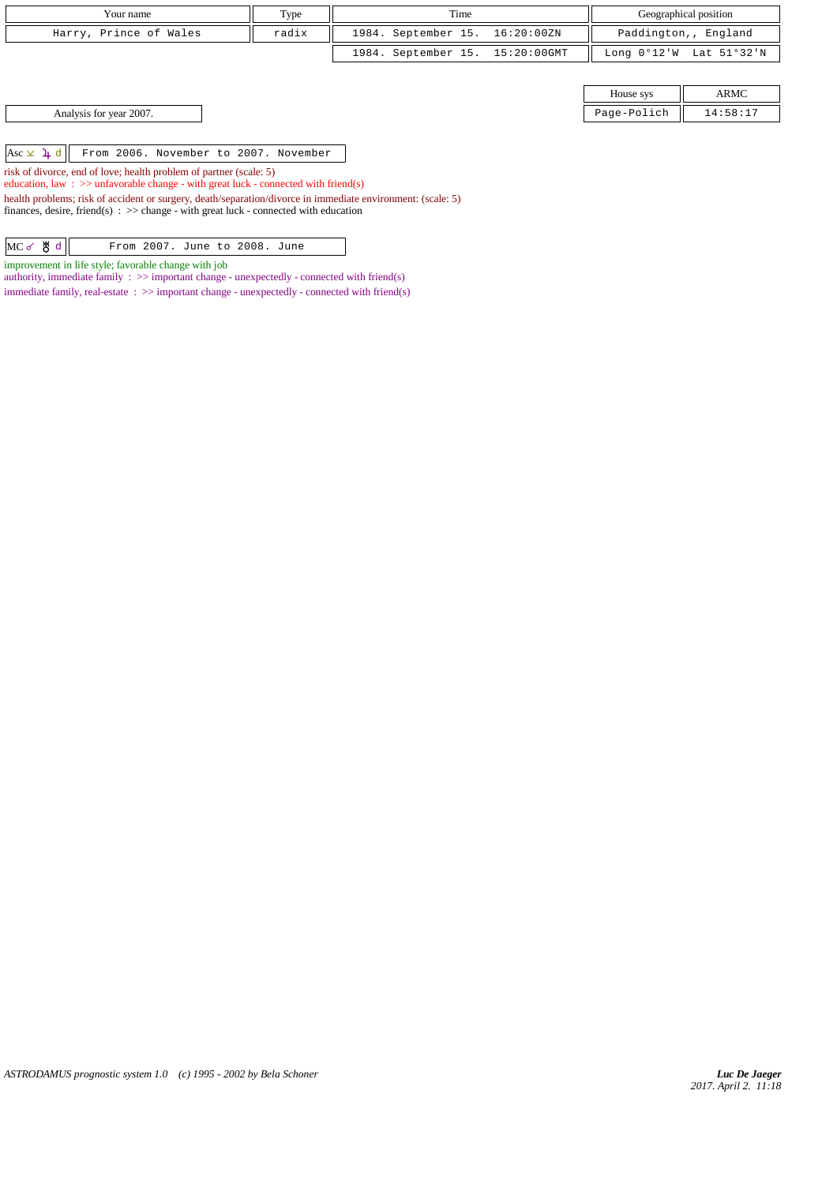| Your name              | Type  | Time                            |           | Geographical position                     |
|------------------------|-------|---------------------------------|-----------|-------------------------------------------|
| Harry, Prince of Wales | radix | 1984. September 15. 16:20:00ZN  |           | Paddington,, England                      |
|                        |       | 1984. September 15. 15:20:00GMT |           | Long $0^{\circ}12'W$ Lat $51^{\circ}32'M$ |
|                        |       |                                 |           |                                           |
|                        |       |                                 | House sys | ARMC                                      |

| $1.10$ and $0.10$ | . |
|-------------------|---|
| ⊇olich<br>- - - - |   |

Asc d From 2006. November to 2007. November

risk of divorce, end of love; health problem of partner (scale: 5)

Analysis for year 2007.

education, law : >> unfavorable change - with great luck - connected with friend(s)

health problems; risk of accident or surgery, death/separation/divorce in immediate environment: (scale: 5) finances, desire, friend(s)  $\Rightarrow$  >  $\Rightarrow$  change - with great luck - connected with education

MC of  $d$  From 2007. June to 2008. June

improvement in life style; favorable change with job

authority, immediate family  $\therefore$   $\gg$  important change - unexpectedly - connected with friend(s) immediate family, real-estate :  $\gg$  important change - unexpectedly - connected with friend(s)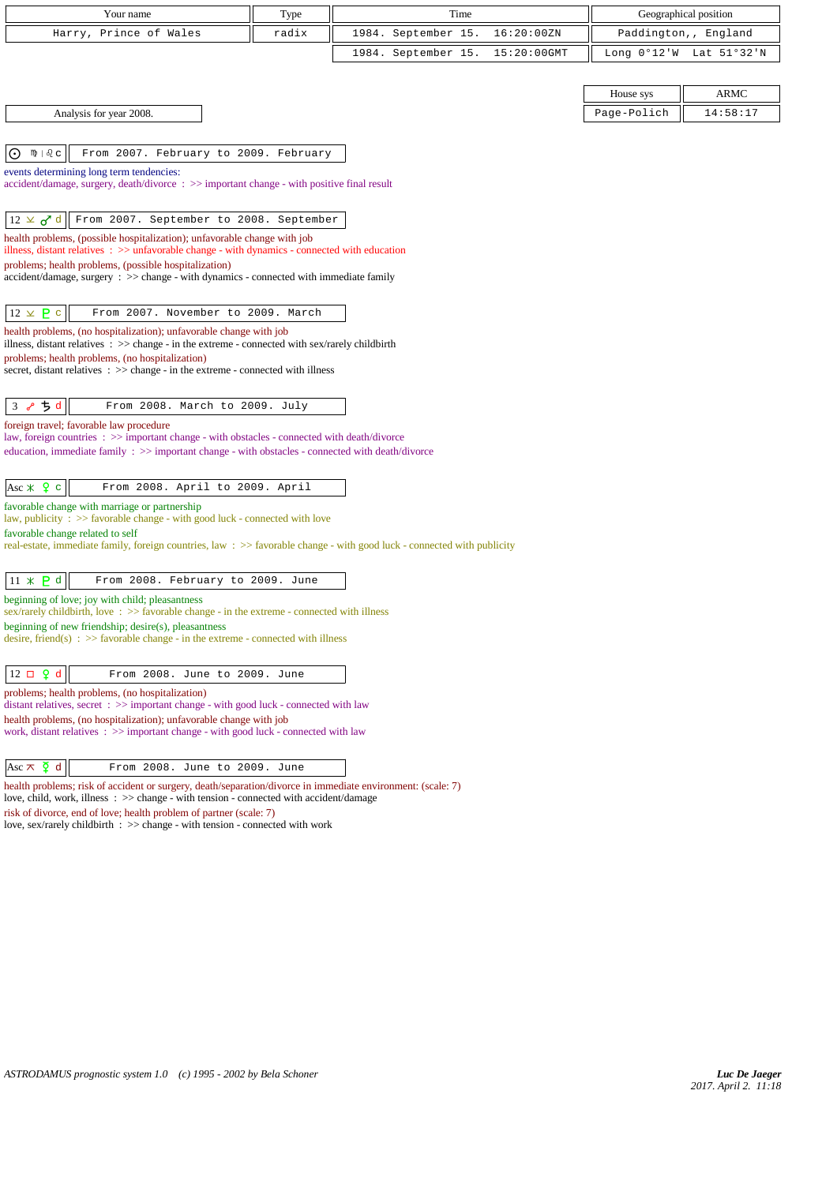| Your name                                                                                                                                                                                                                         | Type  | Time                                 | Geographical position    |
|-----------------------------------------------------------------------------------------------------------------------------------------------------------------------------------------------------------------------------------|-------|--------------------------------------|--------------------------|
| Harry, Prince of Wales                                                                                                                                                                                                            | radix | September 15.<br>16:20:00ZN<br>1984. | Paddington,, England     |
|                                                                                                                                                                                                                                   |       | 1984. September 15.<br>15:20:00GMT   | Long 0°12'W Lat 51°32'N  |
|                                                                                                                                                                                                                                   |       |                                      |                          |
|                                                                                                                                                                                                                                   |       |                                      | <b>ARMC</b><br>House sys |
| Analysis for year 2008.                                                                                                                                                                                                           |       |                                      | Page-Polich<br>14:58:17  |
|                                                                                                                                                                                                                                   |       |                                      |                          |
| $\odot$<br>From 2007. February to 2009. February<br>ிழி ∣& ⊂                                                                                                                                                                      |       |                                      |                          |
| events determining long term tendencies:<br>accident/damage, surgery, death/divorce: >> important change - with positive final result                                                                                             |       |                                      |                          |
| $12 \times d$ d<br>From 2007. September to 2008. September                                                                                                                                                                        |       |                                      |                          |
| health problems, (possible hospitalization); unfavorable change with job<br>illness, distant relatives $\therefore$ > unfavorable change - with dynamics - connected with education                                               |       |                                      |                          |
| problems; health problems, (possible hospitalization)<br>accident/damage, surgery : >> change - with dynamics - connected with immediate family                                                                                   |       |                                      |                          |
| $12 \times P$ c<br>From 2007. November to 2009. March                                                                                                                                                                             |       |                                      |                          |
| health problems, (no hospitalization); unfavorable change with job<br>illness, distant relatives $\therefore$ > change - in the extreme - connected with sex/rarely childbirth<br>problems; health problems, (no hospitalization) |       |                                      |                          |
| secret, distant relatives : >> change - in the extreme - connected with illness                                                                                                                                                   |       |                                      |                          |
| ちゅ<br>3 <sub>o</sub><br>From 2008. March to 2009. July                                                                                                                                                                            |       |                                      |                          |
| foreign travel; favorable law procedure                                                                                                                                                                                           |       |                                      |                          |
| law, foreign countries : >> important change - with obstacles - connected with death/divorce<br>education, immediate family : >> important change - with obstacles - connected with death/divorce                                 |       |                                      |                          |
| Asc $\angle$ $\angle$ Q c<br>From 2008. April to 2009. April                                                                                                                                                                      |       |                                      |                          |
| favorable change with marriage or partnership<br>law, publicity $\Rightarrow$ favorable change - with good luck - connected with love                                                                                             |       |                                      |                          |
| favorable change related to self<br>real-estate, immediate family, foreign countries, law: >> favorable change - with good luck - connected with publicity                                                                        |       |                                      |                          |
| $11 \times P d$<br>From 2008. February to 2009. June                                                                                                                                                                              |       |                                      |                          |
| beginning of love; joy with child; pleasantness<br>sex/rarely childbirth, love: $\gg$ favorable change - in the extreme - connected with illness                                                                                  |       |                                      |                          |
| beginning of new friendship; desire(s), pleasantness<br>desire, friend(s) : $\gg$ favorable change - in the extreme - connected with illness                                                                                      |       |                                      |                          |
| $12 \Box$ $9d$<br>From 2008. June to 2009. June                                                                                                                                                                                   |       |                                      |                          |
| problems; health problems, (no hospitalization)<br>distant relatives, secret : >> important change - with good luck - connected with law                                                                                          |       |                                      |                          |
| health problems, (no hospitalization); unfavorable change with job<br>work, distant relatives $\therefore$ > important change - with good luck - connected with law                                                               |       |                                      |                          |
| Asc $\overline{\mathsf{A}}$ d<br>From 2008. June to 2009. June                                                                                                                                                                    |       |                                      |                          |

health problems; risk of accident or surgery, death/separation/divorce in immediate environment: (scale: 7)

love, child, work, illness : >> change - with tension - connected with accident/damage

risk of divorce, end of love; health problem of partner (scale: 7)

love, sex/rarely childbirth : >> change - with tension - connected with work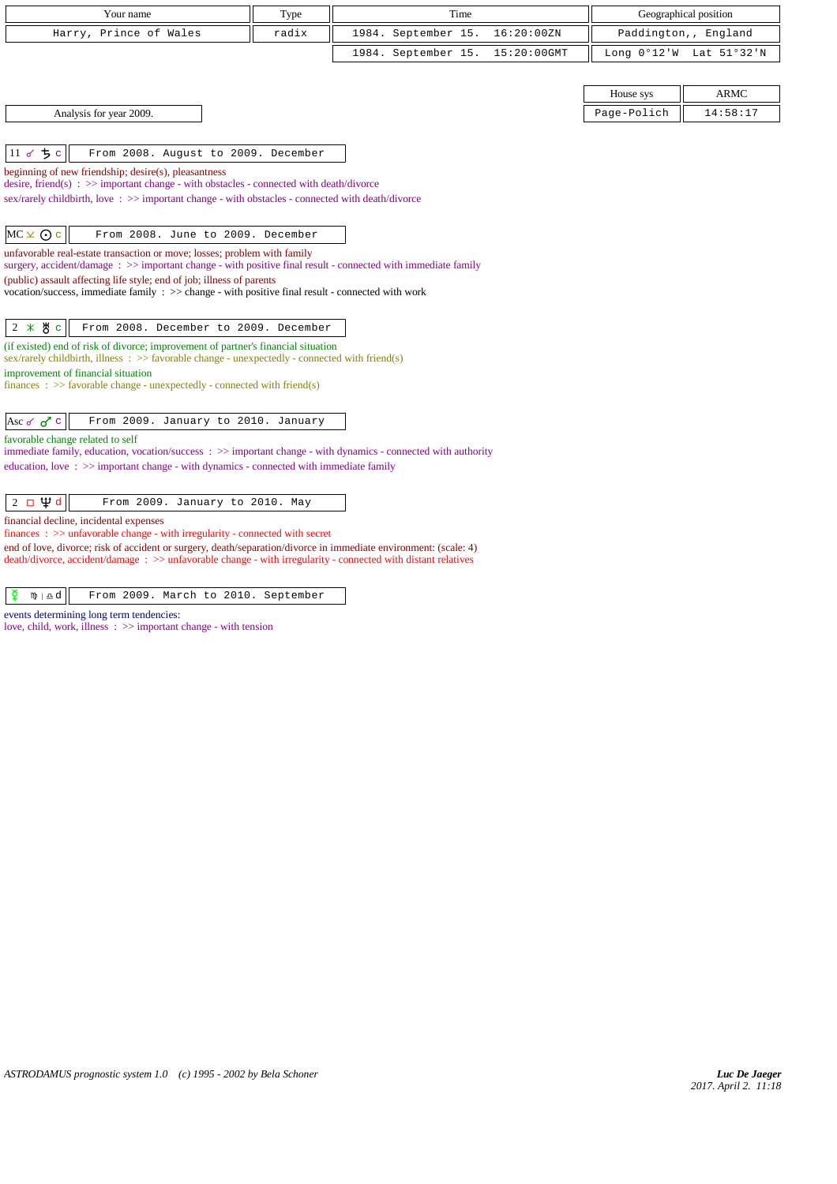| Your name                                                                                                                                                                                                                                                                                                                                                                                                         | Type  | Time                               |             | Geographical position   |
|-------------------------------------------------------------------------------------------------------------------------------------------------------------------------------------------------------------------------------------------------------------------------------------------------------------------------------------------------------------------------------------------------------------------|-------|------------------------------------|-------------|-------------------------|
| Harry, Prince of Wales                                                                                                                                                                                                                                                                                                                                                                                            | radix | 1984. September 15.<br>16:20:00ZN  |             | Paddington,, England    |
|                                                                                                                                                                                                                                                                                                                                                                                                                   |       | 1984. September 15.<br>15:20:00GMT |             | Long 0°12'W Lat 51°32'N |
|                                                                                                                                                                                                                                                                                                                                                                                                                   |       |                                    |             |                         |
|                                                                                                                                                                                                                                                                                                                                                                                                                   |       |                                    | House sys   | <b>ARMC</b>             |
| Analysis for year 2009.                                                                                                                                                                                                                                                                                                                                                                                           |       |                                    | Page-Polich | 14:58:17                |
|                                                                                                                                                                                                                                                                                                                                                                                                                   |       |                                    |             |                         |
| $11$ of $5c$<br>From 2008. August to 2009. December                                                                                                                                                                                                                                                                                                                                                               |       |                                    |             |                         |
| beginning of new friendship; desire(s), pleasantness<br>desire, friend(s) : $\gg$ important change - with obstacles - connected with death/divorce                                                                                                                                                                                                                                                                |       |                                    |             |                         |
| sex/rarely childbirth, love: >> important change - with obstacles - connected with death/divorce                                                                                                                                                                                                                                                                                                                  |       |                                    |             |                         |
|                                                                                                                                                                                                                                                                                                                                                                                                                   |       |                                    |             |                         |
| $MC \times Q$ c<br>From 2008. June to 2009. December                                                                                                                                                                                                                                                                                                                                                              |       |                                    |             |                         |
| unfavorable real-estate transaction or move; losses; problem with family<br>surgery, accident/damage : $\gg$ important change - with positive final result - connected with immediate family                                                                                                                                                                                                                      |       |                                    |             |                         |
| (public) assault affecting life style; end of job; illness of parents                                                                                                                                                                                                                                                                                                                                             |       |                                    |             |                         |
| vocation/success, immediate family : >> change - with positive final result - connected with work                                                                                                                                                                                                                                                                                                                 |       |                                    |             |                         |
|                                                                                                                                                                                                                                                                                                                                                                                                                   |       |                                    |             |                         |
| $2 * 8c$<br>From 2008. December to 2009. December                                                                                                                                                                                                                                                                                                                                                                 |       |                                    |             |                         |
| (if existed) end of risk of divorce; improvement of partner's financial situation<br>sex/rarely childbirth, illness $\therefore$ >> favorable change - unexpectedly - connected with friend(s)                                                                                                                                                                                                                    |       |                                    |             |                         |
| improvement of financial situation                                                                                                                                                                                                                                                                                                                                                                                |       |                                    |             |                         |
| finances : $\gg$ favorable change - unexpectedly - connected with friend(s)                                                                                                                                                                                                                                                                                                                                       |       |                                    |             |                         |
| Asc of $\sigma$ <sup>7</sup> $\circ$<br>From 2009. January to 2010. January                                                                                                                                                                                                                                                                                                                                       |       |                                    |             |                         |
| favorable change related to self                                                                                                                                                                                                                                                                                                                                                                                  |       |                                    |             |                         |
| immediate family, education, vocation/success: >> important change - with dynamics - connected with authority                                                                                                                                                                                                                                                                                                     |       |                                    |             |                         |
| education, love: $\gg$ important change - with dynamics - connected with immediate family                                                                                                                                                                                                                                                                                                                         |       |                                    |             |                         |
|                                                                                                                                                                                                                                                                                                                                                                                                                   |       |                                    |             |                         |
|                                                                                                                                                                                                                                                                                                                                                                                                                   |       |                                    |             |                         |
| finances : >> unfavorable change - with irregularity - connected with secret                                                                                                                                                                                                                                                                                                                                      |       |                                    |             |                         |
| $2 \Box \Psi d$<br>From 2009. January to 2010. May<br>financial decline, incidental expenses<br>the contract of the contract of the contract of the contract of the contract of<br>the common contract of the common contract of the common contract of the common common common common common common common common common common common common common common common common common common common common common co |       |                                    |             |                         |

end of love, divorce; risk of accident or surgery, death/separation/divorce in immediate environment: (scale: 4) death/divorce, accident/damage : >> unfavorable change - with irregularity - connected with distant relatives

 $\boxed{\n\phi \quad \mathfrak{m} \mid \mathfrak{a}d}$  From 2009. March to 2010. September

events determining long term tendencies:

love, child, work, illness : >> important change - with tension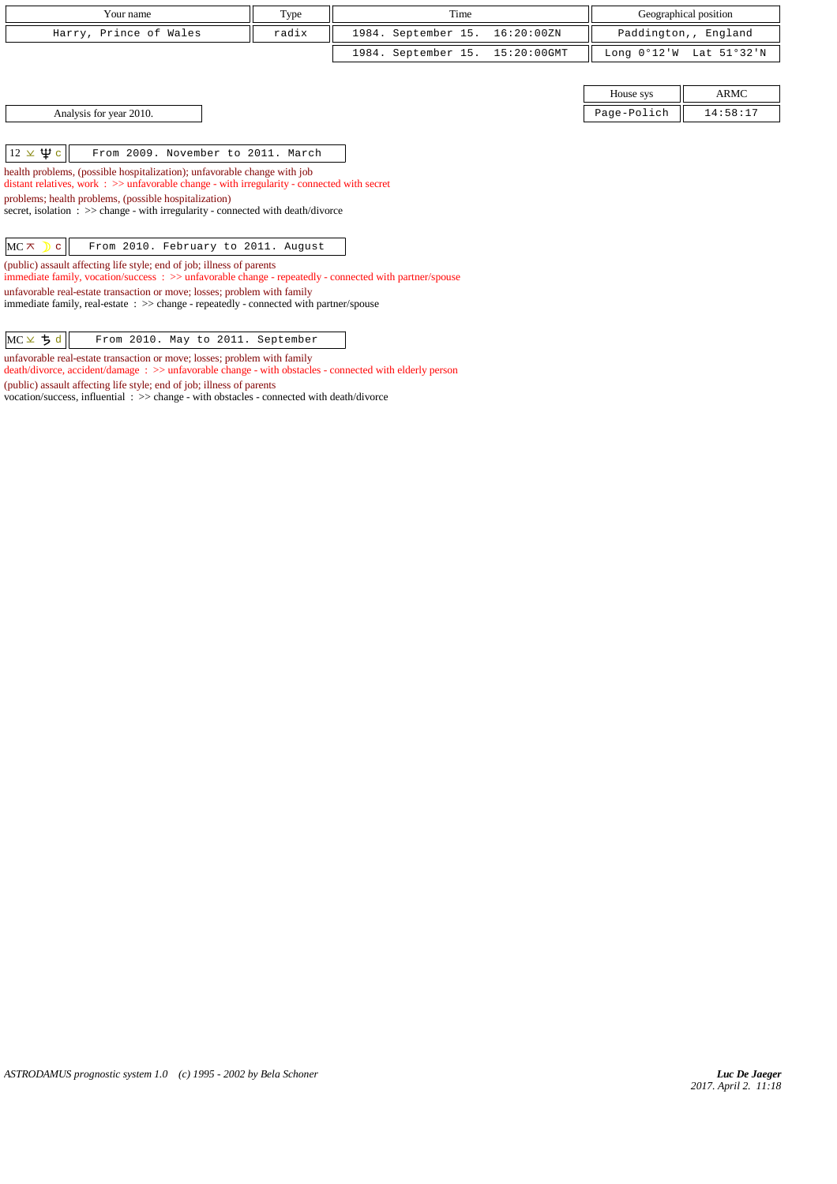| Your name                                                                | Type  | Time                            |            |             | Geographical position   |
|--------------------------------------------------------------------------|-------|---------------------------------|------------|-------------|-------------------------|
| Harry, Prince of Wales                                                   | radix | 1984. September 15.             | 16:20:00ZN |             | Paddington,, England    |
|                                                                          |       | 1984. September 15. 15:20:00GMT |            |             | Long 0°12'W Lat 51°32'N |
|                                                                          |       |                                 |            |             |                         |
|                                                                          |       |                                 |            | House sys   | ARMC                    |
| Analysis for year 2010.                                                  |       |                                 |            | Page-Polich | 14:58:17                |
|                                                                          |       |                                 |            |             |                         |
| $12 \times \Psi$ c<br>From 2009. November to 2011. March                 |       |                                 |            |             |                         |
| health problems, (possible hospitalization); unfavorable change with job |       |                                 |            |             |                         |

*ASTRODAMUS prognostic system 1.0 (c) 1995 - 2002 by Bela Schoner*

distant relatives, work : >> unfavorable change - with irregularity - connected with secret

immediate family, real-estate : >> change - repeatedly - connected with partner/spouse

vocation/success, influential : >> change - with obstacles - connected with death/divorce

immediate family, vocation/success : >> unfavorable change - repeatedly - connected with partner/spouse

death/divorce, accident/damage : >> unfavorable change - with obstacles - connected with elderly person

secret, isolation : >> change - with irregularity - connected with death/divorce

 $MC \times$   $|c|$  From 2010. February to 2011. August

unfavorable real-estate transaction or move; losses; problem with family

 $MC \times 5d$  From 2010. May to 2011. September unfavorable real-estate transaction or move; losses; problem with family

(public) assault affecting life style; end of job; illness of parents

(public) assault affecting life style; end of job; illness of parents

problems; health problems, (possible hospitalization)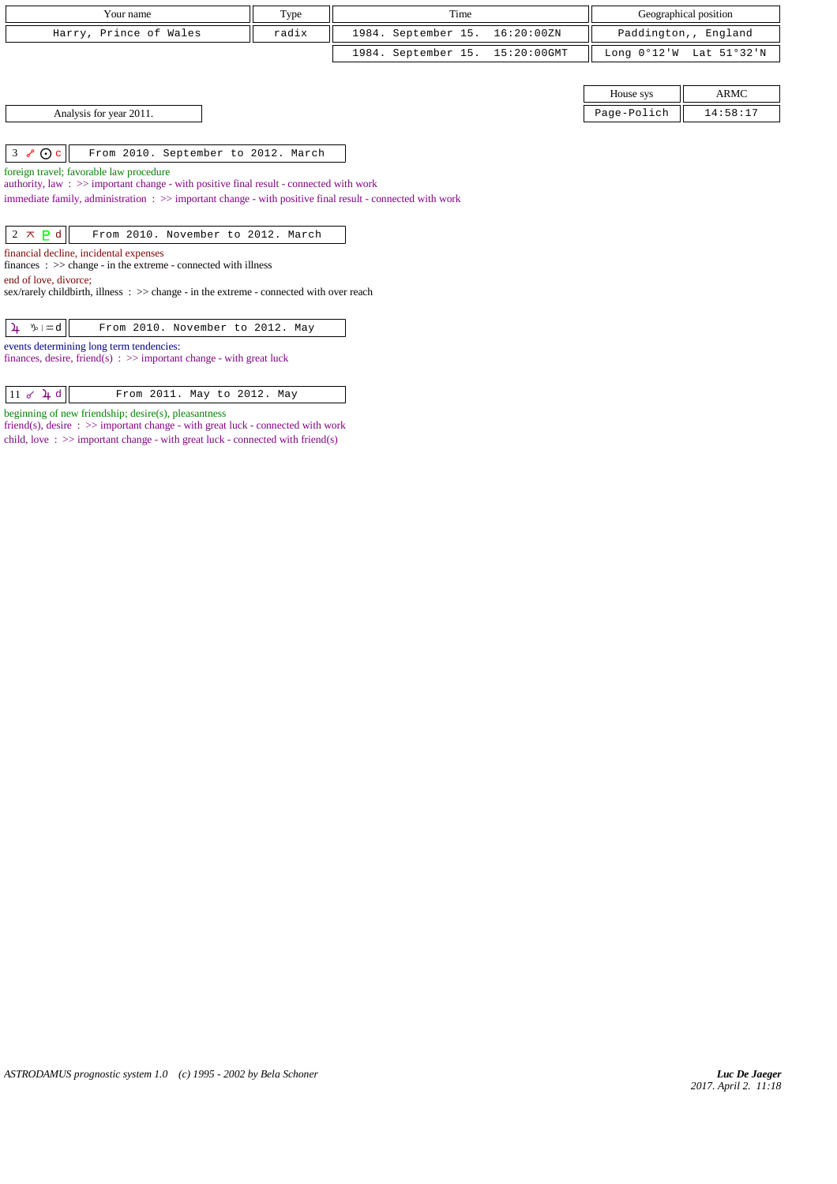| Your name                                                                                                                                                                                                      | Type  | Time                               |             | Geographical position   |  |
|----------------------------------------------------------------------------------------------------------------------------------------------------------------------------------------------------------------|-------|------------------------------------|-------------|-------------------------|--|
| Harry, Prince of Wales                                                                                                                                                                                         | radix | 1984. September 15.<br>16:20:00ZN  |             | Paddington,, England    |  |
|                                                                                                                                                                                                                |       | 1984. September 15.<br>15:20:00GMT |             | Long 0°12'W Lat 51°32'N |  |
|                                                                                                                                                                                                                |       |                                    |             |                         |  |
|                                                                                                                                                                                                                |       |                                    | House sys   | <b>ARMC</b>             |  |
| Analysis for year 2011.                                                                                                                                                                                        |       |                                    | Page-Polich | 14:58:17                |  |
|                                                                                                                                                                                                                |       |                                    |             |                         |  |
| $3 \times 0c$<br>From 2010. September to 2012. March                                                                                                                                                           |       |                                    |             |                         |  |
| foreign travel; favorable law procedure                                                                                                                                                                        |       |                                    |             |                         |  |
| authority, law: >> important change - with positive final result - connected with work<br>immediate family, administration $\Rightarrow$ > important change - with positive final result - connected with work |       |                                    |             |                         |  |
|                                                                                                                                                                                                                |       |                                    |             |                         |  |
| $2 \times P d$<br>From 2010. November to 2012. March                                                                                                                                                           |       |                                    |             |                         |  |
| financial decline, incidental expenses                                                                                                                                                                         |       |                                    |             |                         |  |
| $finances : \gg change - in the extreme - connected with illness$                                                                                                                                              |       |                                    |             |                         |  |
| end of love, divorce;                                                                                                                                                                                          |       |                                    |             |                         |  |
| sex/rarely childbirth, illness $\therefore$ $\Rightarrow$ change - in the extreme - connected with over reach                                                                                                  |       |                                    |             |                         |  |
|                                                                                                                                                                                                                |       |                                    |             |                         |  |
| From 2010. November to 2012. May<br>$\n  y$ and<br>4                                                                                                                                                           |       |                                    |             |                         |  |

events determining long term tendencies:

beginning of new friendship; desire(s), pleasantness

finances, desire, friend(s) : >> important change - with great luck

 $\boxed{11 \text{ d } \downarrow d}$  From 2011. May to 2012. May

friend(s), desire : >> important change - with great luck - connected with work child, love : >> important change - with great luck - connected with friend(s)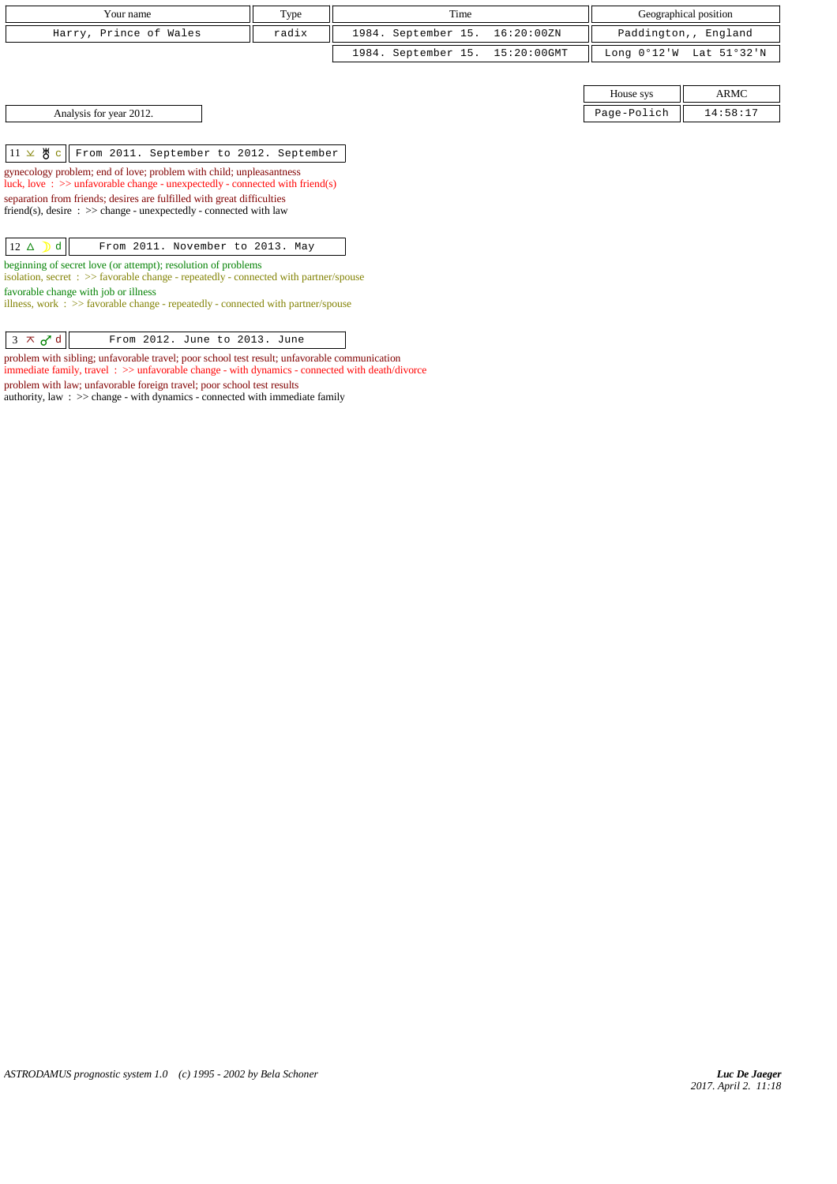| Your name              | Type  | Time                            | Geographical position                     |
|------------------------|-------|---------------------------------|-------------------------------------------|
| Harry, Prince of Wales | radix | 1984. September 15. 16:20:00ZN  | Paddington,, England                      |
|                        |       | 1984. September 15. 15:20:00GMT | Long $0^{\circ}12'W$ Lat $51^{\circ}32'W$ |

House sys ARMC Analysis for year 2012. 2012. Page-Polich 14:58:17

 $11 \times$   $\frac{1}{2}$  c From 2011. September to 2012. September

gynecology problem; end of love; problem with child; unpleasantness luck, love : >> unfavorable change - unexpectedly - connected with friend(s) separation from friends; desires are fulfilled with great difficulties  $friend(s)$ , desire  $\Rightarrow$  > change - unexpectedly - connected with law

| $ 12 \triangle$ d |
|-------------------|
|-------------------|

beginning of secret love (or attempt); resolution of problems

isolation, secret : >> favorable change - repeatedly - connected with partner/spouse favorable change with job or illness

illness, work :  $\gg$  favorable change - repeatedly - connected with partner/spouse

 $\begin{array}{|c|c|c|c|c|}\n\hline\n3 & \times & \mathbf{d} & \mathbf{From} & 2012. \text{ June to } 2013. \text{ June} \end{array}$ 

problem with sibling; unfavorable travel; poor school test result; unfavorable communication immediate family, travel : >> unfavorable change - with dynamics - connected with death/divorce problem with law; unfavorable foreign travel; poor school test results

authority, law : >> change - with dynamics - connected with immediate family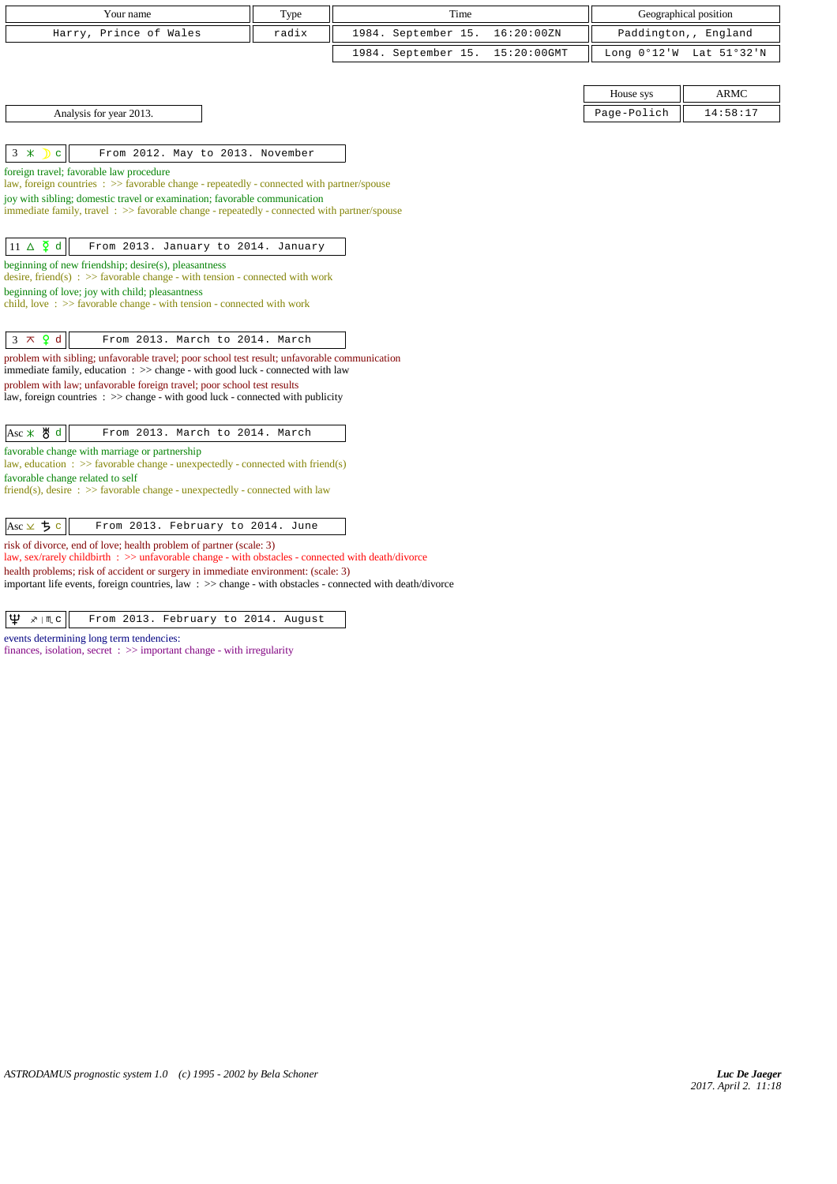| Your name                                                                                                                                                                     | Type  | Time                |             |                       |             |
|-------------------------------------------------------------------------------------------------------------------------------------------------------------------------------|-------|---------------------|-------------|-----------------------|-------------|
|                                                                                                                                                                               |       |                     |             | Geographical position |             |
| Harry, Prince of Wales                                                                                                                                                        | radix | 1984. September 15. | 16:20:00ZN  | Paddington,, England  |             |
|                                                                                                                                                                               |       | 1984. September 15. | 15:20:00GMT | Long $0°12'W$         | Lat 51°32'N |
|                                                                                                                                                                               |       |                     |             |                       |             |
|                                                                                                                                                                               |       |                     |             | House sys             | <b>ARMC</b> |
| Analysis for year 2013.                                                                                                                                                       |       |                     |             | Page-Polich           | 14:58:17    |
|                                                                                                                                                                               |       |                     |             |                       |             |
| $3 *$<br>From 2012. May to 2013. November<br>C.                                                                                                                               |       |                     |             |                       |             |
| foreign travel; favorable law procedure<br>law, foreign countries : >> favorable change - repeatedly - connected with partner/spouse                                          |       |                     |             |                       |             |
| joy with sibling; domestic travel or examination; favorable communication                                                                                                     |       |                     |             |                       |             |
| immediate family, travel : >> favorable change - repeatedly - connected with partner/spouse                                                                                   |       |                     |             |                       |             |
|                                                                                                                                                                               |       |                     |             |                       |             |
| $11 \Delta \xi d$<br>From 2013. January to 2014. January                                                                                                                      |       |                     |             |                       |             |
| beginning of new friendship; desire(s), pleasantness<br>desire, friend(s) : $\gg$ favorable change - with tension - connected with work                                       |       |                     |             |                       |             |
| beginning of love; joy with child; pleasantness<br>child, love: $\gg$ favorable change - with tension - connected with work                                                   |       |                     |             |                       |             |
|                                                                                                                                                                               |       |                     |             |                       |             |
| $3 \times 9$ d<br>From 2013. March to 2014. March                                                                                                                             |       |                     |             |                       |             |
| problem with sibling; unfavorable travel; poor school test result; unfavorable communication<br>immediate family, education : >> change - with good luck - connected with law |       |                     |             |                       |             |
| problem with law; unfavorable foreign travel; poor school test results                                                                                                        |       |                     |             |                       |             |
| law, foreign countries $\Rightarrow$ > change - with good luck - connected with publicity                                                                                     |       |                     |             |                       |             |
|                                                                                                                                                                               |       |                     |             |                       |             |
| Asc * 5 d<br>From 2013. March to 2014. March                                                                                                                                  |       |                     |             |                       |             |
| favorable change with marriage or partnership<br>law, education : $\gg$ favorable change - unexpectedly - connected with friend(s)                                            |       |                     |             |                       |             |
| favorable change related to self                                                                                                                                              |       |                     |             |                       |             |
| friend(s), desire $\Rightarrow$ S favorable change - unexpectedly - connected with law                                                                                        |       |                     |             |                       |             |
|                                                                                                                                                                               |       |                     |             |                       |             |
| Asc $\times$ 5 c<br>From 2013. February to 2014. June                                                                                                                         |       |                     |             |                       |             |
| risk of divorce, end of love; health problem of partner (scale: 3)<br>law, sex/rarely childbirth : >> unfavorable change - with obstacles - connected with death/divorce      |       |                     |             |                       |             |

health problems; risk of accident or surgery in immediate environment: (scale: 3)

important life events, foreign countries, law : >> change - with obstacles - connected with death/divorce

 $|\Psi \times \mathbb{R} \times \mathbb{R}|$  From 2013. February to 2014. August

events determining long term tendencies: finances, isolation, secret : >> important change - with irregularity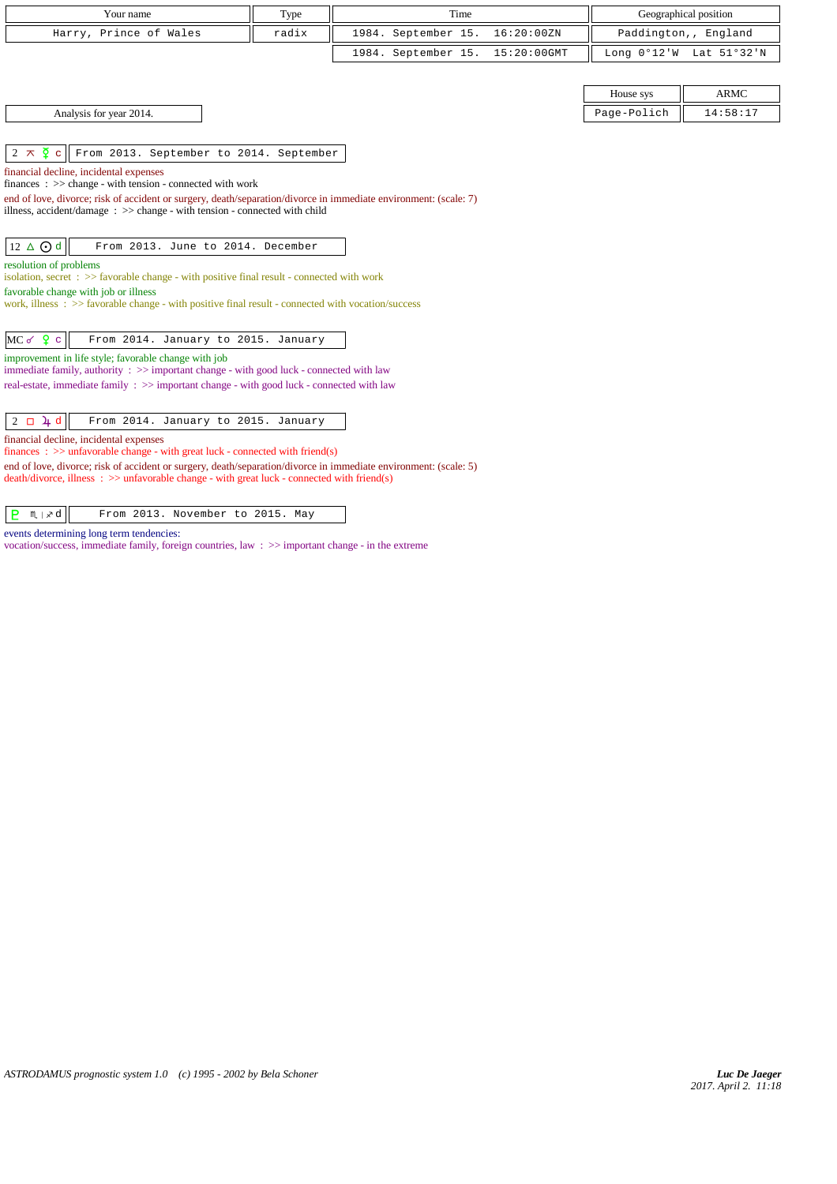| Your name                                                                                                                                                                                                         | Type  | Time                |                |             | Geographical position   |  |  |
|-------------------------------------------------------------------------------------------------------------------------------------------------------------------------------------------------------------------|-------|---------------------|----------------|-------------|-------------------------|--|--|
|                                                                                                                                                                                                                   |       |                     |                |             |                         |  |  |
| Harry, Prince of Wales                                                                                                                                                                                            | radix | 1984. September 15. | 16:20:00ZN     |             | Paddington,, England    |  |  |
|                                                                                                                                                                                                                   |       | 1984. September 15. | $15:20:00$ GMT |             | Long 0°12'W Lat 51°32'N |  |  |
|                                                                                                                                                                                                                   |       |                     |                |             |                         |  |  |
|                                                                                                                                                                                                                   |       |                     |                | House sys   | <b>ARMC</b>             |  |  |
| Analysis for year 2014.                                                                                                                                                                                           |       |                     |                | Page-Polich | 14:58:17                |  |  |
|                                                                                                                                                                                                                   |       |                     |                |             |                         |  |  |
| $2 \times \overline{2}$ c<br>From 2013. September to 2014. September                                                                                                                                              |       |                     |                |             |                         |  |  |
| financial decline, incidental expenses                                                                                                                                                                            |       |                     |                |             |                         |  |  |
| finances : $\gg$ change - with tension - connected with work                                                                                                                                                      |       |                     |                |             |                         |  |  |
| end of love, divorce; risk of accident or surgery, death/separation/divorce in immediate environment: (scale: 7)                                                                                                  |       |                     |                |             |                         |  |  |
| illness, accident/damage $\Rightarrow$ > change - with tension - connected with child                                                                                                                             |       |                     |                |             |                         |  |  |
| 12 ∆ ⊙ d<br>From 2013. June to 2014. December                                                                                                                                                                     |       |                     |                |             |                         |  |  |
|                                                                                                                                                                                                                   |       |                     |                |             |                         |  |  |
| resolution of problems<br>isolation, secret $\Rightarrow$ Savorable change - with positive final result - connected with work                                                                                     |       |                     |                |             |                         |  |  |
| favorable change with job or illness                                                                                                                                                                              |       |                     |                |             |                         |  |  |
| work, illness : $\gg$ favorable change - with positive final result - connected with vocation/success                                                                                                             |       |                     |                |             |                         |  |  |
|                                                                                                                                                                                                                   |       |                     |                |             |                         |  |  |
| $MC$ of $Q$ c<br>From 2014. January to 2015. January                                                                                                                                                              |       |                     |                |             |                         |  |  |
| improvement in life style; favorable change with job                                                                                                                                                              |       |                     |                |             |                         |  |  |
| immediate family, authority $\Rightarrow$ > important change - with good luck - connected with law                                                                                                                |       |                     |                |             |                         |  |  |
| real-estate, immediate family : >> important change - with good luck - connected with law                                                                                                                         |       |                     |                |             |                         |  |  |
|                                                                                                                                                                                                                   |       |                     |                |             |                         |  |  |
| $2 \Box 4 d$<br>From 2014. January to 2015. January                                                                                                                                                               |       |                     |                |             |                         |  |  |
| financial decline, incidental expenses                                                                                                                                                                            |       |                     |                |             |                         |  |  |
| finances : $\gg$ unfavorable change - with great luck - connected with friend(s)                                                                                                                                  |       |                     |                |             |                         |  |  |
| end of love, divorce; risk of accident or surgery, death/separation/divorce in immediate environment: (scale: 5)<br>$death/divorce, illness : >> unfavorable change - with great luck - connected with friend(s)$ |       |                     |                |             |                         |  |  |
|                                                                                                                                                                                                                   |       |                     |                |             |                         |  |  |
| P.<br>M ∣ ∡ d<br>From 2013. November to 2015. May                                                                                                                                                                 |       |                     |                |             |                         |  |  |
|                                                                                                                                                                                                                   |       |                     |                |             |                         |  |  |

events determining long term tendencies:

vocation/success, immediate family, foreign countries, law : >> important change - in the extreme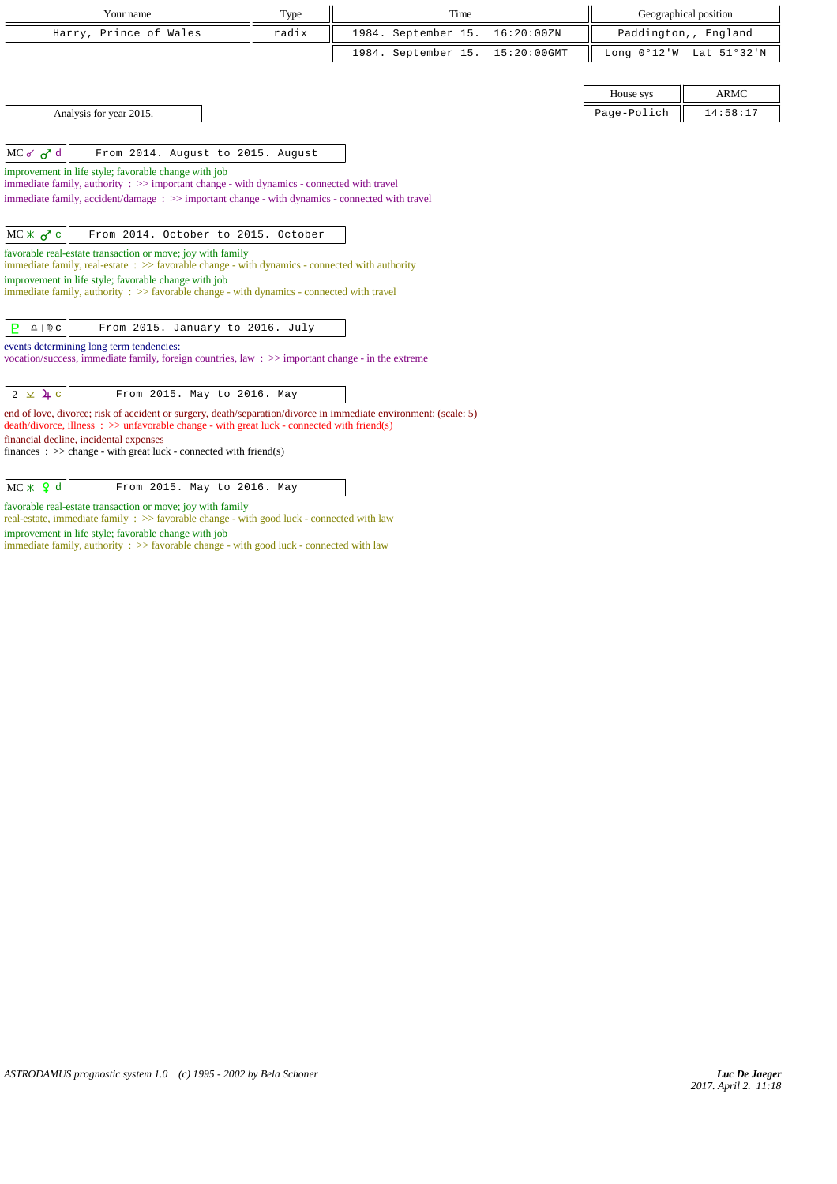| Your name                                                                                                                                                                                                                 | Type  | Time                |             |             | Geographical position   |
|---------------------------------------------------------------------------------------------------------------------------------------------------------------------------------------------------------------------------|-------|---------------------|-------------|-------------|-------------------------|
| Harry, Prince of Wales                                                                                                                                                                                                    | radix | 1984. September 15. | 16:20:00ZN  |             | Paddington,, England    |
|                                                                                                                                                                                                                           |       | 1984. September 15. | 15:20:00GMT |             | Long 0°12'W Lat 51°32'N |
|                                                                                                                                                                                                                           |       |                     |             |             |                         |
|                                                                                                                                                                                                                           |       |                     |             | House sys   | <b>ARMC</b>             |
| Analysis for year 2015.                                                                                                                                                                                                   |       |                     |             | Page-Polich | 14:58:17                |
|                                                                                                                                                                                                                           |       |                     |             |             |                         |
| $MC$ of $d$<br>From 2014. August to 2015. August                                                                                                                                                                          |       |                     |             |             |                         |
| improvement in life style; favorable change with job                                                                                                                                                                      |       |                     |             |             |                         |
| immediate family, authority : >> important change - with dynamics - connected with travel<br>immediate family, accident/damage: >> important change - with dynamics - connected with travel                               |       |                     |             |             |                         |
|                                                                                                                                                                                                                           |       |                     |             |             |                         |
| $MC * G$<br>From 2014. October to 2015. October                                                                                                                                                                           |       |                     |             |             |                         |
| favorable real-estate transaction or move; joy with family                                                                                                                                                                |       |                     |             |             |                         |
| immediate family, real-estate $\Rightarrow$ > favorable change - with dynamics - connected with authority<br>improvement in life style; favorable change with job                                                         |       |                     |             |             |                         |
| immediate family, authority $\Rightarrow$ Savorable change - with dynamics - connected with travel                                                                                                                        |       |                     |             |             |                         |
|                                                                                                                                                                                                                           |       |                     |             |             |                         |
| <b>P</b><br>$\underline{\Omega}$   $M\overline{D}$ C<br>From 2015. January to 2016. July                                                                                                                                  |       |                     |             |             |                         |
| events determining long term tendencies:                                                                                                                                                                                  |       |                     |             |             |                         |
| vocation/success, immediate family, foreign countries, law: >> important change - in the extreme                                                                                                                          |       |                     |             |             |                         |
|                                                                                                                                                                                                                           |       |                     |             |             |                         |
| $2 \times 4 c$<br>From 2015. May to 2016. May                                                                                                                                                                             |       |                     |             |             |                         |
| end of love, divorce; risk of accident or surgery, death/separation/divorce in immediate environment: (scale: 5)<br>$death/divorce, illness : \gg \text{unfavorable change - with great luck - connected with friend(s)}$ |       |                     |             |             |                         |
| financial decline, incidental expenses                                                                                                                                                                                    |       |                     |             |             |                         |
| finances : $\gg$ change - with great luck - connected with friend(s)                                                                                                                                                      |       |                     |             |             |                         |
|                                                                                                                                                                                                                           |       |                     |             |             |                         |
| $MC \times Q d$<br>From 2015. May to 2016. May                                                                                                                                                                            |       |                     |             |             |                         |

favorable real-estate transaction or move; joy with family

real-estate, immediate family : >> favorable change - with good luck - connected with law improvement in life style; favorable change with job

immediate family, authority : >> favorable change - with good luck - connected with law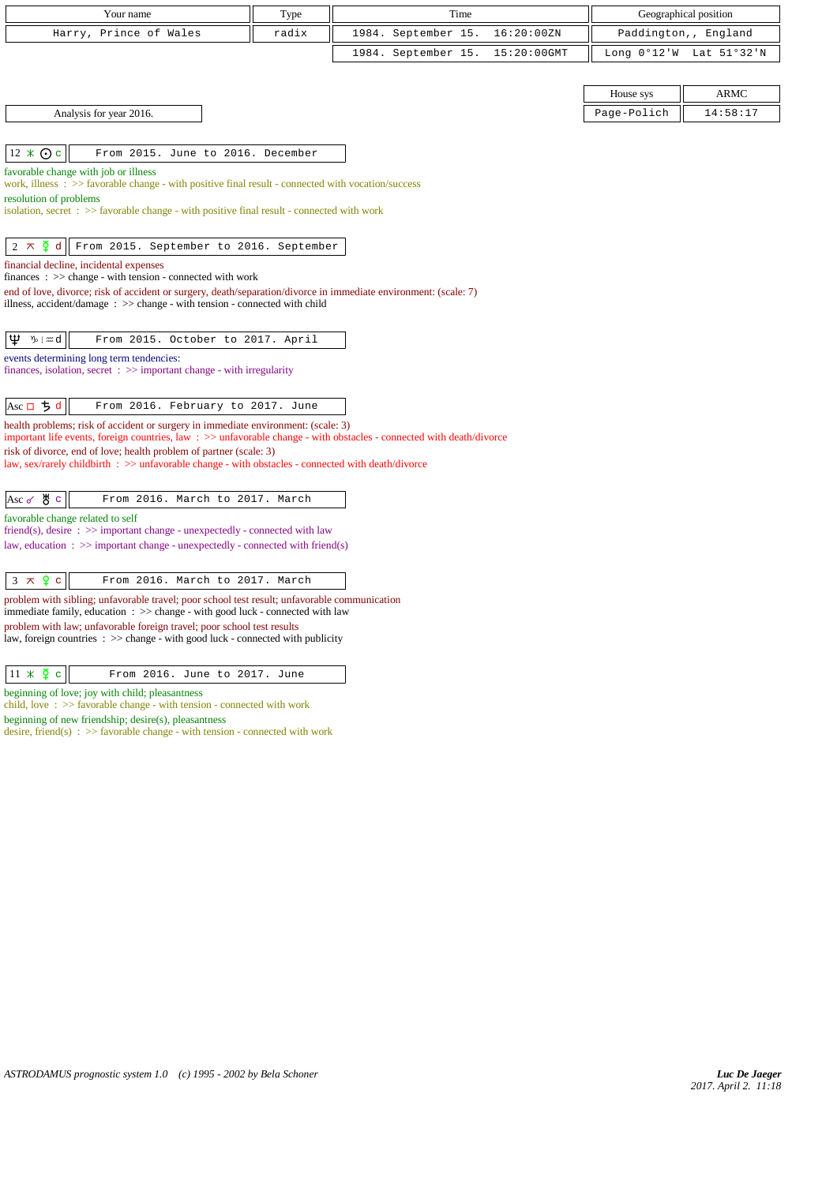| Your name                                                                                                                                                                                         | Type  | Time                               |             | Geographical position   |
|---------------------------------------------------------------------------------------------------------------------------------------------------------------------------------------------------|-------|------------------------------------|-------------|-------------------------|
| Harry, Prince of Wales                                                                                                                                                                            | radix | 1984. September 15.<br>16:20:00ZN  |             | Paddington,, England    |
|                                                                                                                                                                                                   |       | 15:20:00GMT<br>1984. September 15. |             | Long 0°12'W Lat 51°32'N |
|                                                                                                                                                                                                   |       |                                    |             |                         |
|                                                                                                                                                                                                   |       |                                    | House sys   | <b>ARMC</b>             |
| Analysis for year 2016.                                                                                                                                                                           |       |                                    | Page-Polich | 14:58:17                |
|                                                                                                                                                                                                   |       |                                    |             |                         |
| $12 \times Qc$<br>From 2015. June to 2016. December                                                                                                                                               |       |                                    |             |                         |
| favorable change with job or illness                                                                                                                                                              |       |                                    |             |                         |
| work, illness : $\gg$ favorable change - with positive final result - connected with vocation/success                                                                                             |       |                                    |             |                         |
| resolution of problems<br>isolation, secret : >> favorable change - with positive final result - connected with work                                                                              |       |                                    |             |                         |
|                                                                                                                                                                                                   |       |                                    |             |                         |
| $2 \times \xi$ d<br>From 2015. September to 2016. September                                                                                                                                       |       |                                    |             |                         |
| financial decline, incidental expenses                                                                                                                                                            |       |                                    |             |                         |
| finances : $\gg$ change - with tension - connected with work                                                                                                                                      |       |                                    |             |                         |
| end of love, divorce; risk of accident or surgery, death/separation/divorce in immediate environment: (scale: 7)<br>illness, accident/damage : $\gg$ change - with tension - connected with child |       |                                    |             |                         |
|                                                                                                                                                                                                   |       |                                    |             |                         |
| Ψ<br>∿b∣ #ad<br>From 2015. October to 2017. April                                                                                                                                                 |       |                                    |             |                         |
| events determining long term tendencies:                                                                                                                                                          |       |                                    |             |                         |
| finances, isolation, secret $\Rightarrow$ important change - with irregularity                                                                                                                    |       |                                    |             |                         |
|                                                                                                                                                                                                   |       |                                    |             |                         |
| Asc $\Box$ $\Box$ d<br>From 2016. February to 2017. June                                                                                                                                          |       |                                    |             |                         |
| health problems; risk of accident or surgery in immediate environment: (scale: 3)                                                                                                                 |       |                                    |             |                         |
| important life events, foreign countries, law: >> unfavorable change - with obstacles - connected with death/divorce                                                                              |       |                                    |             |                         |
| risk of divorce, end of love; health problem of partner (scale: 3)<br>law, sex/rarely childbirth : >> unfavorable change - with obstacles - connected with death/divorce                          |       |                                    |             |                         |
|                                                                                                                                                                                                   |       |                                    |             |                         |
| ув с<br>From 2016. March to 2017. March<br>Asc $\sigma$                                                                                                                                           |       |                                    |             |                         |
| favorable change related to self                                                                                                                                                                  |       |                                    |             |                         |
| friend(s), desire $\Rightarrow$ >> important change - unexpectedly - connected with law                                                                                                           |       |                                    |             |                         |
| law, education : $\gg$ important change - unexpectedly - connected with friend(s)                                                                                                                 |       |                                    |             |                         |
|                                                                                                                                                                                                   |       |                                    |             |                         |
| $3 \times 9$ c<br>From 2016. March to 2017. March                                                                                                                                                 |       |                                    |             |                         |

problem with sibling; unfavorable travel; poor school test result; unfavorable communication immediate family, education : >> change - with good luck - connected with law problem with law; unfavorable foreign travel; poor school test results

law, foreign countries : >> change - with good luck - connected with publicity

beginning of love; joy with child; pleasantness

child, love : >> favorable change - with tension - connected with work

beginning of new friendship; desire(s), pleasantness

desire, friend(s)  $\Rightarrow$  5 favorable change - with tension - connected with work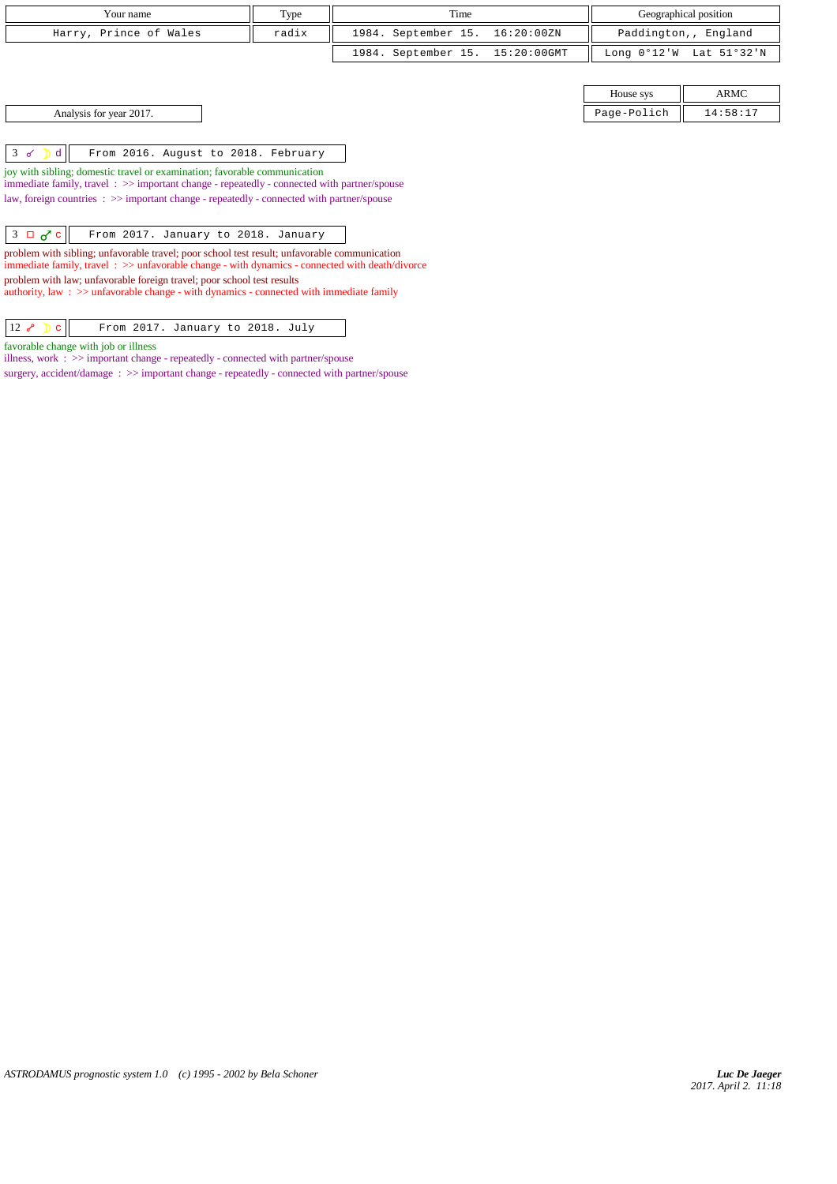| Your name              | Type  | Time                            | Geographical position                     |
|------------------------|-------|---------------------------------|-------------------------------------------|
| Harry, Prince of Wales | radix | 1984. September 15. 16:20:00ZN  | Paddington,, England                      |
|                        |       | 1984. September 15. 15:20:00GMT | Long $0^{\circ}12'W$ Lat $51^{\circ}32'W$ |
|                        |       |                                 |                                           |

Analysis for year 2017. 14:58:17

 $3 \checkmark$  d  $\parallel$  From 2016. August to 2018. February

joy with sibling; domestic travel or examination; favorable communication

immediate family, travel : >> important change - repeatedly - connected with partner/spouse law, foreign countries : >> important change - repeatedly - connected with partner/spouse

 $\begin{array}{|c|c|c|c|c|}\hline 3 & \Box & \sigma^{\prime\!\prime} & \hline \end{array}$  From 2017. January to 2018. January

problem with sibling; unfavorable travel; poor school test result; unfavorable communication immediate family, travel  $\, : \, >>$  unfavorable change - with dynamics - connected with death/divorce problem with law; unfavorable foreign travel; poor school test results

authority, law :  $\gg$  unfavorable change - with dynamics - connected with immediate family

| From 2017. January to 2018. July |
|----------------------------------|
|----------------------------------|

favorable change with job or illness

illness, work : >> important change - repeatedly - connected with partner/spouse surgery, accident/damage : >> important change - repeatedly - connected with partner/spouse House sys  $\parallel$  ARMC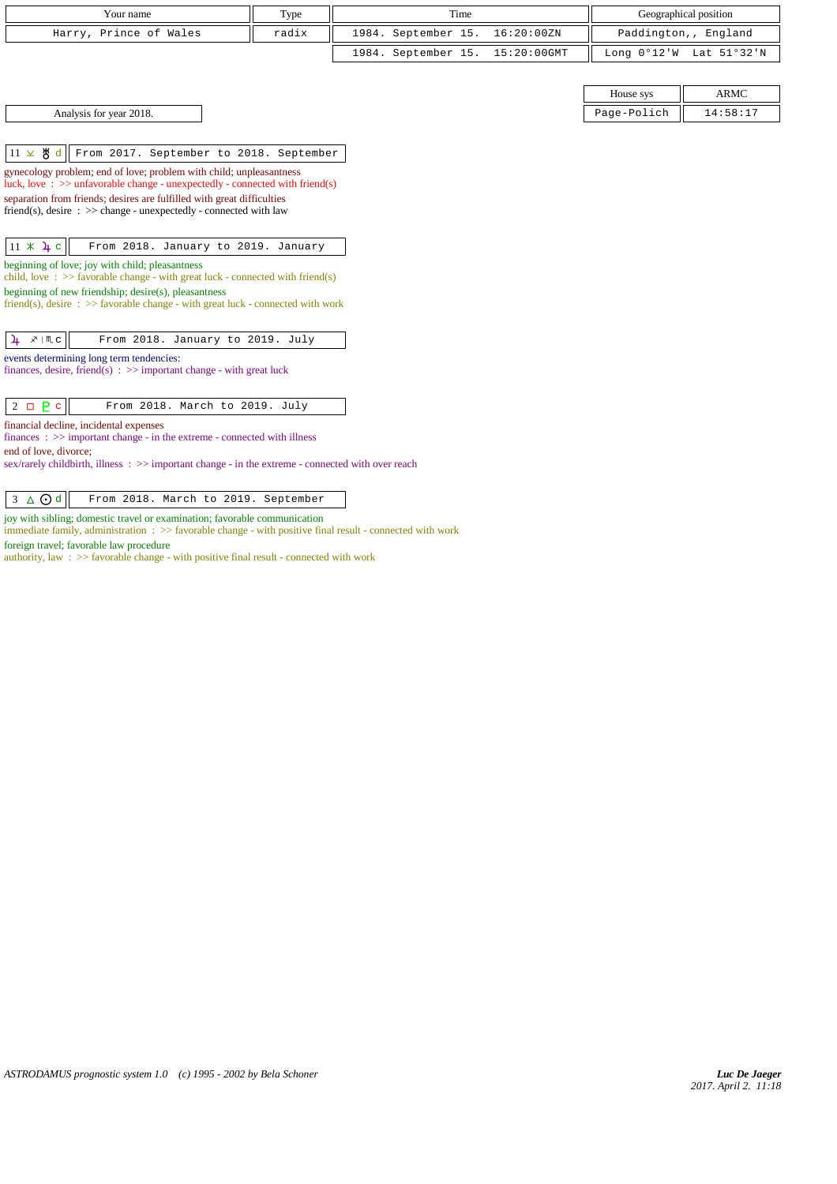| Your name              | Type  | Time                            | Geographical position                                     |
|------------------------|-------|---------------------------------|-----------------------------------------------------------|
| Harry, Prince of Wales | radix | 1984. September 15. 16:20:00ZN  | Paddington,, England                                      |
|                        |       | 1984. September 15. 15:20:00GMT | Long $0^{\circ}12^{\prime}W$ Lat $51^{\circ}32^{\prime}N$ |

|  | Analysis for year 2018. |  |
|--|-------------------------|--|
|--|-------------------------|--|

|                         | House sys   | <b>ARMC</b> |
|-------------------------|-------------|-------------|
| Analysis for year 2018. | Page-Polich | 14:58:17    |

 $\left|11 \times \mathcal{B} \text{ d}\right|$  From 2017. September to 2018. September

gynecology problem; end of love; problem with child; unpleasantness luck, love : >> unfavorable change - unexpectedly - connected with friend(s) separation from friends; desires are fulfilled with great difficulties

friend(s), desire : >> change - unexpectedly - connected with law

|--|

beginning of love; joy with child; pleasantness

child, love : >> favorable change - with great luck - connected with friend(s) beginning of new friendship; desire(s), pleasantness

friend(s), desire :  $>$  favorable change - with great luck - connected with work

|  |  | $\frac{1}{4}$ $\sqrt{10}$ c |  |  | From 2018. January to 2019. July |  |  |  |
|--|--|-----------------------------|--|--|----------------------------------|--|--|--|
|--|--|-----------------------------|--|--|----------------------------------|--|--|--|

events determining long term tendencies:

finances, desire, friend(s) :  $\gg$  important change - with great luck

 $2 \Box P c$  From 2018. March to 2019. July

financial decline, incidental expenses

finances : >> important change - in the extreme - connected with illness

end of love, divorce;

sex/rarely childbirth, illness : >> important change - in the extreme - connected with over reach

 $\sqrt{3 \Delta \text{Qd}}$  From 2018. March to 2019. September

joy with sibling; domestic travel or examination; favorable communication

immediate family, administration : >> favorable change - with positive final result - connected with work

foreign travel; favorable law procedure

authority, law : >> favorable change - with positive final result - connected with work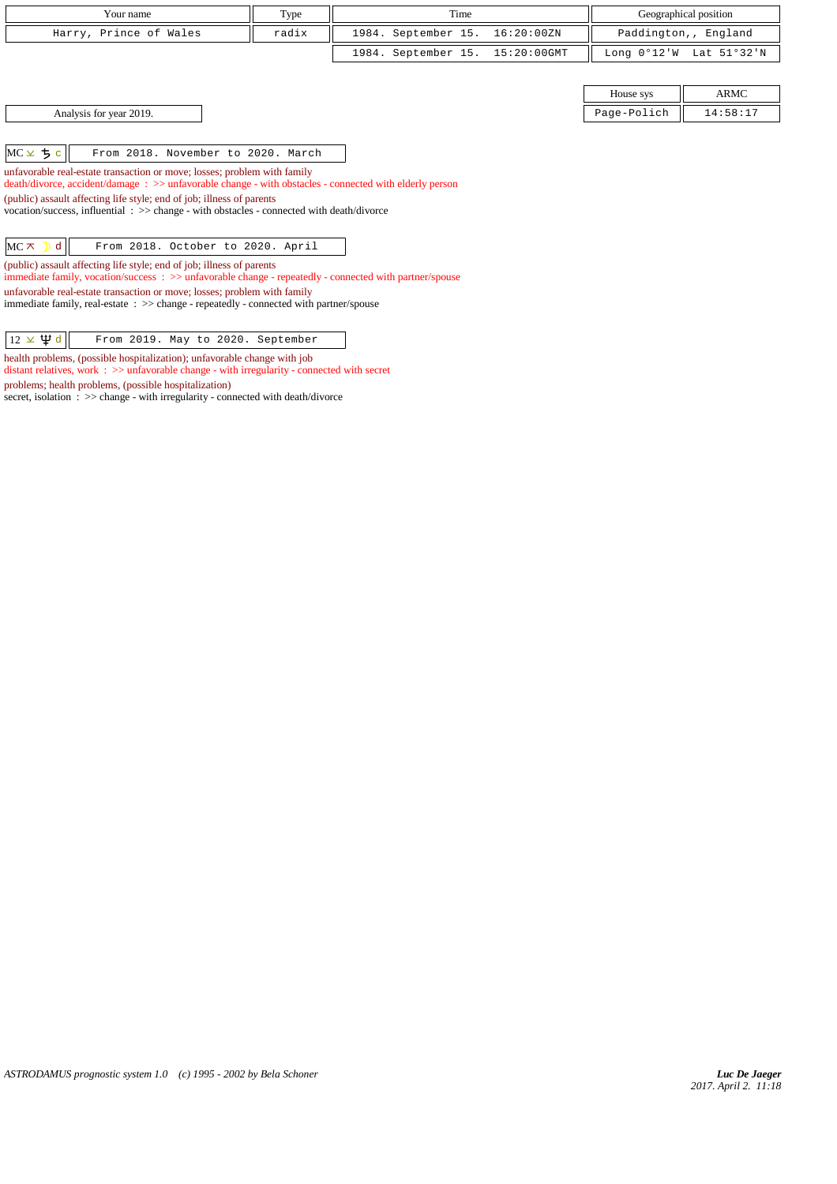| Your name              | Type  | Time                            | Geographical position   |
|------------------------|-------|---------------------------------|-------------------------|
| Harry, Prince of Wales | radix | 1984. September 15. 16:20:00ZN  | Paddington,, England    |
|                        |       | 1984. September 15. 15:20:00GMT | Long 0°12'W Lat 51°32'N |

Analysis for year 2019.

 $MC \times 5c$  From 2018. November to 2020. March

unfavorable real-estate transaction or move; losses; problem with family

death/divorce, accident/damage : >> unfavorable change - with obstacles - connected with elderly person

(public) assault affecting life style; end of job; illness of parents

vocation/success, influential : >> change - with obstacles - connected with death/divorce

 $MC \times$  d From 2018. October to 2020. April

(public) assault affecting life style; end of job; illness of parents immediate family, vocation/success : >> unfavorable change - repeatedly - connected with partner/spouse

unfavorable real-estate transaction or move; losses; problem with family immediate family, real-estate : >> change - repeatedly - connected with partner/spouse

 $\sqrt{12 \times \mathfrak{P} d}$  From 2019. May to 2020. September

health problems, (possible hospitalization); unfavorable change with job

distant relatives, work : >> unfavorable change - with irregularity - connected with secret problems; health problems, (possible hospitalization)

secret, isolation  $\therefore$  >> change - with irregularity - connected with death/divorce

| House sys   | ARMC     |
|-------------|----------|
| Page-Polich | 14:58:17 |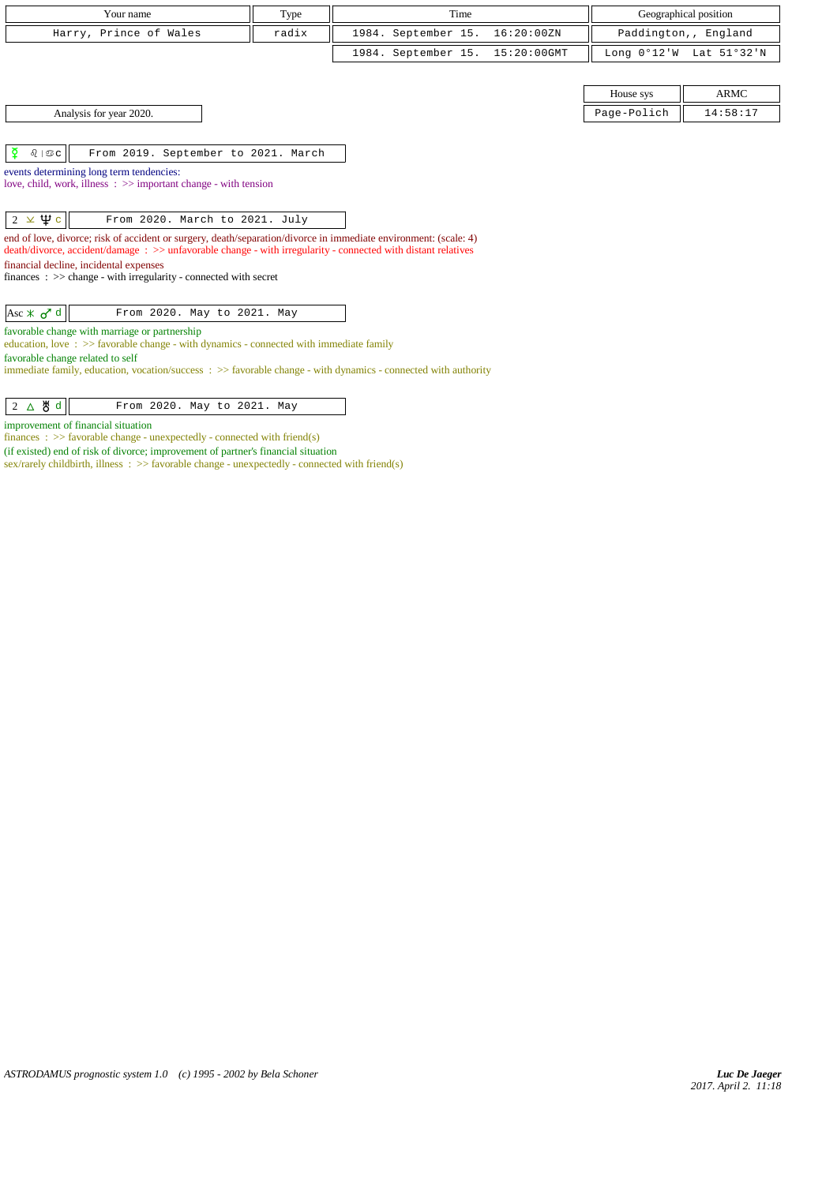| Your name                                                                                                                                              | Type  | Time                |                |             | Geographical position   |
|--------------------------------------------------------------------------------------------------------------------------------------------------------|-------|---------------------|----------------|-------------|-------------------------|
| Harry, Prince of Wales                                                                                                                                 | radix | 1984. September 15. | 16:20:00ZN     |             | Paddington,, England    |
|                                                                                                                                                        |       | 1984. September 15. | $15:20:00$ GMT |             | Long 0°12'W Lat 51°32'N |
|                                                                                                                                                        |       |                     |                |             |                         |
|                                                                                                                                                        |       |                     |                | House sys   | <b>ARMC</b>             |
| Analysis for year 2020.                                                                                                                                |       |                     |                | Page-Polich | 14:58:17                |
|                                                                                                                                                        |       |                     |                |             |                         |
| ₽<br>$\delta$   $\mathfrak{S}$ C<br>From 2019. September to 2021. March                                                                                |       |                     |                |             |                         |
| events determining long term tendencies:<br>love, child, work, illness $\Rightarrow$ important change - with tension                                   |       |                     |                |             |                         |
|                                                                                                                                                        |       |                     |                |             |                         |
| $2 \times \Psi$ c<br>From 2020. March to 2021. July                                                                                                    |       |                     |                |             |                         |
| end of love, divorce; risk of accident or surgery, death/separation/divorce in immediate environment: (scale: 4)                                       |       |                     |                |             |                         |
| death/divorce, accident/damage: >> unfavorable change - with irregularity - connected with distant relatives<br>financial decline, incidental expenses |       |                     |                |             |                         |
| finances : $\gg$ change - with irregularity - connected with secret                                                                                    |       |                     |                |             |                         |
|                                                                                                                                                        |       |                     |                |             |                         |
| $\text{Asc} \times \sigma^{\prime} d$<br>From 2020. May to 2021. May                                                                                   |       |                     |                |             |                         |
| favorable change with marriage or partnership<br>education, love $\Rightarrow$ S favorable change - with dynamics - connected with immediate family    |       |                     |                |             |                         |
| favorable change related to self                                                                                                                       |       |                     |                |             |                         |
| immediate family, education, vocation/success $\Rightarrow$ favorable change - with dynamics - connected with authority                                |       |                     |                |             |                         |

| $2 \Delta \mathbf{\#} d$<br>From 2020. May to 2021. May |  |
|---------------------------------------------------------|--|
|---------------------------------------------------------|--|

improvement of financial situation

finances :  $\gg$  favorable change - unexpectedly - connected with friend(s)

(if existed) end of risk of divorce; improvement of partner's financial situation

sex/rarely childbirth, illness :  $\gg$  favorable change - unexpectedly - connected with friend(s)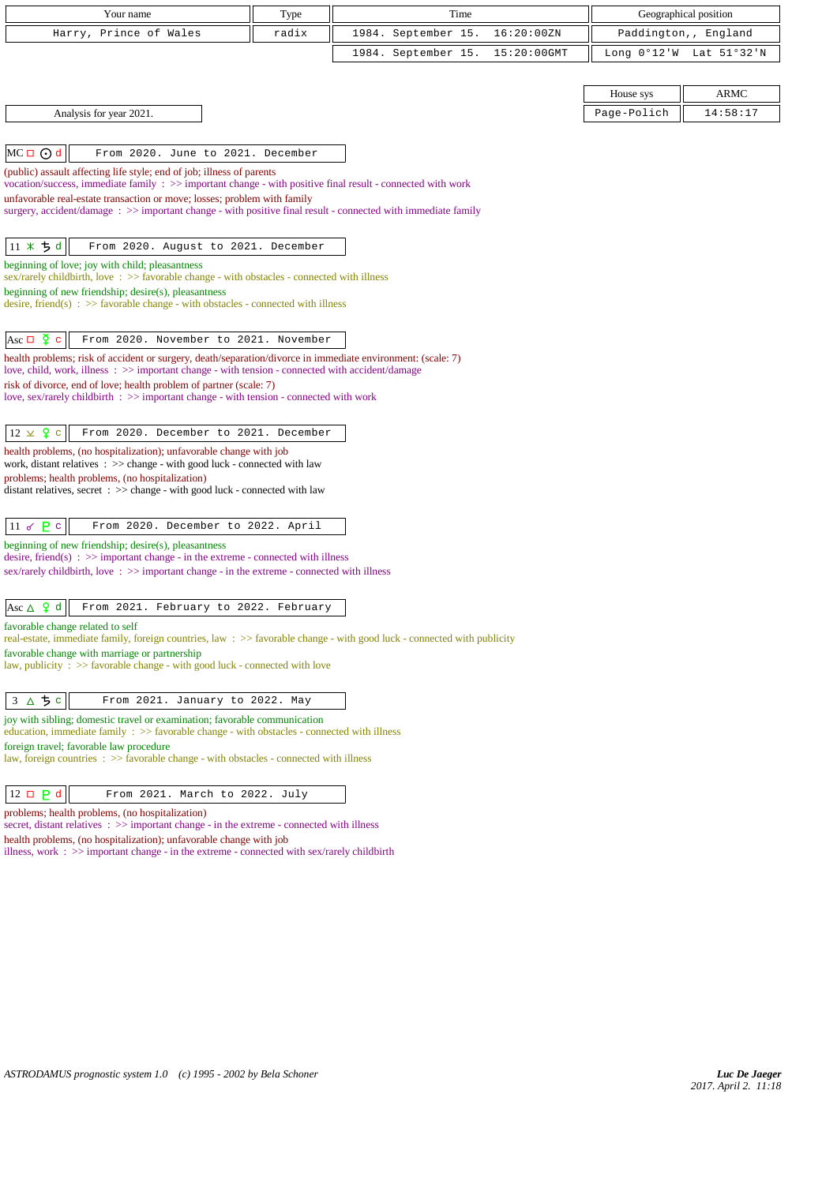| Your name                                                                                                                                                                                                         | Type  | Time                |             |                               | Geographical position |
|-------------------------------------------------------------------------------------------------------------------------------------------------------------------------------------------------------------------|-------|---------------------|-------------|-------------------------------|-----------------------|
| Harry, Prince of Wales                                                                                                                                                                                            | radix | 1984. September 15. | 16:20:00ZN  |                               | Paddington,, England  |
|                                                                                                                                                                                                                   |       | 1984. September 15. | 15:20:00GMT | Long $0^{\circ}12^{\prime}$ W | Lat 51°32'N           |
|                                                                                                                                                                                                                   |       |                     |             |                               |                       |
|                                                                                                                                                                                                                   |       |                     |             | House sys                     | ARMC                  |
| Analysis for year 2021.                                                                                                                                                                                           |       |                     |             | Page-Polich                   | 14:58:17              |
|                                                                                                                                                                                                                   |       |                     |             |                               |                       |
| $MC \Box$ $\odot$ d<br>From 2020. June to 2021. December                                                                                                                                                          |       |                     |             |                               |                       |
| (public) assault affecting life style; end of job; illness of parents<br>vocation/success, immediate family : >> important change - with positive final result - connected with work                              |       |                     |             |                               |                       |
| unfavorable real-estate transaction or move; losses; problem with family                                                                                                                                          |       |                     |             |                               |                       |
| surgery, accident/damage $\Rightarrow$ important change - with positive final result - connected with immediate family                                                                                            |       |                     |             |                               |                       |
| $11 \times 5d$<br>From 2020. August to 2021. December                                                                                                                                                             |       |                     |             |                               |                       |
| beginning of love; joy with child; pleasantness                                                                                                                                                                   |       |                     |             |                               |                       |
| sex/rarely childbirth, love: >> favorable change - with obstacles - connected with illness<br>beginning of new friendship; desire(s), pleasantness                                                                |       |                     |             |                               |                       |
| desire, friend(s) : $\gg$ favorable change - with obstacles - connected with illness                                                                                                                              |       |                     |             |                               |                       |
|                                                                                                                                                                                                                   |       |                     |             |                               |                       |
| Asc $\Box$ $\Phi$ c<br>From 2020. November to 2021. November                                                                                                                                                      |       |                     |             |                               |                       |
| health problems; risk of accident or surgery, death/separation/divorce in immediate environment: (scale: 7)<br>love, child, work, illness: $\gg$ important change - with tension - connected with accident/damage |       |                     |             |                               |                       |
| risk of divorce, end of love; health problem of partner (scale: 7)                                                                                                                                                |       |                     |             |                               |                       |
| love, sex/rarely childbirth $\Rightarrow$ important change - with tension - connected with work                                                                                                                   |       |                     |             |                               |                       |
| $12 \times 9$ c<br>From 2020. December to 2021. December                                                                                                                                                          |       |                     |             |                               |                       |
| health problems, (no hospitalization); unfavorable change with job                                                                                                                                                |       |                     |             |                               |                       |
| work, distant relatives $\Rightarrow$ $\Rightarrow$ change - with good luck - connected with law<br>problems; health problems, (no hospitalization)                                                               |       |                     |             |                               |                       |
| distant relatives, secret : >> change - with good luck - connected with law                                                                                                                                       |       |                     |             |                               |                       |
|                                                                                                                                                                                                                   |       |                     |             |                               |                       |
| $11 \times P$ c<br>From 2020. December to 2022. April                                                                                                                                                             |       |                     |             |                               |                       |
| beginning of new friendship; desire(s), pleasantness<br>desire, friend(s) : $\gg$ important change - in the extreme - connected with illness                                                                      |       |                     |             |                               |                       |
| sex/rarely childbirth, love $\Rightarrow$ important change - in the extreme - connected with illness                                                                                                              |       |                     |             |                               |                       |
|                                                                                                                                                                                                                   |       |                     |             |                               |                       |
| Asc $\Delta$ 9 d<br>From 2021. February to 2022. February<br>favorable change related to self                                                                                                                     |       |                     |             |                               |                       |
| real-estate, immediate family, foreign countries, law: >> favorable change - with good luck - connected with publicity                                                                                            |       |                     |             |                               |                       |
| favorable change with marriage or partnership<br>law, publicity : $\gg$ favorable change - with good luck - connected with love                                                                                   |       |                     |             |                               |                       |
|                                                                                                                                                                                                                   |       |                     |             |                               |                       |
| 3 △ ち c<br>From 2021. January to 2022. May                                                                                                                                                                        |       |                     |             |                               |                       |
| joy with sibling; domestic travel or examination; favorable communication                                                                                                                                         |       |                     |             |                               |                       |
| education, immediate family : >> favorable change - with obstacles - connected with illness<br>foreign travel; favorable law procedure                                                                            |       |                     |             |                               |                       |
| law, foreign countries : >> favorable change - with obstacles - connected with illness                                                                                                                            |       |                     |             |                               |                       |
|                                                                                                                                                                                                                   |       |                     |             |                               |                       |
| $12 \Box P d$<br>From 2021. March to 2022. July<br>problems; health problems, (no hospitalization)                                                                                                                |       |                     |             |                               |                       |
| secret, distant relatives : >> important change - in the extreme - connected with illness                                                                                                                         |       |                     |             |                               |                       |
| health problems, (no hospitalization); unfavorable change with job<br>illness, work : $\gg$ important change - in the extreme - connected with sex/rarely childbirth                                              |       |                     |             |                               |                       |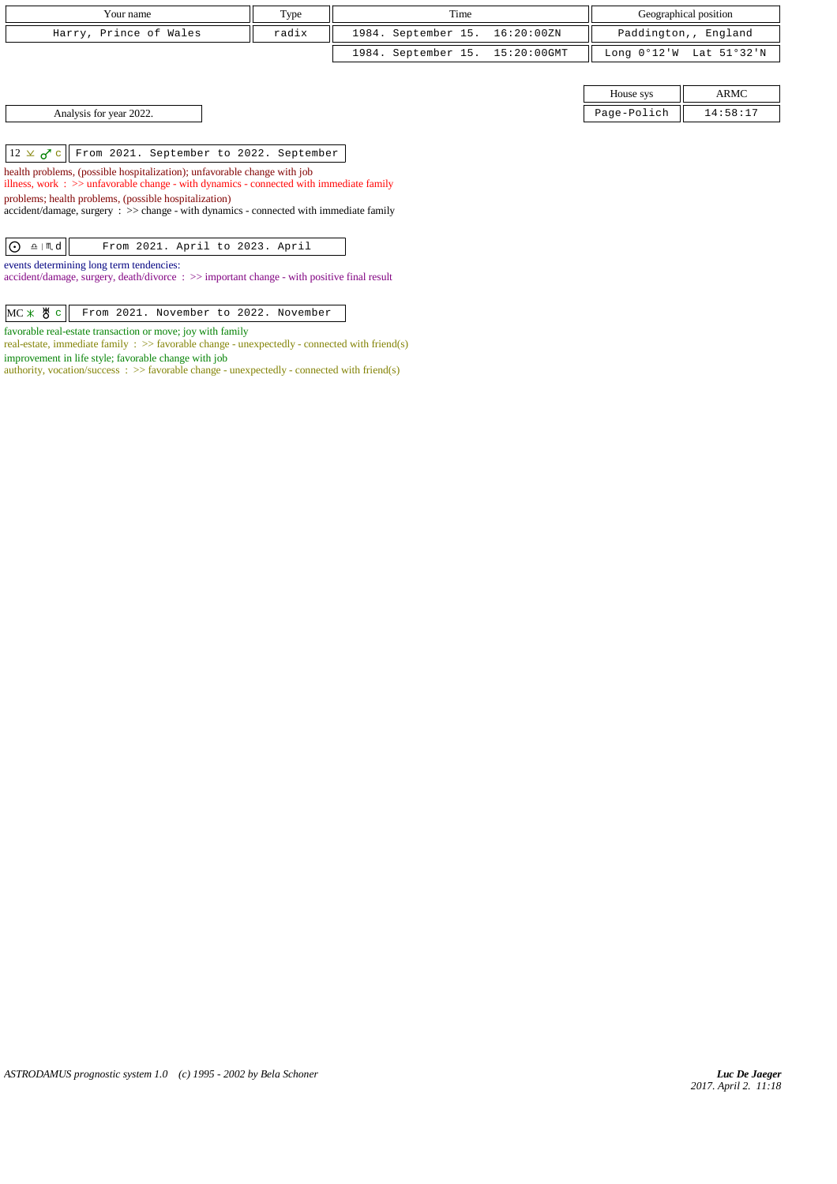| Your name              | Type  | Time                            | Geographical position   |
|------------------------|-------|---------------------------------|-------------------------|
| Harry, Prince of Wales | radix | 1984. September 15. 16:20:00ZN  | Paddington,, England    |
|                        |       | 1984. September 15. 15:20:00GMT | Long 0°12'W Lat 51°32'N |

| Analysis for year 2022. |  |  |  |
|-------------------------|--|--|--|
|-------------------------|--|--|--|

 $\boxed{12 \times \sigma^2 c}$  From 2021. September to 2022. September

health problems, (possible hospitalization); unfavorable change with job

illness, work : >> unfavorable change - with dynamics - connected with immediate family problems; health problems, (possible hospitalization)

accident/damage, surgery : >> change - with dynamics - connected with immediate family

| $\boxed{O \quad \text{and} \quad}$ |  | From 2021. April to 2023. April |  |  |
|------------------------------------|--|---------------------------------|--|--|
|                                    |  |                                 |  |  |

events determining long term tendencies:

accident/damage, surgery, death/divorce : >> important change - with positive final result

 $MC \times$   $C$   $c$  From 2021. November to 2022. November

favorable real-estate transaction or move; joy with family

real-estate, immediate family : >> favorable change - unexpectedly - connected with friend(s) improvement in life style; favorable change with job

authority, vocation/success :  $\gg$  favorable change - unexpectedly - connected with friend(s)

|                           | $-$<br>House svs   | ARMC                        |
|---------------------------|--------------------|-----------------------------|
| 2022<br>Analysis for year | Page-Po'<br>'olich | . <i>.</i><br>⊥י סכ<br>$ -$ |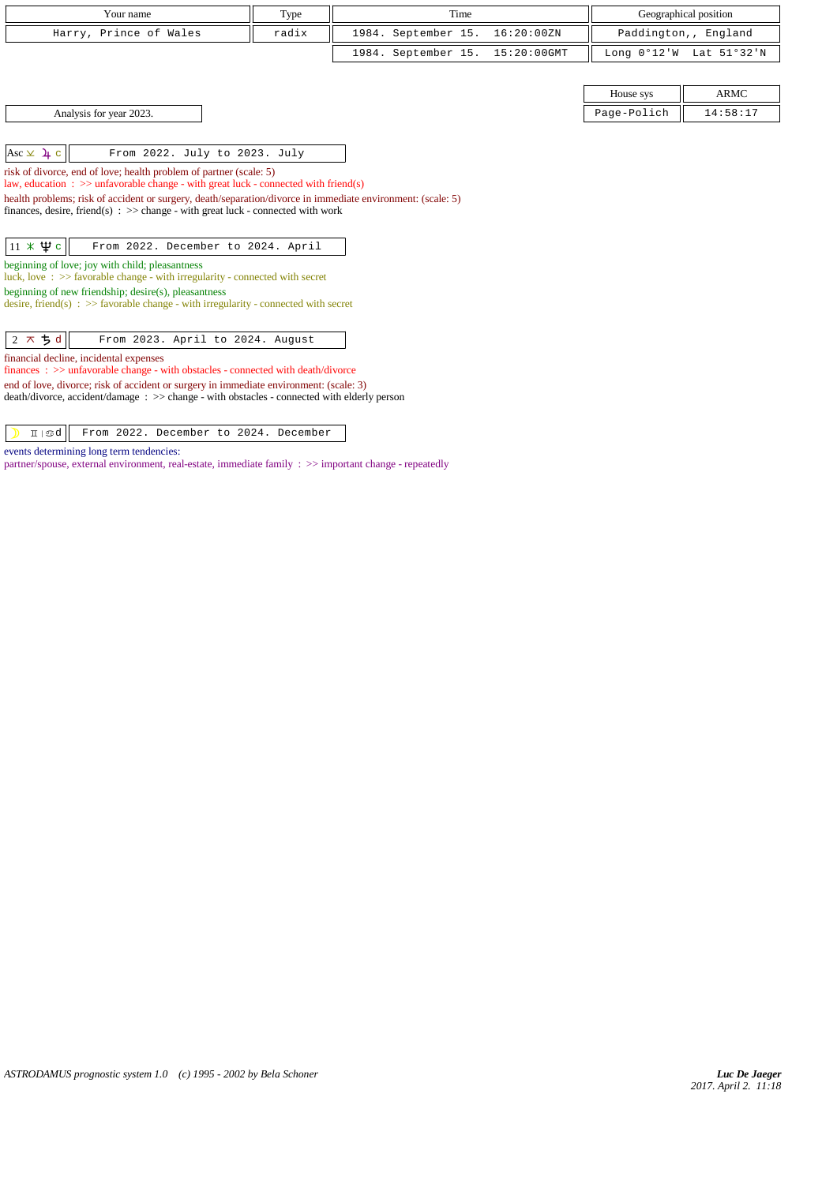| Your name                                                                                                                                                                                                                                                                                                                                                         | Type  | Time                |             |               | Geographical position |
|-------------------------------------------------------------------------------------------------------------------------------------------------------------------------------------------------------------------------------------------------------------------------------------------------------------------------------------------------------------------|-------|---------------------|-------------|---------------|-----------------------|
| Harry, Prince of Wales                                                                                                                                                                                                                                                                                                                                            | radix | 1984. September 15. | 16:20:00ZN  |               | Paddington,, England  |
|                                                                                                                                                                                                                                                                                                                                                                   |       | 1984. September 15. | 15:20:00GMT | Long $0°12'W$ | Lat 51°32'N           |
|                                                                                                                                                                                                                                                                                                                                                                   |       |                     |             |               |                       |
|                                                                                                                                                                                                                                                                                                                                                                   |       |                     |             | House sys     | <b>ARMC</b>           |
| Analysis for year 2023.                                                                                                                                                                                                                                                                                                                                           |       |                     |             | Page-Polich   | 14:58:17              |
|                                                                                                                                                                                                                                                                                                                                                                   |       |                     |             |               |                       |
| $Asc \times 4c$<br>From 2022. July to 2023. July                                                                                                                                                                                                                                                                                                                  |       |                     |             |               |                       |
| risk of divorce, end of love; health problem of partner (scale: 5)<br>law, education : $\gg$ unfavorable change - with great luck - connected with friend(s)<br>health problems; risk of accident or surgery, death/separation/divorce in immediate environment: (scale: 5)<br>finances, desire, friend(s) : $\gg$ change - with great luck - connected with work |       |                     |             |               |                       |
| $11 \times \Psi$ c<br>From 2022. December to 2024. April                                                                                                                                                                                                                                                                                                          |       |                     |             |               |                       |
| beginning of love; joy with child; pleasantness<br>luck, love: $\gg$ favorable change - with irregularity - connected with secret<br>beginning of new friendship; desire(s), pleasantness<br>desire, friend(s) : $\gg$ favorable change - with irregularity - connected with secret                                                                               |       |                     |             |               |                       |
| $2 \times 5d$<br>From 2023. April to 2024. August                                                                                                                                                                                                                                                                                                                 |       |                     |             |               |                       |
| financial decline, incidental expenses<br>finances: >> unfavorable change - with obstacles - connected with death/divorce                                                                                                                                                                                                                                         |       |                     |             |               |                       |
| end of love, divorce; risk of accident or surgery in immediate environment: (scale: 3)<br>death/divorce, accident/damage: >> change - with obstacles - connected with elderly person                                                                                                                                                                              |       |                     |             |               |                       |

| d From 2022. December to 2024. December

events determining long term tendencies:

partner/spouse, external environment, real-estate, immediate family : >> important change - repeatedly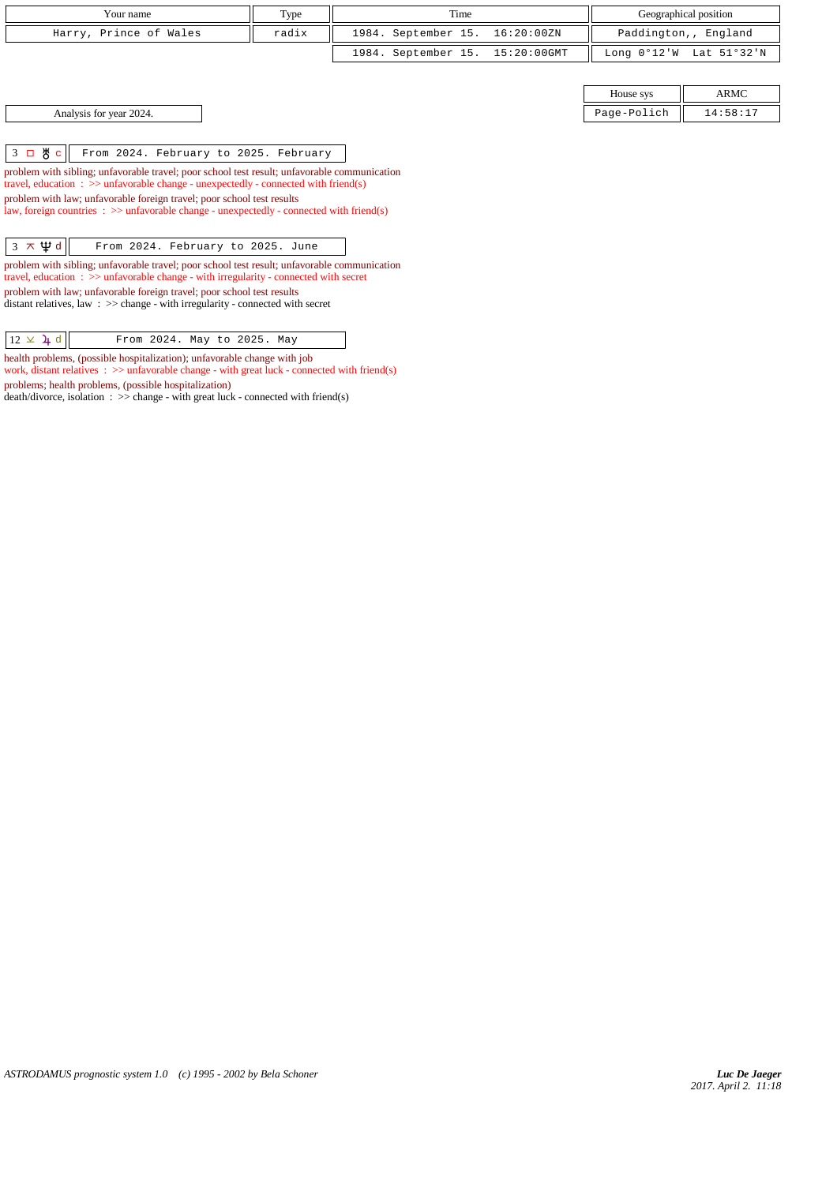| Your name              | Type  | Time                            | Geographical position   |
|------------------------|-------|---------------------------------|-------------------------|
| Harry, Prince of Wales | radix | 1984. September 15. 16:20:00ZN  | Paddington,, England    |
|                        |       | 1984. September 15. 15:20:00GMT | Long 0°12'W Lat 51°32'N |
|                        |       |                                 |                         |

Analysis for year 2024.

| House sys   | ARMC     |
|-------------|----------|
| Page-Polich | 14:58:17 |

3 c From 2024. February to 2025. February

problem with sibling; unfavorable travel; poor school test result; unfavorable communication travel, education : >> unfavorable change - unexpectedly - connected with friend(s) problem with law; unfavorable foreign travel; poor school test results law, foreign countries : >> unfavorable change - unexpectedly - connected with friend(s)

 $\sqrt{3 \times \Psi d}$  From 2024. February to 2025. June

problem with sibling; unfavorable travel; poor school test result; unfavorable communication travel, education : >> unfavorable change - with irregularity - connected with secret problem with law; unfavorable foreign travel; poor school test results distant relatives, law : >> change - with irregularity - connected with secret

 $\boxed{12 \times 1$  d  $\boxed{}$  From 2024. May to 2025. May

health problems, (possible hospitalization); unfavorable change with job work, distant relatives :  $\gg$  unfavorable change - with great luck - connected with friend(s) problems; health problems, (possible hospitalization)

death/divorce, isolation :  $\gg$  change - with great luck - connected with friend(s)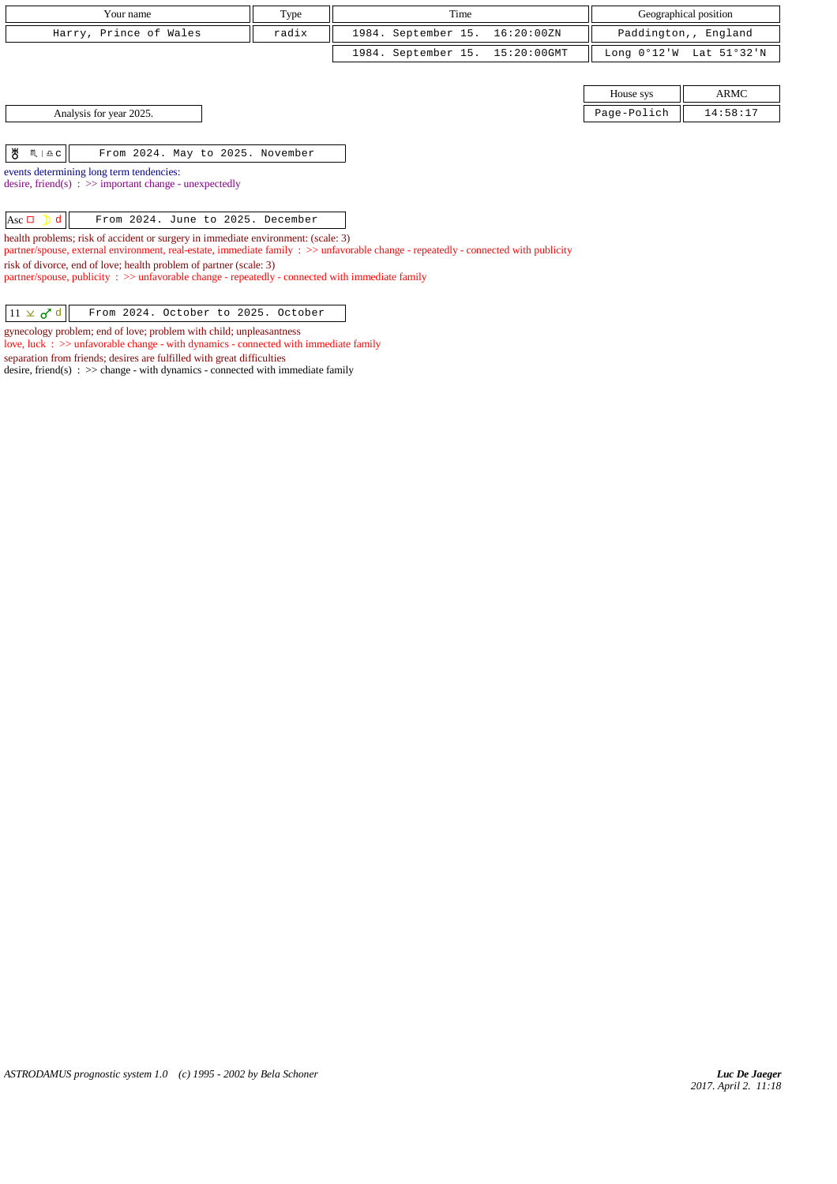| Your name                                                                                                                                                                                                                | Type  | Time                               |               | Geographical position |  |
|--------------------------------------------------------------------------------------------------------------------------------------------------------------------------------------------------------------------------|-------|------------------------------------|---------------|-----------------------|--|
| Harry, Prince of Wales                                                                                                                                                                                                   | radix | 1984. September 15.<br>16:20:00ZN  |               | Paddington,, England  |  |
|                                                                                                                                                                                                                          |       | 1984. September 15.<br>15:20:00GMT | Long $0°12'W$ | Lat 51°32'N           |  |
|                                                                                                                                                                                                                          |       |                                    |               |                       |  |
|                                                                                                                                                                                                                          |       |                                    | House sys     | ARMC                  |  |
| Analysis for year 2025.                                                                                                                                                                                                  |       |                                    | Page-Polich   | 14:58:17              |  |
|                                                                                                                                                                                                                          |       |                                    |               |                       |  |
| ზ<br>$M \mid \Delta C$<br>From 2024. May to 2025. November                                                                                                                                                               |       |                                    |               |                       |  |
| events determining long term tendencies:                                                                                                                                                                                 |       |                                    |               |                       |  |
| desire, friend(s) : $\gg$ important change - unexpectedly                                                                                                                                                                |       |                                    |               |                       |  |
| Asc $\Box$<br>From 2024. June to 2025. December<br>d.                                                                                                                                                                    |       |                                    |               |                       |  |
| health problems; risk of accident or surgery in immediate environment: (scale: 3)<br>partner/spouse, external environment, real-estate, immediate family : >> unfavorable change - repeatedly - connected with publicity |       |                                    |               |                       |  |
| risk of divorce, end of love; health problem of partner (scale: 3)<br>$partner$ /spouse, publicity : $\gg$ unfavorable change - repeatedly - connected with immediate family                                             |       |                                    |               |                       |  |
|                                                                                                                                                                                                                          |       |                                    |               |                       |  |

 $11 \times d d$  From 2024. October to 2025. October

gynecology problem; end of love; problem with child; unpleasantness love, luck : >> unfavorable change - with dynamics - connected with immediate family separation from friends; desires are fulfilled with great difficulties

desire, friend(s) :  $\gg$  change - with dynamics - connected with immediate family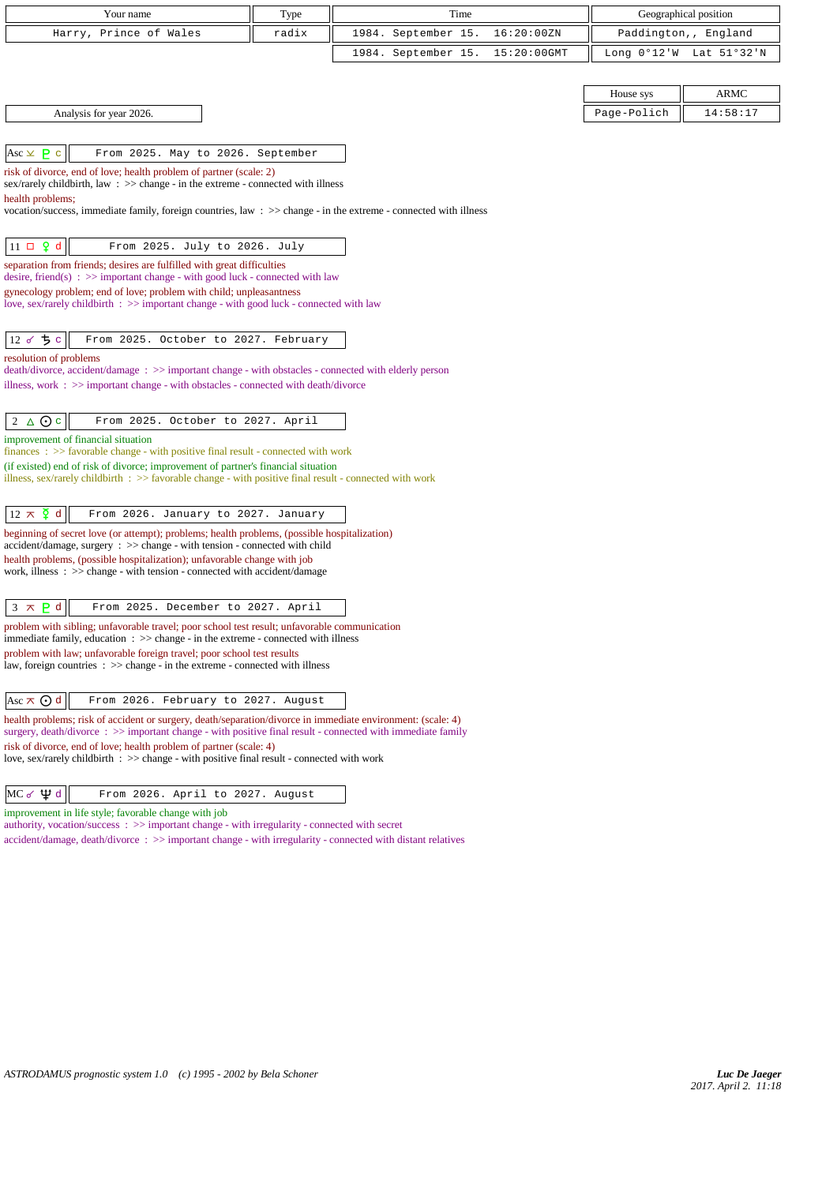| Your name                                                                                                                                                                         | Type  | Time                               | Geographical position   |
|-----------------------------------------------------------------------------------------------------------------------------------------------------------------------------------|-------|------------------------------------|-------------------------|
| Harry, Prince of Wales                                                                                                                                                            | radix | 1984. September 15.<br>16:20:00ZN  | Paddington,, England    |
|                                                                                                                                                                                   |       | 1984. September 15.<br>15:20:00GMT | Long 0°12'W Lat 51°32'N |
|                                                                                                                                                                                   |       |                                    |                         |
|                                                                                                                                                                                   |       |                                    | House sys<br>ARMC       |
| Analysis for year 2026.                                                                                                                                                           |       |                                    | 14:58:17<br>Page-Polich |
|                                                                                                                                                                                   |       |                                    |                         |
| Asc $\times$ <b>P</b> c<br>From 2025. May to 2026. September                                                                                                                      |       |                                    |                         |
| risk of divorce, end of love; health problem of partner (scale: 2)<br>sex/rarely childbirth, law : >> change - in the extreme - connected with illness                            |       |                                    |                         |
| health problems;                                                                                                                                                                  |       |                                    |                         |
| vocation/success, immediate family, foreign countries, law $\Rightarrow$ change - in the extreme - connected with illness                                                         |       |                                    |                         |
| $11 \Box 9 d$<br>From 2025. July to 2026. July                                                                                                                                    |       |                                    |                         |
| separation from friends; desires are fulfilled with great difficulties                                                                                                            |       |                                    |                         |
| desire, friend(s) : $\gg$ important change - with good luck - connected with law<br>gynecology problem; end of love; problem with child; unpleasantness                           |       |                                    |                         |
| love, sex/rarely childbirth : >> important change - with good luck - connected with law                                                                                           |       |                                    |                         |
|                                                                                                                                                                                   |       |                                    |                         |
| 12 8 5 0<br>From 2025. October to 2027. February                                                                                                                                  |       |                                    |                         |
| resolution of problems<br>death/divorce, accident/damage : >> important change - with obstacles - connected with elderly person                                                   |       |                                    |                         |
| illness, work : $\gg$ important change - with obstacles - connected with death/divorce                                                                                            |       |                                    |                         |
|                                                                                                                                                                                   |       |                                    |                         |
| $2 \triangle$ $\odot$ c<br>From 2025. October to 2027. April                                                                                                                      |       |                                    |                         |
| improvement of financial situation<br>finances: >> favorable change - with positive final result - connected with work                                                            |       |                                    |                         |
| (if existed) end of risk of divorce; improvement of partner's financial situation                                                                                                 |       |                                    |                         |
| illness, sex/rarely childbirth : >> favorable change - with positive final result - connected with work                                                                           |       |                                    |                         |
| $12 \times \xi$ d<br>From 2026. January to 2027. January                                                                                                                          |       |                                    |                         |
| beginning of secret love (or attempt); problems; health problems, (possible hospitalization)                                                                                      |       |                                    |                         |
| $accident/damage$ , surgery : $\gg$ change - with tension - connected with child<br>health problems, (possible hospitalization); unfavorable change with job                      |       |                                    |                         |
| work, illness: >> change - with tension - connected with accident/damage                                                                                                          |       |                                    |                         |
|                                                                                                                                                                                   |       |                                    |                         |
| $3 \times P d$<br>From 2025. December to 2027. April                                                                                                                              |       |                                    |                         |
| problem with sibling; unfavorable travel; poor school test result; unfavorable communication<br>immediate family, education : >> change - in the extreme - connected with illness |       |                                    |                         |
| problem with law; unfavorable foreign travel; poor school test results                                                                                                            |       |                                    |                         |
| law, foreign countries $\Rightarrow$ $\Rightarrow$ change - in the extreme - connected with illness                                                                               |       |                                    |                         |
| Asc $\pi$ $\odot$ d<br>From 2026. February to 2027. August                                                                                                                        |       |                                    |                         |
| health problems; risk of accident or surgery, death/separation/divorce in immediate environment: (scale: 4)                                                                       |       |                                    |                         |
| surgery, death/divorce: >> important change - with positive final result - connected with immediate family<br>risk of divorce, end of love; health problem of partner (scale: 4)  |       |                                    |                         |
| love, sex/rarely childbirth $\Rightarrow$ > change - with positive final result - connected with work                                                                             |       |                                    |                         |
|                                                                                                                                                                                   |       |                                    |                         |
| $MC \leq \Psi d$<br>From 2026. April to 2027. August                                                                                                                              |       |                                    |                         |

 $MC \sim \Psi d$  From 2026. April to 2027. August

improvement in life style; favorable change with job

authority, vocation/success : >> important change - with irregularity - connected with secret

accident/damage, death/divorce : >> important change - with irregularity - connected with distant relatives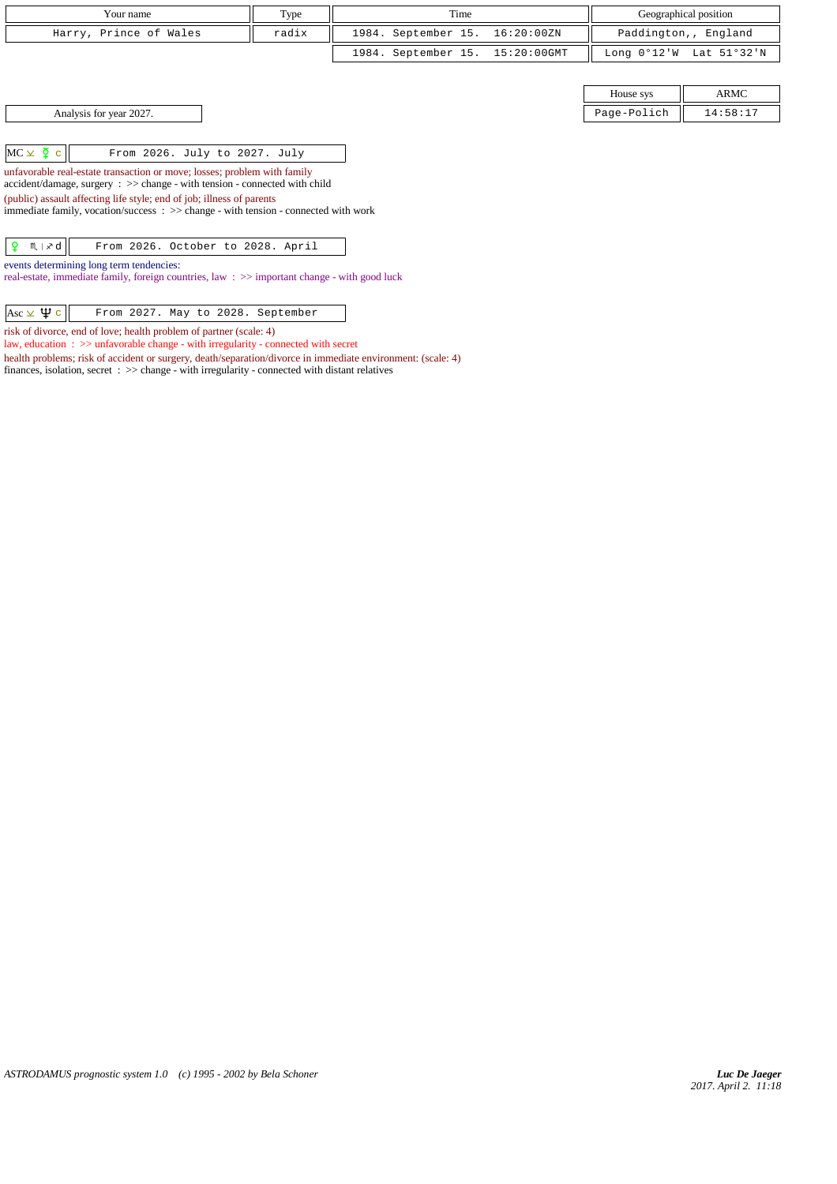| Your name                                                                                                                                                                                                                                                              | Type  |  |                     | Time |             |                       | Geographical position |
|------------------------------------------------------------------------------------------------------------------------------------------------------------------------------------------------------------------------------------------------------------------------|-------|--|---------------------|------|-------------|-----------------------|-----------------------|
|                                                                                                                                                                                                                                                                        |       |  |                     |      |             |                       |                       |
| Harry, Prince of Wales                                                                                                                                                                                                                                                 | radix |  | 1984. September 15. |      | 16:20:00ZN  |                       | Paddington,, England  |
|                                                                                                                                                                                                                                                                        |       |  | 1984. September 15. |      | 15:20:00GMT | Long $0^{\circ}12$ 'W | Lat 51°32'N           |
|                                                                                                                                                                                                                                                                        |       |  |                     |      |             |                       |                       |
|                                                                                                                                                                                                                                                                        |       |  |                     |      |             | House sys             | <b>ARMC</b>           |
| Analysis for year 2027.                                                                                                                                                                                                                                                |       |  |                     |      |             | Page-Polich           | 14:58:17              |
| $MC \times \Sigma$ c                                                                                                                                                                                                                                                   |       |  |                     |      |             |                       |                       |
| From 2026. July to 2027. July<br>unfavorable real-estate transaction or move; losses; problem with family<br>$accident/damage$ , surgery : $\gg$ change - with tension - connected with child<br>(public) assault affecting life style; end of job; illness of parents |       |  |                     |      |             |                       |                       |
| immediate family, vocation/success : >> change - with tension - connected with work                                                                                                                                                                                    |       |  |                     |      |             |                       |                       |
| .9<br>$M \times d$<br>From 2026. October to 2028. April                                                                                                                                                                                                                |       |  |                     |      |             |                       |                       |
| events determining long term tendencies:<br>real-estate, immediate family, foreign countries, law: >> important change - with good luck                                                                                                                                |       |  |                     |      |             |                       |                       |

| Asc $\times \Psi$ c | From 2027. May to 2028. September |  |  |
|---------------------|-----------------------------------|--|--|
|                     |                                   |  |  |

risk of divorce, end of love; health problem of partner (scale: 4)

law, education : >> unfavorable change - with irregularity - connected with secret

health problems; risk of accident or surgery, death/separation/divorce in immediate environment: (scale: 4) finances, isolation, secret : >> change - with irregularity - connected with distant relatives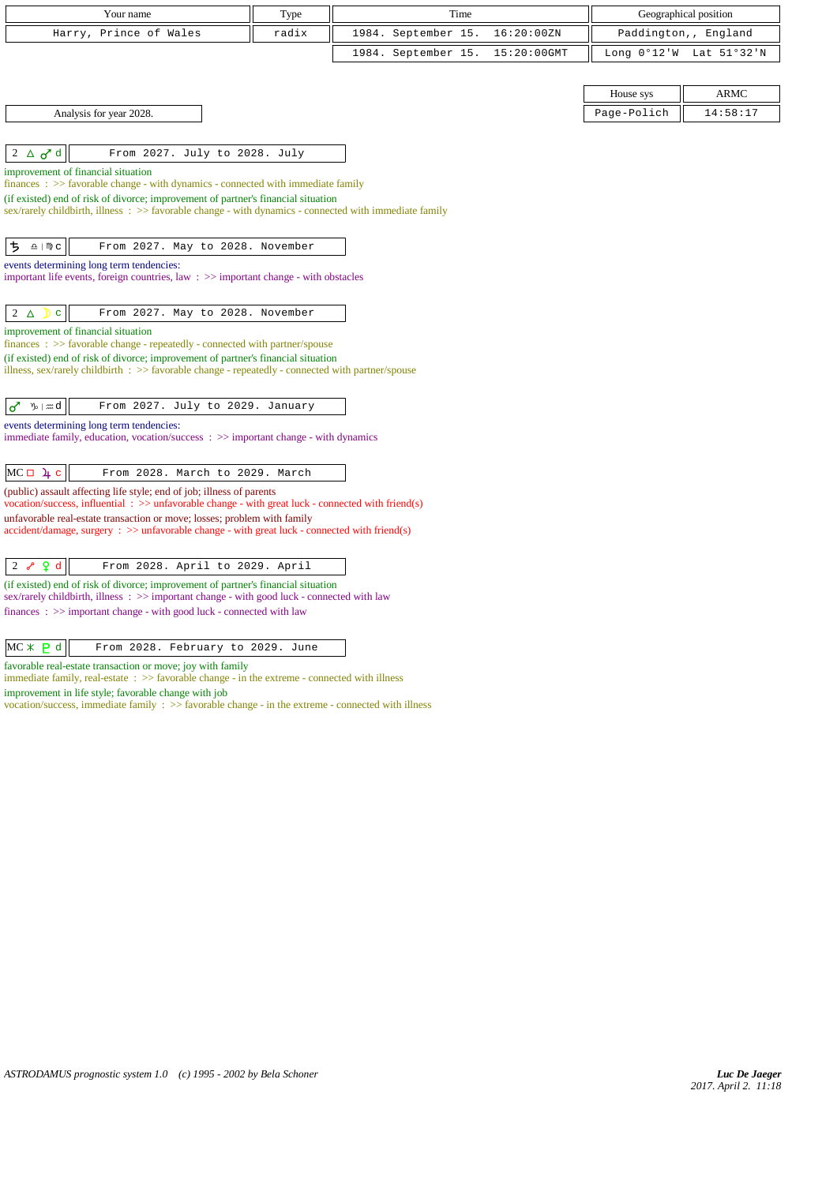| Your name                                                                                                                                                                            | Type  | Time                |             |               | Geographical position |
|--------------------------------------------------------------------------------------------------------------------------------------------------------------------------------------|-------|---------------------|-------------|---------------|-----------------------|
| Prince of Wales<br>Harry,                                                                                                                                                            | radix | 1984. September 15. | 16:20:00ZN  |               | Paddington,, England  |
|                                                                                                                                                                                      |       | 1984. September 15. | 15:20:00GMT | Long $0°12'W$ | Lat 51°32'N           |
|                                                                                                                                                                                      |       |                     |             |               |                       |
|                                                                                                                                                                                      |       |                     |             | House sys     | <b>ARMC</b>           |
| Analysis for year 2028.                                                                                                                                                              |       |                     |             | Page-Polich   | 14:58:17              |
|                                                                                                                                                                                      |       |                     |             |               |                       |
| $2 \triangle \sigma^d$<br>From 2027. July to 2028. July                                                                                                                              |       |                     |             |               |                       |
| improvement of financial situation<br>$finances : \gg$ favorable change - with dynamics - connected with immediate family                                                            |       |                     |             |               |                       |
| (if existed) end of risk of divorce; improvement of partner's financial situation                                                                                                    |       |                     |             |               |                       |
| sex/rarely childbirth, illness : >> favorable change - with dynamics - connected with immediate family                                                                               |       |                     |             |               |                       |
|                                                                                                                                                                                      |       |                     |             |               |                       |
| ち<br>$\underline{\Omega}$   $\mathbb{N}$ C<br>From 2027. May to 2028. November                                                                                                       |       |                     |             |               |                       |
| events determining long term tendencies:<br>important life events, foreign countries, law $\Rightarrow$ important change - with obstacles                                            |       |                     |             |               |                       |
|                                                                                                                                                                                      |       |                     |             |               |                       |
| $2\Delta$<br>From 2027. May to 2028. November<br>$\mathbf{C}$                                                                                                                        |       |                     |             |               |                       |
| improvement of financial situation                                                                                                                                                   |       |                     |             |               |                       |
| $finances : \gg$ favorable change - repeatedly - connected with partner/spouse<br>(if existed) end of risk of divorce; improvement of partner's financial situation                  |       |                     |             |               |                       |
| illness, sex/rarely childbirth $\therefore$ >> favorable change - repeatedly - connected with partner/spouse                                                                         |       |                     |             |               |                       |
|                                                                                                                                                                                      |       |                     |             |               |                       |
| $\n  y$ $\infty$ $d$<br>♂<br>From 2027. July to 2029. January                                                                                                                        |       |                     |             |               |                       |
| events determining long term tendencies:<br>immediate family, education, vocation/success $\Rightarrow$ important change - with dynamics                                             |       |                     |             |               |                       |
|                                                                                                                                                                                      |       |                     |             |               |                       |
| $MC \Box$ $\downarrow$ c<br>From 2028. March to 2029. March                                                                                                                          |       |                     |             |               |                       |
| (public) assault affecting life style; end of job; illness of parents<br>vocation/success, influential $\Rightarrow$ unfavorable change - with great luck - connected with friend(s) |       |                     |             |               |                       |
| unfavorable real-estate transaction or move; losses; problem with family<br>$accident/damage$ , surgery : >> unfavorable change - with great luck - connected with friend(s)         |       |                     |             |               |                       |
|                                                                                                                                                                                      |       |                     |             |               |                       |
| $2$ $\sqrt{2}$ $\frac{1}{2}$ d<br>From 2028. April to 2029. April                                                                                                                    |       |                     |             |               |                       |
| (if existed) end of risk of divorce; improvement of partner's financial situation                                                                                                    |       |                     |             |               |                       |
| sex/rarely childbirth, illness : >> important change - with good luck - connected with law<br>finances $\Rightarrow$ important change - with good luck - connected with law          |       |                     |             |               |                       |

 $MC X P d$  From 2028. February to 2029. June

favorable real-estate transaction or move; joy with family

immediate family, real-estate : >> favorable change - in the extreme - connected with illness

improvement in life style; favorable change with job

vocation/success, immediate family : >> favorable change - in the extreme - connected with illness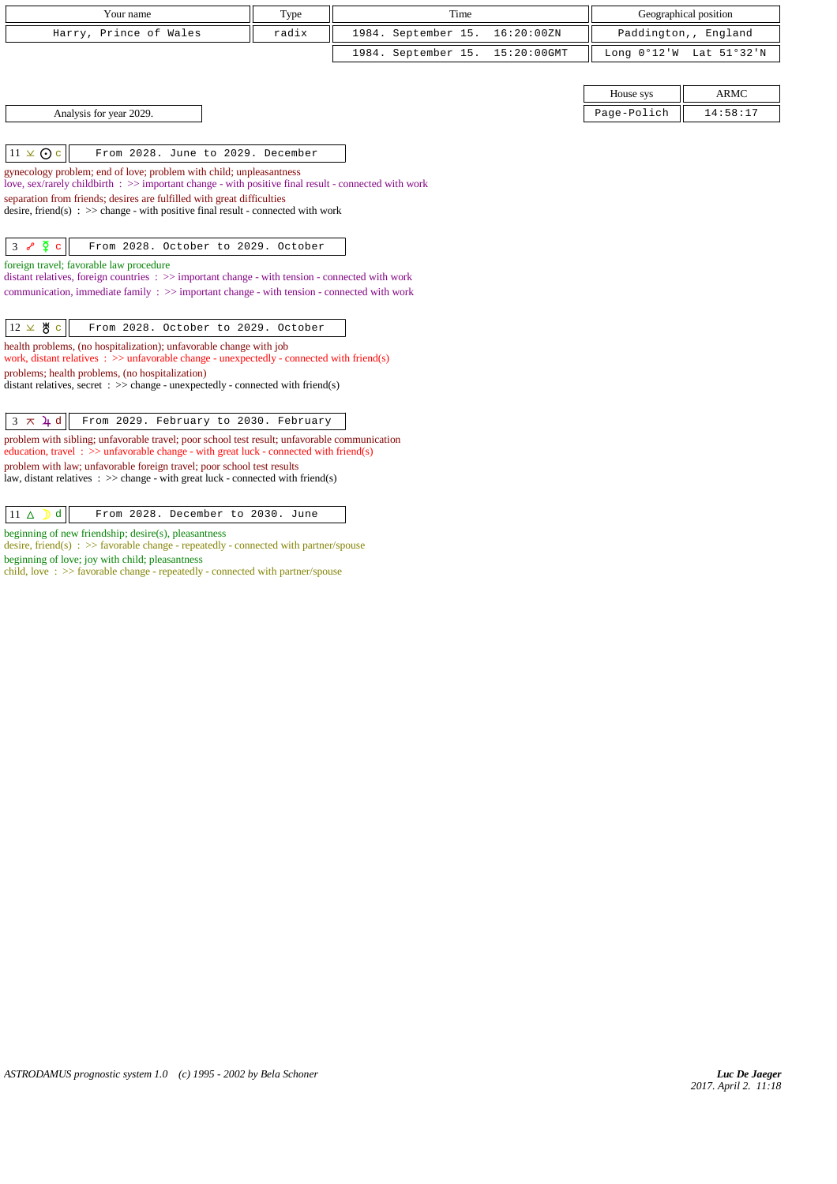| Your name              | Type  | Time                            | Geographical position                     |
|------------------------|-------|---------------------------------|-------------------------------------------|
| Harry, Prince of Wales | radix | 1984. September 15. 16:20:00ZN  | Paddington,, England                      |
|                        |       | 1984. September 15. 15:20:00GMT | Long $0^{\circ}12'W$ Lat $51^{\circ}32'W$ |

 $\|11 \times \text{O} \cdot \|$  From 2028. June to 2029. December

gynecology problem; end of love; problem with child; unpleasantness

love, sex/rarely childbirth : >> important change - with positive final result - connected with work

separation from friends; desires are fulfilled with great difficulties

desire, friend(s) : >> change - with positive final result - connected with work

 $\begin{vmatrix} 3 & \sqrt{\rho} & c \end{vmatrix}$  From 2028. October to 2029. October

foreign travel; favorable law procedure

distant relatives, foreign countries : >> important change - with tension - connected with work communication, immediate family : >> important change - with tension - connected with work

|  |  |  | $\begin{vmatrix} 12 \times 8 & c \end{vmatrix}$ From 2028. October to 2029. October |
|--|--|--|-------------------------------------------------------------------------------------|
|--|--|--|-------------------------------------------------------------------------------------|

health problems, (no hospitalization); unfavorable change with job

work, distant relatives  $\therefore$  >> unfavorable change - unexpectedly - connected with friend(s) problems; health problems, (no hospitalization)

distant relatives, secret :  $\gg$  change - unexpectedly - connected with friend(s)

## $\begin{vmatrix} 3 & \pi & 1 \end{vmatrix}$  From 2029. February to 2030. February

problem with sibling; unfavorable travel; poor school test result; unfavorable communication education, travel : >> unfavorable change - with great luck - connected with friend(s) problem with law; unfavorable foreign travel; poor school test results law, distant relatives :  $\gg$  change - with great luck - connected with friend(s)

## $\boxed{11 \Delta$   $\boxed{d}$  From 2028. December to 2030. June

beginning of new friendship; desire(s), pleasantness

desire, friend(s) :  $\gg$  favorable change - repeatedly - connected with partner/spouse beginning of love; joy with child; pleasantness

child, love : >> favorable change - repeatedly - connected with partner/spouse

|                         | House sys   | <b>ARMC</b> |
|-------------------------|-------------|-------------|
| Analysis for year 2029. | Page-Polich | 14:58:17    |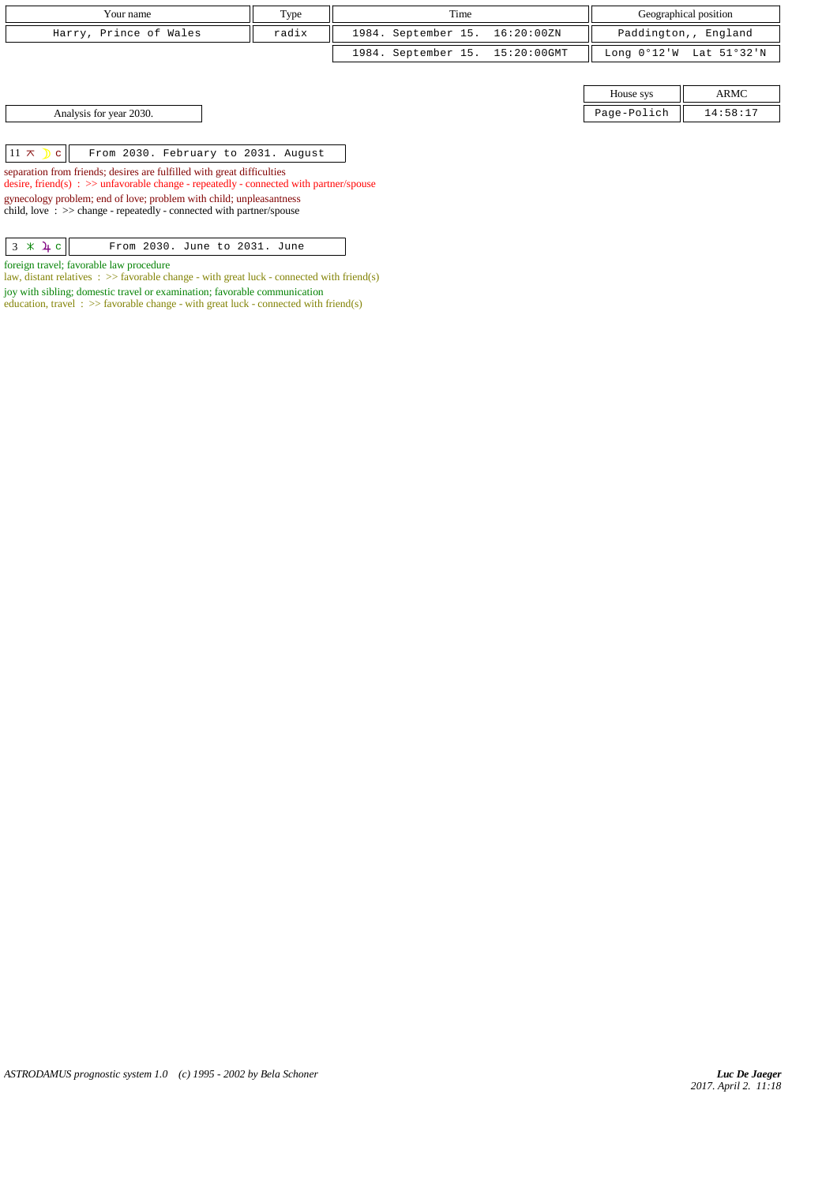| Your name              | Type  | Time                            | Geographical position                     |
|------------------------|-------|---------------------------------|-------------------------------------------|
| Harry, Prince of Wales | radix | 1984. September 15. 16:20:00ZN  | Paddington,, England                      |
|                        |       | 1984. September 15. 15:20:00GMT | Long $0^{\circ}12'W$ Lat $51^{\circ}32'W$ |

House sys ARMC Analysis for year 2030. Page-Polich 14:58:17

 $11 \times$   $c$  From 2030. February to 2031. August

separation from friends; desires are fulfilled with great difficulties desire, friend(s) : >> unfavorable change - repeatedly - connected with partner/spouse

gynecology problem; end of love; problem with child; unpleasantness child, love : >> change - repeatedly - connected with partner/spouse

| $3 \times 4 c$ | From 2030. June to 2031. June |  |  |  |
|----------------|-------------------------------|--|--|--|
|                |                               |  |  |  |

foreign travel; favorable law procedure

law, distant relatives  $\therefore$  >> favorable change - with great luck - connected with friend(s) joy with sibling; domestic travel or examination; favorable communication

education, travel :  $\gg$  favorable change - with great luck - connected with friend(s)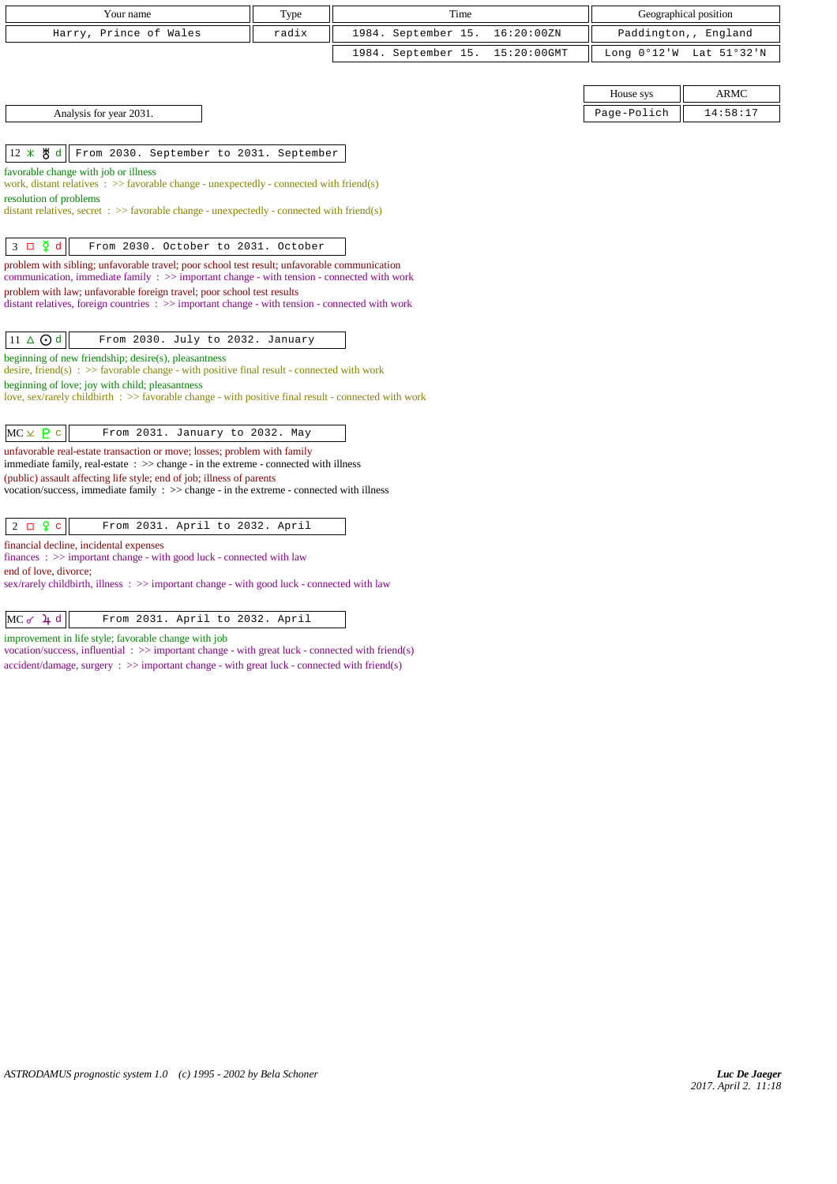| Your name              | Type  | Time                            | Geographical position                     |
|------------------------|-------|---------------------------------|-------------------------------------------|
| Harry, Prince of Wales | radix | 1984. September 15. 16:20:00ZN  | Paddington,, England                      |
|                        |       | 1984. September 15. 15:20:00GMT | Long $0^{\circ}12'W$ Lat $51^{\circ}32'W$ |

| House sys                   |            |
|-----------------------------|------------|
| $D = \alpha - D - i \alpha$ | $-59 - 17$ |

Analysis for year 2031.

 $\|12 \times \mathcal{B}\|$  From 2030. September to 2031. September

favorable change with job or illness

work, distant relatives : >> favorable change - unexpectedly - connected with friend(s) resolution of problems

distant relatives, secret :  $\gg$  favorable change - unexpectedly - connected with friend(s)

 $\begin{vmatrix} 3 & \Box & \tilde{Y} & d \end{vmatrix}$  From 2030. October to 2031. October

problem with sibling; unfavorable travel; poor school test result; unfavorable communication communication, immediate family  $\Rightarrow$  important change - with tension - connected with work problem with law; unfavorable foreign travel; poor school test results  $distance$ , foreign countries  $\Rightarrow$  important change - with tension - connected with work

 $\boxed{11 \Delta \text{ Od}}$  From 2030. July to 2032. January

beginning of new friendship; desire(s), pleasantness

desire, friend(s) :  $\gg$  favorable change - with positive final result - connected with work beginning of love; joy with child; pleasantness

love, sex/rarely childbirth : >> favorable change - with positive final result - connected with work

unfavorable real-estate transaction or move; losses; problem with family immediate family, real-estate : >> change - in the extreme - connected with illness (public) assault affecting life style; end of job; illness of parents

vocation/success, immediate family : >> change - in the extreme - connected with illness

financial decline, incidental expenses

finances : >> important change - with good luck - connected with law

end of love, divorce;

sex/rarely childbirth, illness : >> important change - with good luck - connected with law

improvement in life style; favorable change with job

vocation/success, influential : >> important change - with great luck - connected with friend(s) accident/damage, surgery : >> important change - with great luck - connected with friend(s)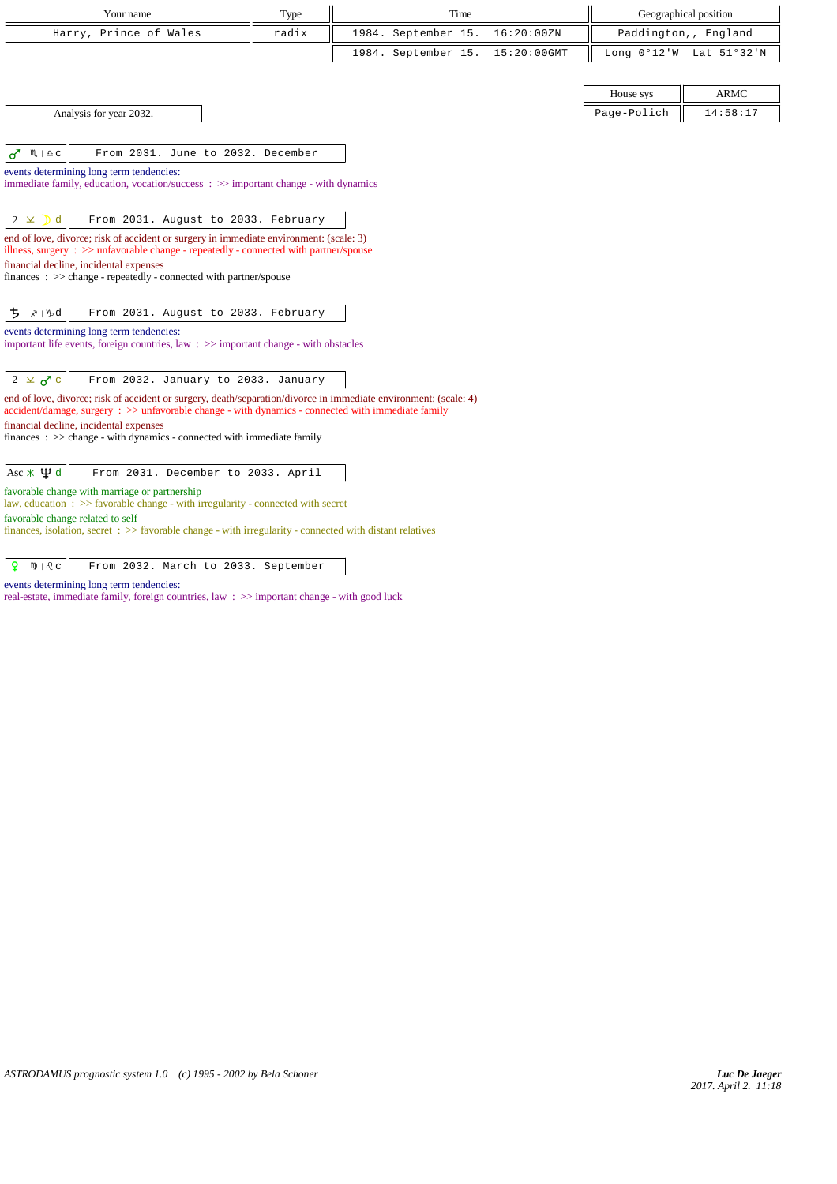| Your name<br>Time<br>Type<br>Harry, Prince of Wales<br>radix<br>1984. September 15.<br>16:20:00ZN<br>Paddington,, England                                                                                                    |                       |  |  |  |  |  |  |  |  |
|------------------------------------------------------------------------------------------------------------------------------------------------------------------------------------------------------------------------------|-----------------------|--|--|--|--|--|--|--|--|
|                                                                                                                                                                                                                              | Geographical position |  |  |  |  |  |  |  |  |
|                                                                                                                                                                                                                              |                       |  |  |  |  |  |  |  |  |
| 1984. September 15.<br>15:20:00GMT<br>Long 0°12'W Lat 51°32'N                                                                                                                                                                |                       |  |  |  |  |  |  |  |  |
|                                                                                                                                                                                                                              |                       |  |  |  |  |  |  |  |  |
| House sys                                                                                                                                                                                                                    | <b>ARMC</b>           |  |  |  |  |  |  |  |  |
| Analysis for year 2032.<br>Page-Polich                                                                                                                                                                                       | 14:58:17              |  |  |  |  |  |  |  |  |
|                                                                                                                                                                                                                              |                       |  |  |  |  |  |  |  |  |
| $\sigma$<br>$M \rvert \triangleq C$<br>From 2031. June to 2032. December                                                                                                                                                     |                       |  |  |  |  |  |  |  |  |
| events determining long term tendencies:                                                                                                                                                                                     |                       |  |  |  |  |  |  |  |  |
| immediate family, education, vocation/success $\Rightarrow$ important change - with dynamics                                                                                                                                 |                       |  |  |  |  |  |  |  |  |
|                                                                                                                                                                                                                              |                       |  |  |  |  |  |  |  |  |
| d<br>From 2031. August to 2033. February<br>$2 \times$                                                                                                                                                                       |                       |  |  |  |  |  |  |  |  |
| end of love, divorce; risk of accident or surgery in immediate environment: (scale: 3)<br>illness, surgery $\therefore$ $\gg$ unfavorable change - repeatedly - connected with partner/spouse                                |                       |  |  |  |  |  |  |  |  |
| financial decline, incidental expenses                                                                                                                                                                                       |                       |  |  |  |  |  |  |  |  |
| finances: >> change - repeatedly - connected with partner/spouse                                                                                                                                                             |                       |  |  |  |  |  |  |  |  |
| ち<br>∡≀ ∿d<br>From 2031. August to 2033. February                                                                                                                                                                            |                       |  |  |  |  |  |  |  |  |
| events determining long term tendencies:                                                                                                                                                                                     |                       |  |  |  |  |  |  |  |  |
| important life events, foreign countries, law $\Rightarrow$ important change - with obstacles                                                                                                                                |                       |  |  |  |  |  |  |  |  |
|                                                                                                                                                                                                                              |                       |  |  |  |  |  |  |  |  |
| From 2032. January to 2033. January<br>$2 \times 7c$                                                                                                                                                                         |                       |  |  |  |  |  |  |  |  |
| end of love, divorce; risk of accident or surgery, death/separation/divorce in immediate environment: (scale: 4)<br>$accident/damage$ , surgery : $\gg$ unfavorable change - with dynamics - connected with immediate family |                       |  |  |  |  |  |  |  |  |
| financial decline, incidental expenses                                                                                                                                                                                       |                       |  |  |  |  |  |  |  |  |
| $finances : \gg change - with dynamics - connected with immediate family$                                                                                                                                                    |                       |  |  |  |  |  |  |  |  |
| $\text{Asc} \times \Psi d$<br>From 2031. December to 2033. April                                                                                                                                                             |                       |  |  |  |  |  |  |  |  |
| favorable change with marriage or partnership                                                                                                                                                                                |                       |  |  |  |  |  |  |  |  |
| law, education: >> favorable change - with irregularity - connected with secret<br>favorable change related to self                                                                                                          |                       |  |  |  |  |  |  |  |  |

finances, isolation, secret : >> favorable change - with irregularity - connected with distant relatives

 $\boxed{ \rho \quad \text{N} \mid \text{Q} \text{c}}$  From 2032. March to 2033. September

events determining long term tendencies:

real-estate, immediate family, foreign countries, law : >> important change - with good luck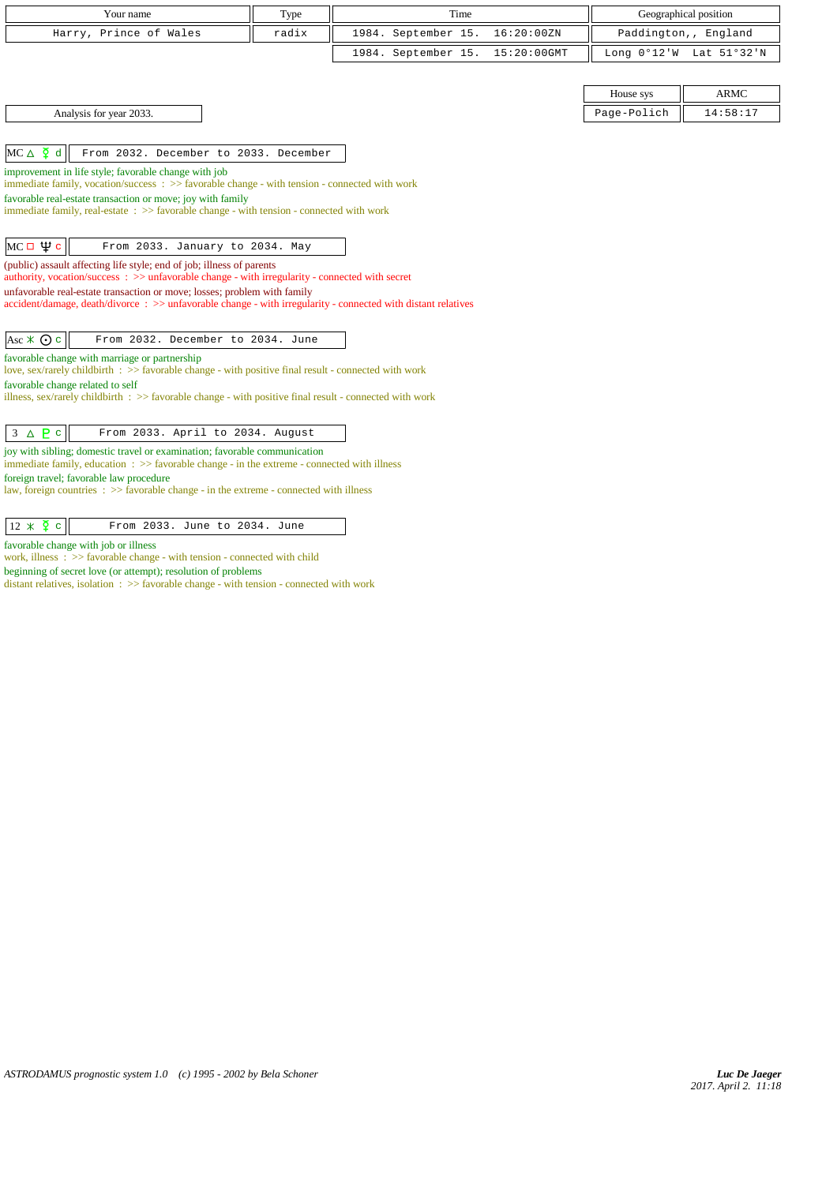| Your name                                                                                                                                                                                |       | Time                |             |             |                         |  |  |  |
|------------------------------------------------------------------------------------------------------------------------------------------------------------------------------------------|-------|---------------------|-------------|-------------|-------------------------|--|--|--|
|                                                                                                                                                                                          | Type  |                     |             |             | Geographical position   |  |  |  |
| Harry, Prince of Wales                                                                                                                                                                   | radix | 1984. September 15. | 16:20:00ZN  |             | Paddington,, England    |  |  |  |
|                                                                                                                                                                                          |       | 1984. September 15. | 15:20:00GMT |             | Long 0°12'W Lat 51°32'N |  |  |  |
|                                                                                                                                                                                          |       |                     |             |             |                         |  |  |  |
|                                                                                                                                                                                          |       |                     |             | House sys   | <b>ARMC</b>             |  |  |  |
| Analysis for year 2033.                                                                                                                                                                  |       |                     |             | Page-Polich | 14:58:17                |  |  |  |
|                                                                                                                                                                                          |       |                     |             |             |                         |  |  |  |
| $MC \triangle \n\begin{bmatrix} 0 \\ 4 \end{bmatrix}$ d<br>From 2032. December to 2033. December                                                                                         |       |                     |             |             |                         |  |  |  |
| improvement in life style; favorable change with job                                                                                                                                     |       |                     |             |             |                         |  |  |  |
| immediate family, vocation/success $\Rightarrow$ Savorable change - with tension - connected with work                                                                                   |       |                     |             |             |                         |  |  |  |
| favorable real-estate transaction or move; joy with family<br>immediate family, real-estate : >> favorable change - with tension - connected with work                                   |       |                     |             |             |                         |  |  |  |
|                                                                                                                                                                                          |       |                     |             |             |                         |  |  |  |
| MC $\Box$ Фс<br>From 2033. January to 2034. May                                                                                                                                          |       |                     |             |             |                         |  |  |  |
| (public) assault affecting life style; end of job; illness of parents                                                                                                                    |       |                     |             |             |                         |  |  |  |
| authority, vocation/success: >> unfavorable change - with irregularity - connected with secret                                                                                           |       |                     |             |             |                         |  |  |  |
| unfavorable real-estate transaction or move; losses; problem with family<br>accident/damage, death/divorce: >> unfavorable change - with irregularity - connected with distant relatives |       |                     |             |             |                         |  |  |  |
|                                                                                                                                                                                          |       |                     |             |             |                         |  |  |  |
| From 2032. December to 2034. June<br>Asc $\angle$ $\odot$ c                                                                                                                              |       |                     |             |             |                         |  |  |  |
| favorable change with marriage or partnership                                                                                                                                            |       |                     |             |             |                         |  |  |  |
| love, sex/rarely childbirth : >> favorable change - with positive final result - connected with work                                                                                     |       |                     |             |             |                         |  |  |  |
| favorable change related to self<br>illness, sex/rarely childbirth $\Rightarrow$ Savorable change - with positive final result - connected with work                                     |       |                     |             |             |                         |  |  |  |
|                                                                                                                                                                                          |       |                     |             |             |                         |  |  |  |
| $3 \triangle P$<br>From 2033. April to 2034. August                                                                                                                                      |       |                     |             |             |                         |  |  |  |
| joy with sibling; domestic travel or examination; favorable communication                                                                                                                |       |                     |             |             |                         |  |  |  |
| immediate family, education : >> favorable change - in the extreme - connected with illness                                                                                              |       |                     |             |             |                         |  |  |  |
| foreign travel; favorable law procedure<br>law, foreign countries $\Rightarrow$ > favorable change - in the extreme - connected with illness                                             |       |                     |             |             |                         |  |  |  |
|                                                                                                                                                                                          |       |                     |             |             |                         |  |  |  |

| From 2033. June to 2034. June |  |
|-------------------------------|--|
|-------------------------------|--|

favorable change with job or illness

work, illness :  $\gg$  favorable change - with tension - connected with child

beginning of secret love (or attempt); resolution of problems distant relatives, isolation : >> favorable change - with tension - connected with work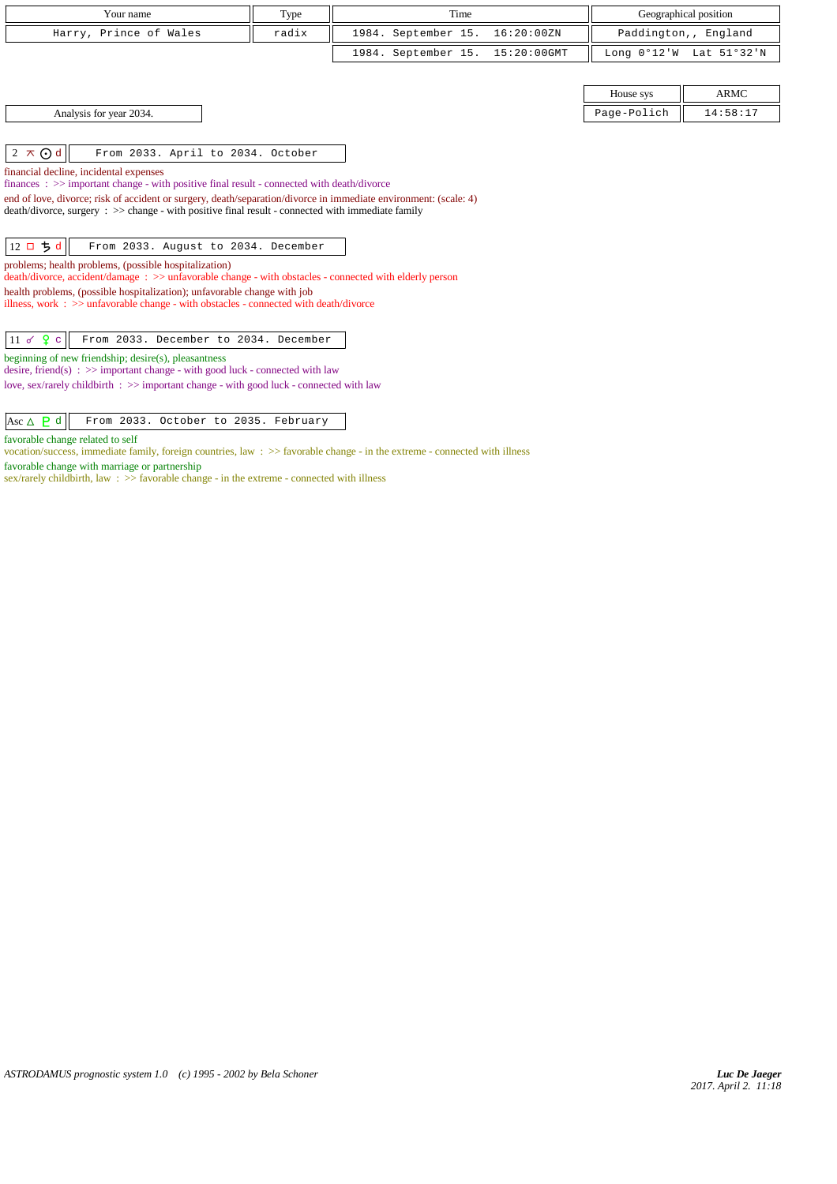| Your name                                                                                                                                                       | Type<br>Time |                     |             | Geographical position |             |  |  |  |
|-----------------------------------------------------------------------------------------------------------------------------------------------------------------|--------------|---------------------|-------------|-----------------------|-------------|--|--|--|
| Harry, Prince of Wales                                                                                                                                          | radix        | 1984. September 15. | 16:20:00ZN  | Paddington,, England  |             |  |  |  |
|                                                                                                                                                                 |              | 1984. September 15. | 15:20:00GMT | Long $0°12'W$         | Lat 51°32'N |  |  |  |
|                                                                                                                                                                 |              |                     |             |                       |             |  |  |  |
|                                                                                                                                                                 |              |                     |             | House sys             | ARMC        |  |  |  |
| Analysis for year 2034.                                                                                                                                         |              |                     |             | Page-Polich           | 14:58:17    |  |  |  |
|                                                                                                                                                                 |              |                     |             |                       |             |  |  |  |
| $2 \times Qd$<br>From 2033. April to 2034. October                                                                                                              |              |                     |             |                       |             |  |  |  |
| financial decline, incidental expenses                                                                                                                          |              |                     |             |                       |             |  |  |  |
| finances : >> important change - with positive final result - connected with death/divorce                                                                      |              |                     |             |                       |             |  |  |  |
| end of love, divorce; risk of accident or surgery, death/separation/divorce in immediate environment: (scale: 4)                                                |              |                     |             |                       |             |  |  |  |
| $death/divorce, surgery : >> change - with positive final result - connected with immediate family$                                                             |              |                     |             |                       |             |  |  |  |
|                                                                                                                                                                 |              |                     |             |                       |             |  |  |  |
| $12 \square 5d$<br>From 2033. August to 2034. December                                                                                                          |              |                     |             |                       |             |  |  |  |
| problems; health problems, (possible hospitalization)<br>death/divorce, accident/damage: >> unfavorable change - with obstacles - connected with elderly person |              |                     |             |                       |             |  |  |  |
| health problems, (possible hospitalization); unfavorable change with job                                                                                        |              |                     |             |                       |             |  |  |  |
| illness, work : $\gg$ unfavorable change - with obstacles - connected with death/divorce                                                                        |              |                     |             |                       |             |  |  |  |
|                                                                                                                                                                 |              |                     |             |                       |             |  |  |  |
| $11 \times 9$ c<br>From 2033. December to 2034. December                                                                                                        |              |                     |             |                       |             |  |  |  |
| beginning of new friendship; desire(s), pleasantness<br>desire, friend(s) : $\gg$ important change - with good luck - connected with law                        |              |                     |             |                       |             |  |  |  |
| love, sex/rarely childbirth $\Rightarrow$ important change - with good luck - connected with law                                                                |              |                     |             |                       |             |  |  |  |
|                                                                                                                                                                 |              |                     |             |                       |             |  |  |  |

|  | Asc $\Delta$ $\overline{P}$ d $\overline{P}$ From 2033. October to 2035. February |  |  |  |
|--|-----------------------------------------------------------------------------------|--|--|--|
|--|-----------------------------------------------------------------------------------|--|--|--|

favorable change related to self

vocation/success, immediate family, foreign countries, law : >> favorable change - in the extreme - connected with illness

favorable change with marriage or partnership

sex/rarely childbirth, law :  $\gg$  favorable change - in the extreme - connected with illness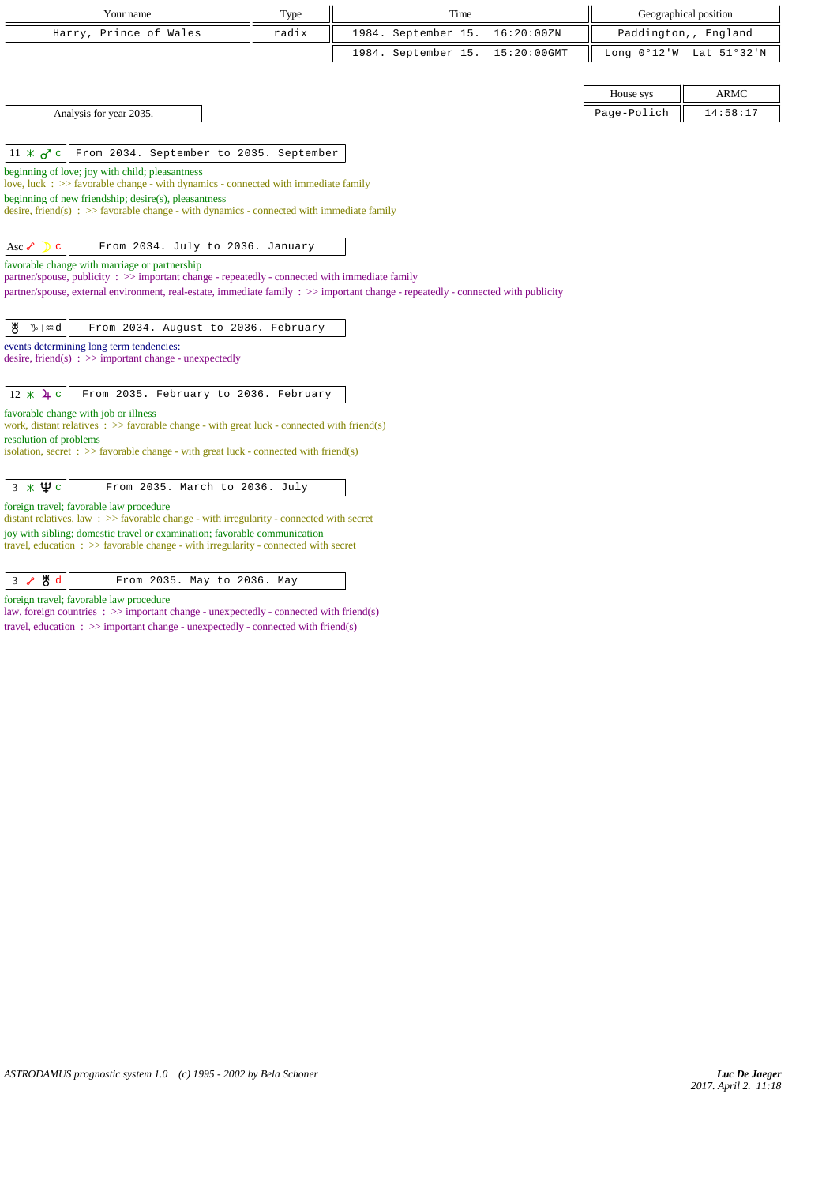| Your name              | T <sub>VDE</sub> | Time                            | Geographical position                                       |
|------------------------|------------------|---------------------------------|-------------------------------------------------------------|
| Harry, Prince of Wales | radix            | 1984. September 15. 16:20:00ZN  | Paddington,, England                                        |
|                        |                  | 1984. September 15. 15:20:00GMT | Long $0^{\circ}12^{\prime}$ W Lat $51^{\circ}32^{\prime}$ N |

|  | Analysis for year 2035. |  |
|--|-------------------------|--|
|--|-------------------------|--|

 $\|11 \times \sigma^r c\|$  From 2034. September to 2035. September

beginning of love; joy with child; pleasantness

love, luck : >> favorable change - with dynamics - connected with immediate family

beginning of new friendship; desire(s), pleasantness

desire, friend(s) : >> favorable change - with dynamics - connected with immediate family

Asc  $\delta$  c  $\parallel$  From 2034. July to 2036. January

favorable change with marriage or partnership

partner/spouse, publicity :  $\gg$  important change - repeatedly - connected with immediate family

partner/spouse, external environment, real-estate, immediate family : >> important change - repeatedly - connected with publicity

|--|--|--|--|--|--|--|--|

events determining long term tendencies:

desire, friend(s) :  $\gg$  important change - unexpectedly

 $\boxed{12 \times \mathcal{L} \subset \mathbb{F}$  From 2035. February to 2036. February

favorable change with job or illness

work, distant relatives : >> favorable change - with great luck - connected with friend(s) resolution of problems

isolation, secret : >> favorable change - with great luck - connected with friend(s)

| $3 \times \Psi$ c<br>From 2035. March to 2036. July |  |
|-----------------------------------------------------|--|
|-----------------------------------------------------|--|

## foreign travel; favorable law procedure

distant relatives, law : >> favorable change - with irregularity - connected with secret joy with sibling; domestic travel or examination; favorable communication travel, education : >> favorable change - with irregularity - connected with secret

| $3$ $\sqrt[3]{8}$ d<br>From 2035. May to 2036. May |  |
|----------------------------------------------------|--|
|----------------------------------------------------|--|

foreign travel; favorable law procedure

law, foreign countries  $\Rightarrow$  important change - unexpectedly - connected with friend(s) travel, education :  $\gg$  important change - unexpectedly - connected with friend(s)

|                         | House sys   | <b>ARMC</b> |
|-------------------------|-------------|-------------|
| Analysis for year 2035. | Page-Polich | 14:58:17    |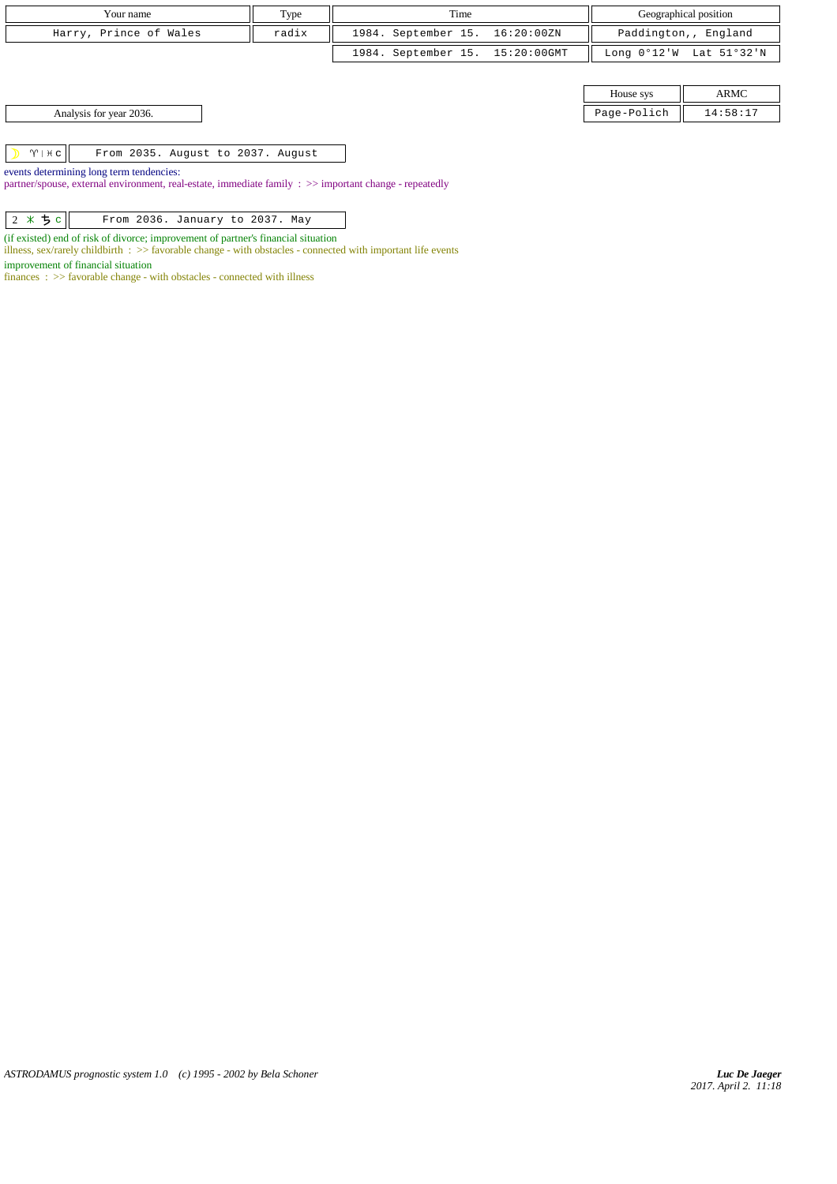| Your name              | Type  | Time                            | Geographical position                     |
|------------------------|-------|---------------------------------|-------------------------------------------|
| Harry, Prince of Wales | radix | 1984. September 15. 16:20:00ZN  | Paddington,, England                      |
|                        |       | 1984. September 15. 15:20:00GMT | Long $0^{\circ}12'W$ Lat $51^{\circ}32'W$ |

| House sys                   |                                   |
|-----------------------------|-----------------------------------|
| $D = \alpha - D - i \alpha$ | $\Lambda$ $\cdot$ 5.9 $\cdot$ 1.7 |

Analysis for year 2036. Page-Polich 14:58:17 Page-Polich 14:58:17 Page-Polich 14:58:17 Page-Polich 14:58:17 Page-Polich 14:58:17 Page - Polich 14:58:17 Page - Polich 14:58:17 Page - Polich 14:58:17 Page - Polich 14:58:17 P

 $|\gamma|$  From 2035. August to 2037. August

events determining long term tendencies:

partner/spouse, external environment, real-estate, immediate family : >> important change - repeatedly

| $2 * 5 c$<br>From 2036. January to 2037. May |  |
|----------------------------------------------|--|
|----------------------------------------------|--|

(if existed) end of risk of divorce; improvement of partner's financial situation

illness, sex/rarely childbirth : >> favorable change - with obstacles - connected with important life events

improvement of financial situation

finances :  $\gg$  favorable change - with obstacles - connected with illness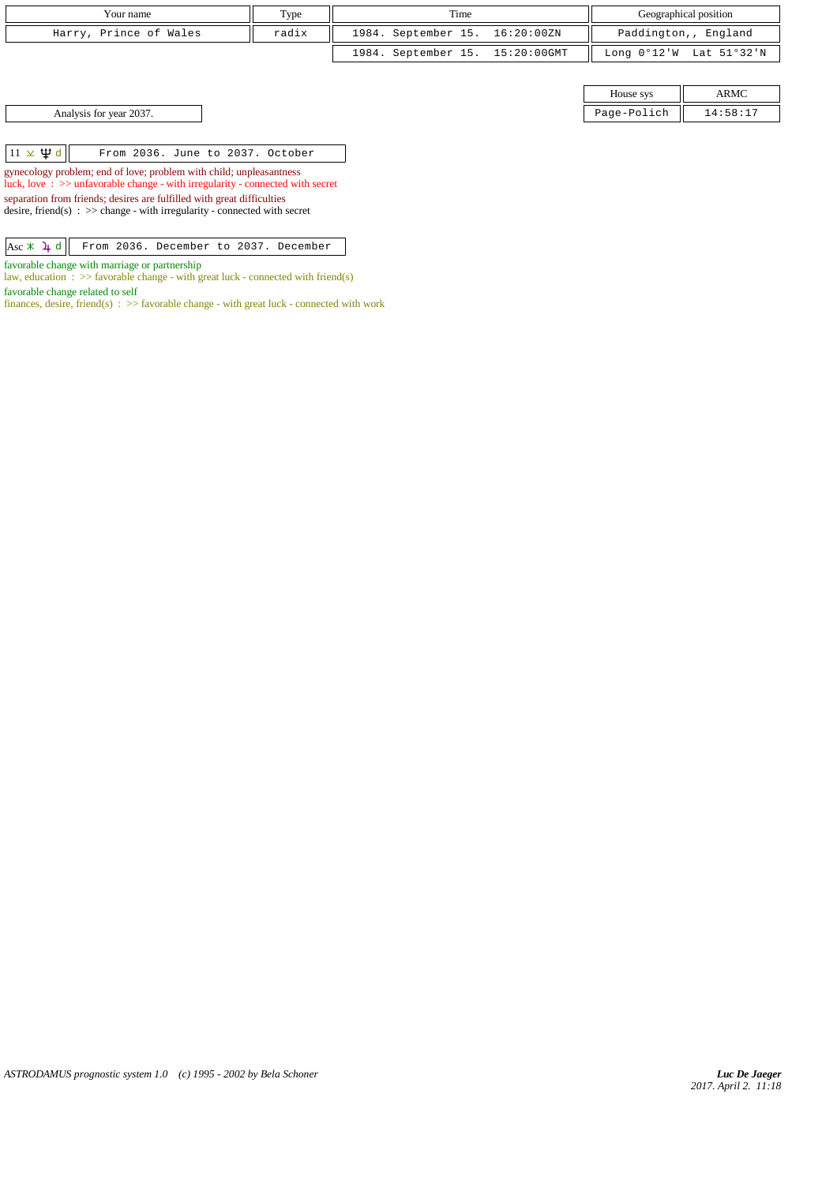| Your name              | Type  | Time                            | Geographical position                                     |
|------------------------|-------|---------------------------------|-----------------------------------------------------------|
| Harry, Prince of Wales | radix | 1984. September 15. 16:20:00ZN  | Paddington,, England                                      |
|                        |       | 1984. September 15. 15:20:00GMT | Long $0^{\circ}12^{\prime}W$ Lat $51^{\circ}32^{\prime}N$ |

House sys ARMC Analysis for year 2037. 2007.

|  | $11 \times \Psi d$ |  |  |  |  |  | From 2036. June to 2037. October |  |
|--|--------------------|--|--|--|--|--|----------------------------------|--|
|--|--------------------|--|--|--|--|--|----------------------------------|--|

gynecology problem; end of love; problem with child; unpleasantness luck, love : >> unfavorable change - with irregularity - connected with secret

separation from friends; desires are fulfilled with great difficulties desire, friend(s)  $\Rightarrow$  > change - with irregularity - connected with secret

|  |  | $\overline{Asc * 4d}$ From 2036. December to 2037. December |  |  |
|--|--|-------------------------------------------------------------|--|--|

favorable change with marriage or partnership

law, education :  $\gg$  favorable change - with great luck - connected with friend(s) favorable change related to self

finances, desire, friend(s) :  $\gg$  favorable change - with great luck - connected with work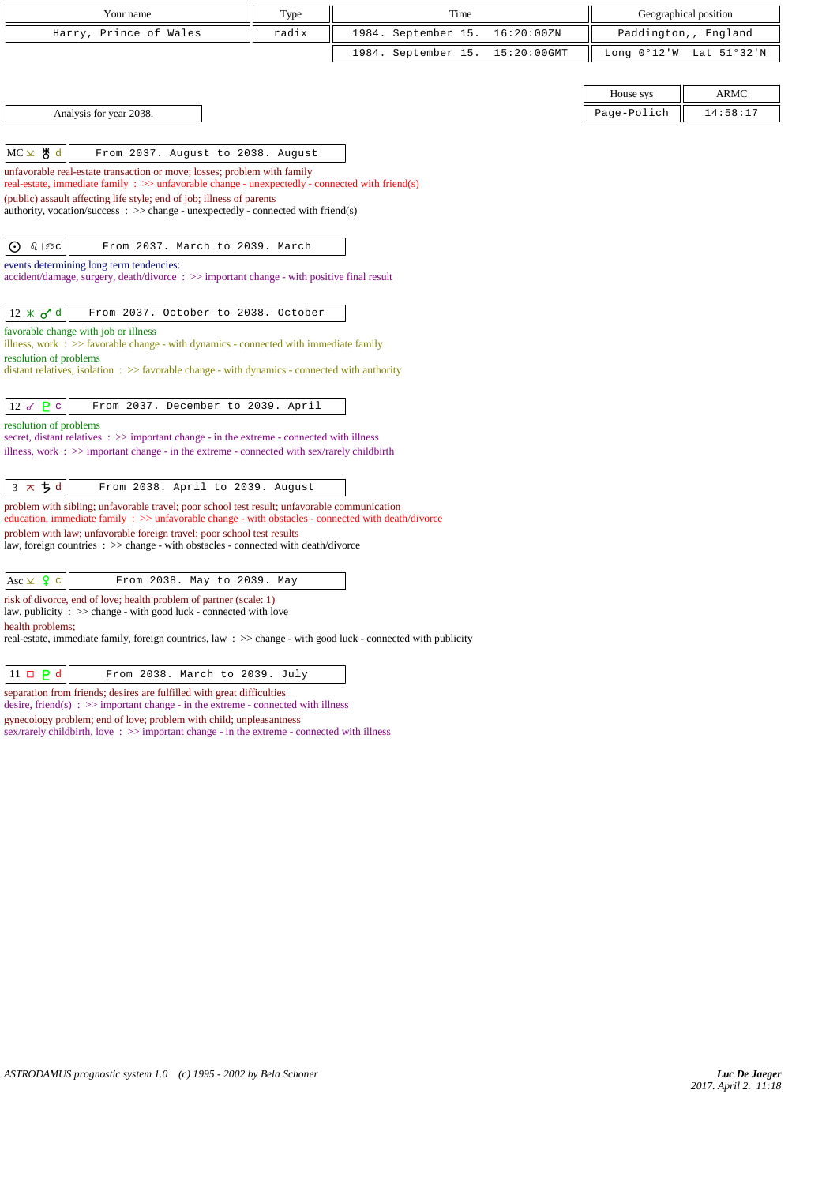| Your name                                                                                                                                                                                           | Type  | Time                               |                       | Geographical position |  |  |  |
|-----------------------------------------------------------------------------------------------------------------------------------------------------------------------------------------------------|-------|------------------------------------|-----------------------|-----------------------|--|--|--|
| Harry, Prince of Wales                                                                                                                                                                              | radix | 1984. September 15.<br>16:20:00ZN  |                       | Paddington,, England  |  |  |  |
|                                                                                                                                                                                                     |       | 1984. September 15.<br>15:20:00GMT | Long $0^{\circ}12$ 'W | Lat 51°32'N           |  |  |  |
|                                                                                                                                                                                                     |       |                                    |                       |                       |  |  |  |
|                                                                                                                                                                                                     |       |                                    | House sys             | <b>ARMC</b>           |  |  |  |
| Analysis for year 2038.                                                                                                                                                                             |       |                                    | Page-Polich           | 14:58:17              |  |  |  |
|                                                                                                                                                                                                     |       |                                    |                       |                       |  |  |  |
| MC 노 쁑 d<br>From 2037. August to 2038. August                                                                                                                                                       |       |                                    |                       |                       |  |  |  |
| unfavorable real-estate transaction or move; losses; problem with family<br>real-estate, immediate family : $\gg$ unfavorable change - unexpectedly - connected with friend(s)                      |       |                                    |                       |                       |  |  |  |
| (public) assault affecting life style; end of job; illness of parents                                                                                                                               |       |                                    |                       |                       |  |  |  |
| authority, vocation/success : $\gg$ change - unexpectedly - connected with friend(s)                                                                                                                |       |                                    |                       |                       |  |  |  |
| $\odot$<br>From 2037. March to 2039. March                                                                                                                                                          |       |                                    |                       |                       |  |  |  |
| events determining long term tendencies:                                                                                                                                                            |       |                                    |                       |                       |  |  |  |
| accident/damage, surgery, death/divorce: >> important change - with positive final result                                                                                                           |       |                                    |                       |                       |  |  |  |
|                                                                                                                                                                                                     |       |                                    |                       |                       |  |  |  |
| $12 \times \sigma$ <sup>d</sup><br>From 2037. October to 2038. October                                                                                                                              |       |                                    |                       |                       |  |  |  |
| favorable change with job or illness<br>illness, work $\div$ $\Rightarrow$ favorable change - with dynamics - connected with immediate family                                                       |       |                                    |                       |                       |  |  |  |
| resolution of problems                                                                                                                                                                              |       |                                    |                       |                       |  |  |  |
| distant relatives, isolation $\Rightarrow$ > favorable change - with dynamics - connected with authority                                                                                            |       |                                    |                       |                       |  |  |  |
| 12 $\sigma$ $P$ $C$<br>From 2037. December to 2039. April                                                                                                                                           |       |                                    |                       |                       |  |  |  |
| resolution of problems                                                                                                                                                                              |       |                                    |                       |                       |  |  |  |
| secret, distant relatives : >> important change - in the extreme - connected with illness<br>illness, work : $\gg$ important change - in the extreme - connected with sex/rarely childbirth         |       |                                    |                       |                       |  |  |  |
|                                                                                                                                                                                                     |       |                                    |                       |                       |  |  |  |
| $3 \times 5d$<br>From 2038. April to 2039. August                                                                                                                                                   |       |                                    |                       |                       |  |  |  |
| problem with sibling; unfavorable travel; poor school test result; unfavorable communication<br>education, immediate family : >> unfavorable change - with obstacles - connected with death/divorce |       |                                    |                       |                       |  |  |  |
| problem with law; unfavorable foreign travel; poor school test results<br>law, foreign countries : >> change - with obstacles - connected with death/divorce                                        |       |                                    |                       |                       |  |  |  |
|                                                                                                                                                                                                     |       |                                    |                       |                       |  |  |  |
| Asc $\times$ $\frac{6}{5}$ c<br>From 2038. May to 2039. May                                                                                                                                         |       |                                    |                       |                       |  |  |  |
| risk of divorce, end of love; health problem of partner (scale: 1)                                                                                                                                  |       |                                    |                       |                       |  |  |  |
| law, publicity : $\gg$ change - with good luck - connected with love<br>health problems;                                                                                                            |       |                                    |                       |                       |  |  |  |
| real-estate, immediate family, foreign countries, law: >> change - with good luck - connected with publicity                                                                                        |       |                                    |                       |                       |  |  |  |

separation from friends; desires are fulfilled with great difficulties

desire, friend(s)  $\Rightarrow$  > important change - in the extreme - connected with illness

gynecology problem; end of love; problem with child; unpleasantness

sex/rarely childbirth, love :  $\gg$  important change - in the extreme - connected with illness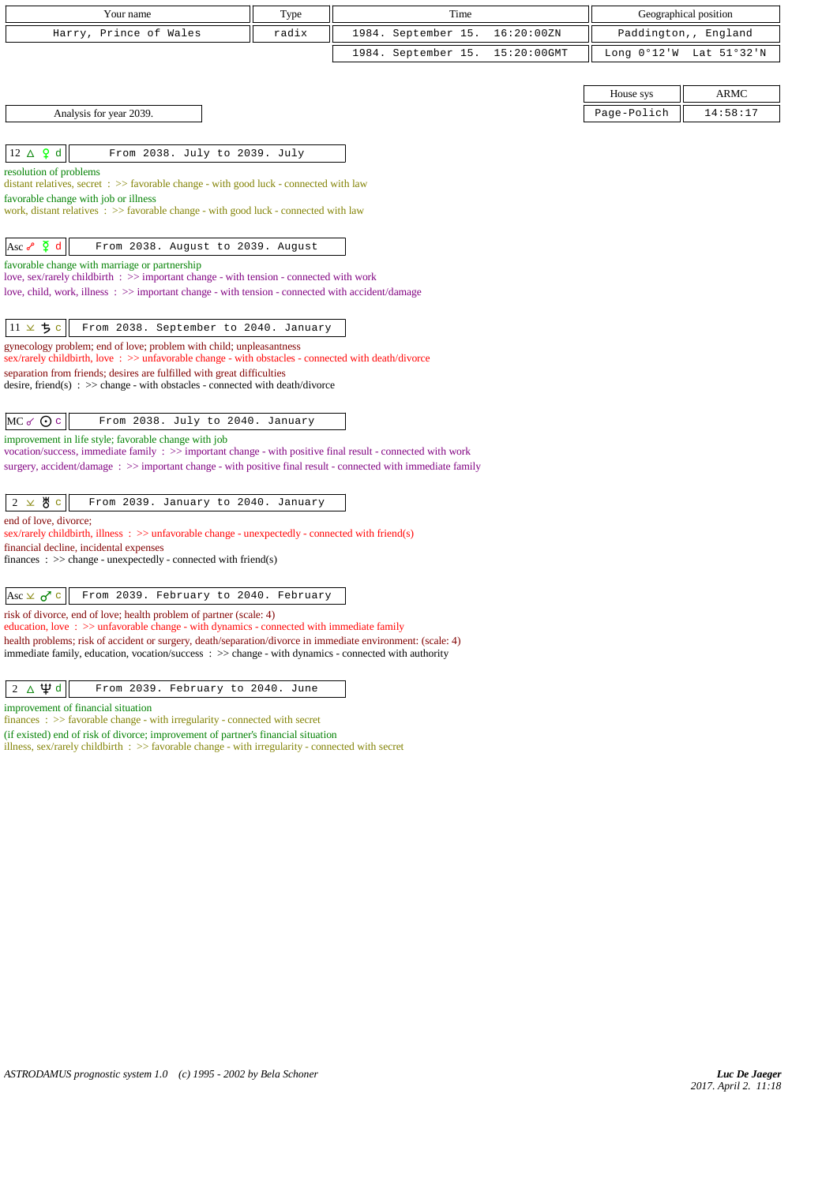| Your name                                                                                                                                                                                                                               | Type                                                                | Time                |             |                       | Geographical position |  |  |
|-----------------------------------------------------------------------------------------------------------------------------------------------------------------------------------------------------------------------------------------|---------------------------------------------------------------------|---------------------|-------------|-----------------------|-----------------------|--|--|
| Harry, Prince of Wales                                                                                                                                                                                                                  | radix                                                               | 1984. September 15. | 16:20:00ZN  |                       | Paddington,, England  |  |  |
|                                                                                                                                                                                                                                         |                                                                     | 1984. September 15. | 15:20:00GMT | Long $0^{\circ}12$ 'W | Lat 51°32'N           |  |  |
|                                                                                                                                                                                                                                         |                                                                     |                     |             |                       |                       |  |  |
|                                                                                                                                                                                                                                         |                                                                     |                     |             | House sys             | <b>ARMC</b>           |  |  |
| Analysis for year 2039.                                                                                                                                                                                                                 |                                                                     |                     |             | Page-Polich           | 14:58:17              |  |  |
|                                                                                                                                                                                                                                         |                                                                     |                     |             |                       |                       |  |  |
| $12 \triangle \varphi d$<br>From 2038. July to 2039. July                                                                                                                                                                               |                                                                     |                     |             |                       |                       |  |  |
| resolution of problems<br>distant relatives, secret $\Rightarrow$ >> favorable change - with good luck - connected with law                                                                                                             |                                                                     |                     |             |                       |                       |  |  |
| favorable change with job or illness                                                                                                                                                                                                    |                                                                     |                     |             |                       |                       |  |  |
| work, distant relatives : >> favorable change - with good luck - connected with law                                                                                                                                                     |                                                                     |                     |             |                       |                       |  |  |
| Asc $\sqrt{2}$ d<br>From 2038. August to 2039. August                                                                                                                                                                                   |                                                                     |                     |             |                       |                       |  |  |
| favorable change with marriage or partnership                                                                                                                                                                                           |                                                                     |                     |             |                       |                       |  |  |
| love, sex/rarely childbirth : >> important change - with tension - connected with work<br>love, child, work, illness : $\gg$ important change - with tension - connected with accident/damage                                           |                                                                     |                     |             |                       |                       |  |  |
|                                                                                                                                                                                                                                         |                                                                     |                     |             |                       |                       |  |  |
| $11 \times 5c$<br>From 2038. September to 2040. January                                                                                                                                                                                 |                                                                     |                     |             |                       |                       |  |  |
|                                                                                                                                                                                                                                         | gynecology problem; end of love; problem with child; unpleasantness |                     |             |                       |                       |  |  |
| sex/rarely childbirth, love : >> unfavorable change - with obstacles - connected with death/divorce<br>separation from friends; desires are fulfilled with great difficulties                                                           |                                                                     |                     |             |                       |                       |  |  |
| desire, friend(s) : $\gg$ change - with obstacles - connected with death/divorce                                                                                                                                                        |                                                                     |                     |             |                       |                       |  |  |
| $MC \propto Q$ $c$<br>From 2038. July to 2040. January                                                                                                                                                                                  |                                                                     |                     |             |                       |                       |  |  |
| improvement in life style; favorable change with job                                                                                                                                                                                    |                                                                     |                     |             |                       |                       |  |  |
| vocation/success, immediate family : >> important change - with positive final result - connected with work<br>surgery, accident/damage $\Rightarrow$ > important change - with positive final result - connected with immediate family |                                                                     |                     |             |                       |                       |  |  |
|                                                                                                                                                                                                                                         |                                                                     |                     |             |                       |                       |  |  |
| $2 \times 8$ c<br>From 2039. January to 2040. January                                                                                                                                                                                   |                                                                     |                     |             |                       |                       |  |  |
| end of love, divorce;                                                                                                                                                                                                                   |                                                                     |                     |             |                       |                       |  |  |
| sex/rarely childbirth, illness $\therefore$ > unfavorable change - unexpectedly - connected with friend(s)<br>financial decline, incidental expenses                                                                                    |                                                                     |                     |             |                       |                       |  |  |
| finances : $\gg$ change - unexpectedly - connected with friend(s)                                                                                                                                                                       |                                                                     |                     |             |                       |                       |  |  |
|                                                                                                                                                                                                                                         |                                                                     |                     |             |                       |                       |  |  |
| From 2039. February to 2040. February<br>Asc $\times$ $\sigma$ <sup>7</sup> c<br>risk of divorce, end of love; health problem of partner (scale: 4)                                                                                     |                                                                     |                     |             |                       |                       |  |  |
| education, love : >> unfavorable change - with dynamics - connected with immediate family                                                                                                                                               |                                                                     |                     |             |                       |                       |  |  |
| health problems; risk of accident or surgery, death/separation/divorce in immediate environment: (scale: 4)<br>immediate family, education, vocation/success: >> change - with dynamics - connected with authority                      |                                                                     |                     |             |                       |                       |  |  |
|                                                                                                                                                                                                                                         |                                                                     |                     |             |                       |                       |  |  |
| $2 \Delta \Psi d$<br>From 2039. February to 2040. June                                                                                                                                                                                  |                                                                     |                     |             |                       |                       |  |  |
| improvement of financial situation<br>$finances : \gg$ favorable change - with irregularity - connected with secret                                                                                                                     |                                                                     |                     |             |                       |                       |  |  |

(if existed) end of risk of divorce; improvement of partner's financial situation illness, sex/rarely childbirth : >> favorable change - with irregularity - connected with secret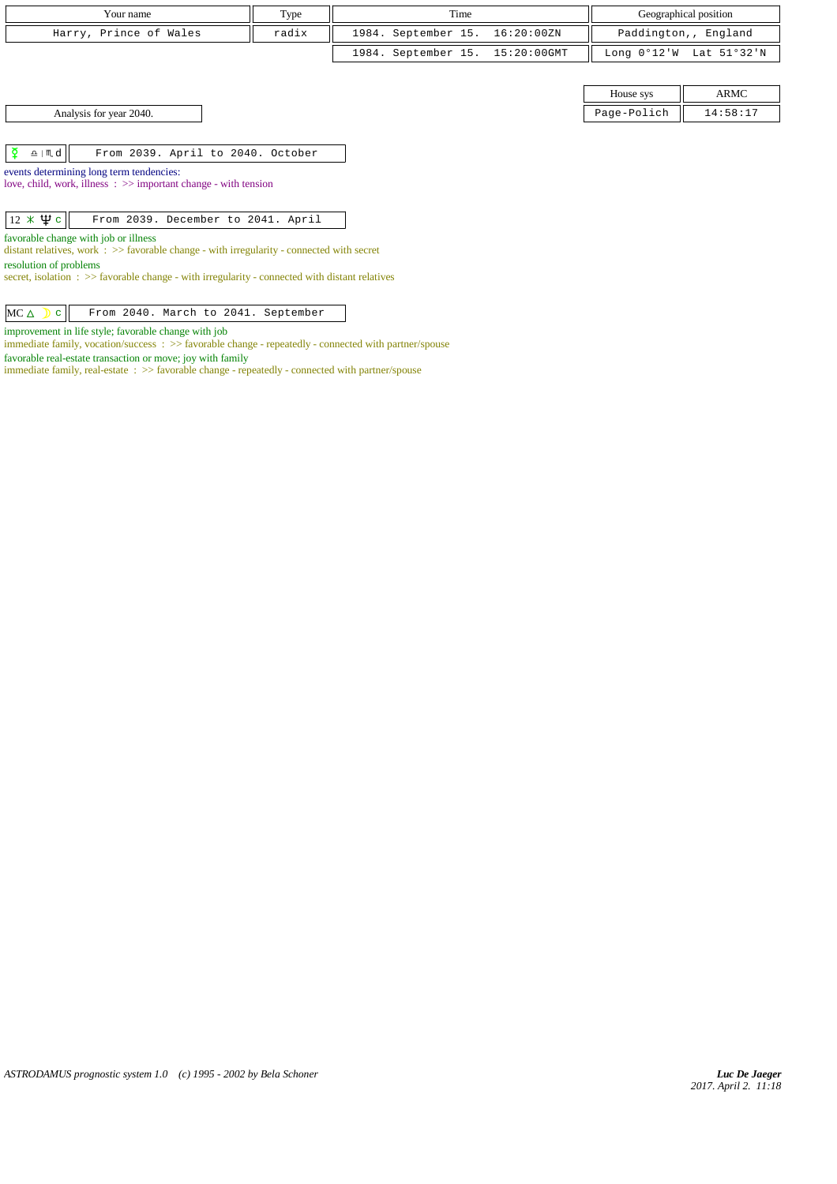| Your name              | Type  | Time                            | Geographical position                                     |
|------------------------|-------|---------------------------------|-----------------------------------------------------------|
| Harry, Prince of Wales | radix | 1984. September 15. 16:20:00ZN  | Paddington,, England                                      |
|                        |       | 1984. September 15. 15:20:00GMT | Long $0^{\circ}12^{\prime}W$ Lat $51^{\circ}32^{\prime}N$ |

House sys ARMC Analysis for year 2040. Page-Polich 14:58:17

 $\boxed{\phi}$   $\boxed{\text{m.d}}$  From 2039. April to 2040. October

events determining long term tendencies: love, child, work, illness : >> important change - with tension

 $\boxed{12 \times \Psi c}$  From 2039. December to 2041. April

favorable change with job or illness

distant relatives, work : >> favorable change - with irregularity - connected with secret

resolution of problems

secret, isolation :  $\gg$  favorable change - with irregularity - connected with distant relatives

 $MC \triangle$   $c$  From 2040. March to 2041. September

improvement in life style; favorable change with job

immediate family, vocation/success : >> favorable change - repeatedly - connected with partner/spouse favorable real-estate transaction or move; joy with family

immediate family, real-estate : >> favorable change - repeatedly - connected with partner/spouse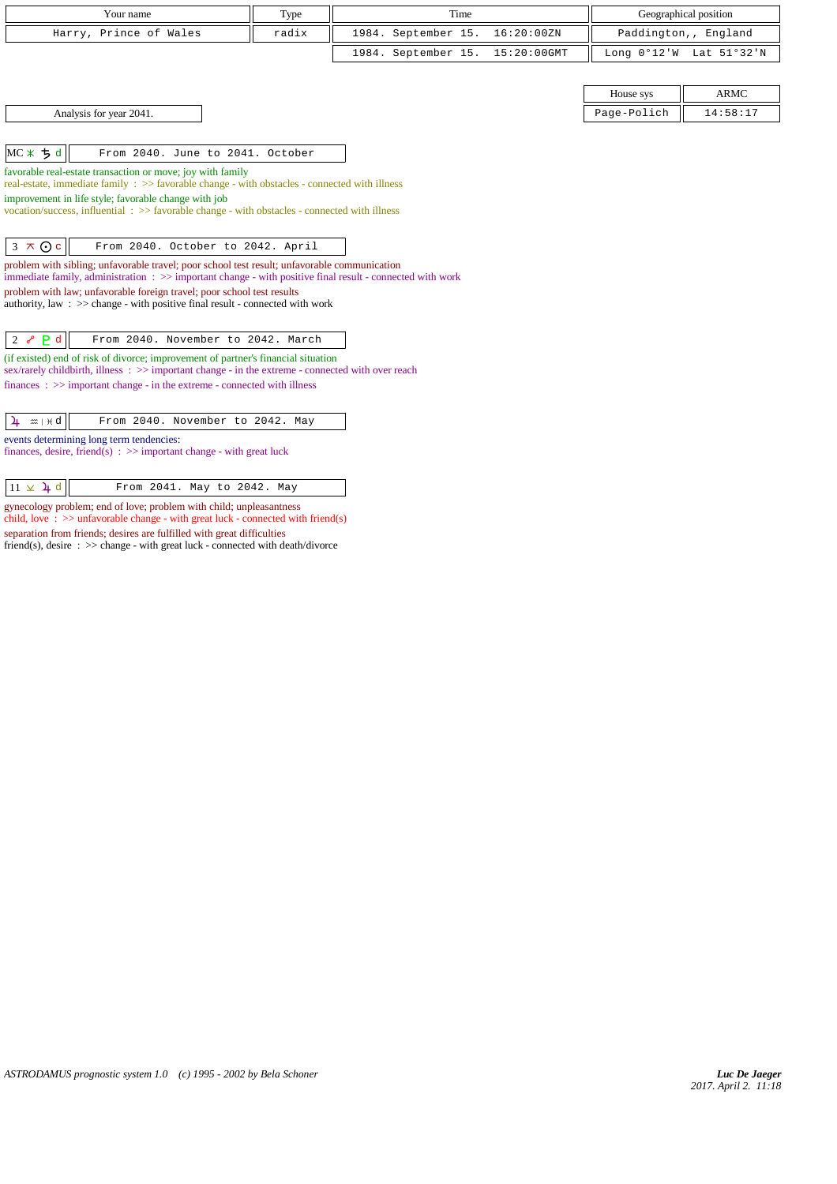| Your name                                                                                                                                                                                                 | Type  | Time                |                | Geographical position   |             |
|-----------------------------------------------------------------------------------------------------------------------------------------------------------------------------------------------------------|-------|---------------------|----------------|-------------------------|-------------|
| Harry, Prince of Wales                                                                                                                                                                                    | radix | 1984. September 15. | 16:20:00ZN     | Paddington,, England    |             |
|                                                                                                                                                                                                           |       | 1984. September 15. | $15:20:00$ GMT | Long 0°12'W Lat 51°32'N |             |
|                                                                                                                                                                                                           |       |                     |                |                         |             |
|                                                                                                                                                                                                           |       |                     |                | House sys               | <b>ARMC</b> |
| Analysis for year 2041.                                                                                                                                                                                   |       |                     |                | Page-Polich             | 14:58:17    |
|                                                                                                                                                                                                           |       |                     |                |                         |             |
| $MC*$ $5d$<br>From 2040. June to 2041. October                                                                                                                                                            |       |                     |                |                         |             |
| favorable real-estate transaction or move; joy with family<br>real-estate, immediate family : >> favorable change - with obstacles - connected with illness                                               |       |                     |                |                         |             |
| improvement in life style; favorable change with job                                                                                                                                                      |       |                     |                |                         |             |
| vocation/success, influential: >> favorable change - with obstacles - connected with illness                                                                                                              |       |                     |                |                         |             |
|                                                                                                                                                                                                           |       |                     |                |                         |             |
| $3 \times 0c$<br>From 2040. October to 2042. April                                                                                                                                                        |       |                     |                |                         |             |
| problem with sibling; unfavorable travel; poor school test result; unfavorable communication<br>immediate family, administration : >> important change - with positive final result - connected with work |       |                     |                |                         |             |
| problem with law; unfavorable foreign travel; poor school test results                                                                                                                                    |       |                     |                |                         |             |
| authority, law : $\gg$ change - with positive final result - connected with work                                                                                                                          |       |                     |                |                         |             |
| From 2040. November to 2042. March<br>2 $\sim$ P d                                                                                                                                                        |       |                     |                |                         |             |
| (if existed) end of risk of divorce; improvement of partner's financial situation                                                                                                                         |       |                     |                |                         |             |
| sex/rarely childbirth, illness : >> important change - in the extreme - connected with over reach                                                                                                         |       |                     |                |                         |             |
| $finances : \gg important change - in the extreme - connected with illness$                                                                                                                               |       |                     |                |                         |             |
|                                                                                                                                                                                                           |       |                     |                |                         |             |
| From 2040. November to 2042. May<br>$\frac{1}{4}$ $\approx$ $+$ $+$ d                                                                                                                                     |       |                     |                |                         |             |
| events determining long term tendencies:<br>finances, desire, friend(s) : $\gg$ important change - with great luck                                                                                        |       |                     |                |                         |             |

 $\boxed{11 \times 1$  d From 2041. May to 2042. May

gynecology problem; end of love; problem with child; unpleasantness child, love  $\therefore$  >> unfavorable change - with great luck - connected with friend(s) separation from friends; desires are fulfilled with great difficulties friend(s), desire : >> change - with great luck - connected with death/divorce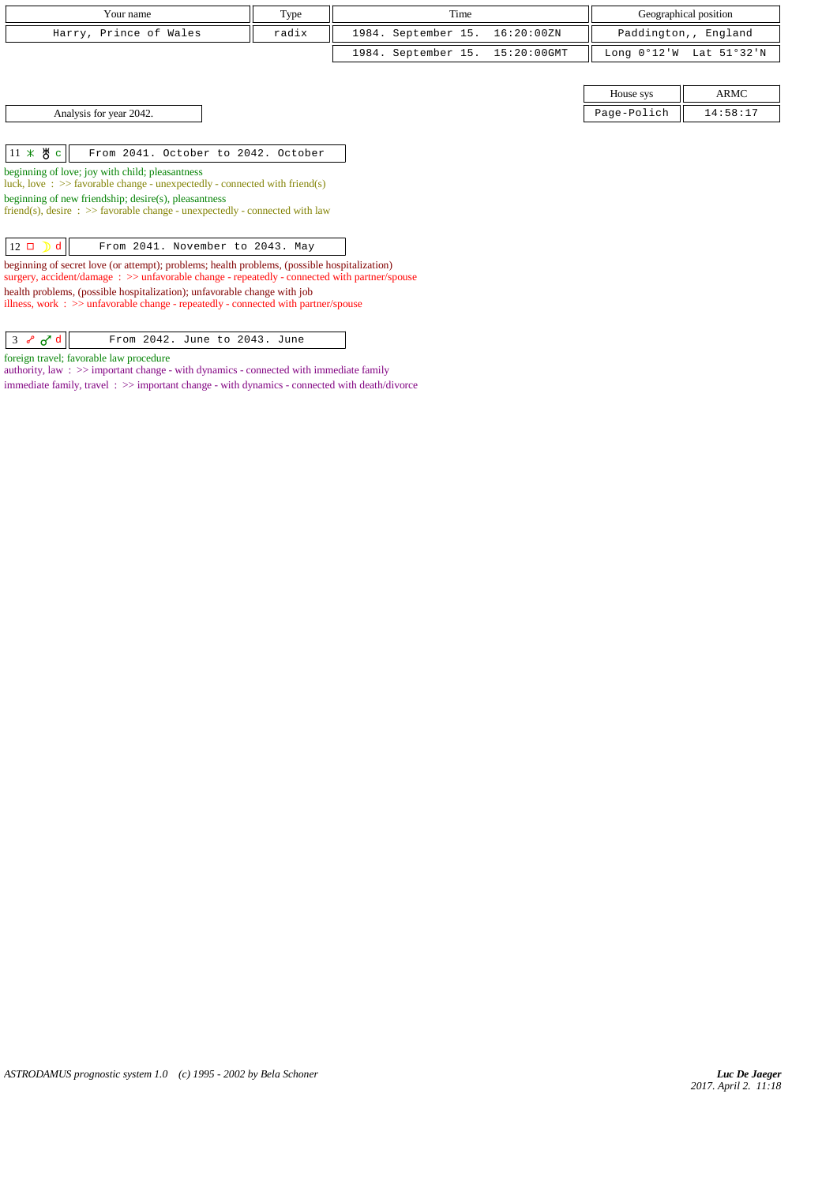| Your name              | Type  | Time                            | Geographical position                     |
|------------------------|-------|---------------------------------|-------------------------------------------|
| Harry, Prince of Wales | radix | 1984. September 15. 16:20:00ZN  | Paddington,, England                      |
|                        |       | 1984. September 15. 15:20:00GMT | Long $0^{\circ}12'W$ Lat $51^{\circ}32'W$ |

House sys  $\parallel$  ARMC Analysis for year 2042. 2004.

 $11 \times 8$  c From 2041. October to 2042. October

beginning of love; joy with child; pleasantness

luck, love : >> favorable change - unexpectedly - connected with friend(s)

beginning of new friendship; desire(s), pleasantness

friend(s), desire :  $\gg$  favorable change - unexpectedly - connected with law

 $\boxed{12 \Box \Box \Box \Box}$  d  $\boxed{\qquad \text{From } 2041. \text{ November to } 2043. \text{ May}}$ 

beginning of secret love (or attempt); problems; health problems, (possible hospitalization) surgery, accident/damage :  $\gg$  unfavorable change - repeatedly - connected with partner/spouse health problems, (possible hospitalization); unfavorable change with job illness, work : >> unfavorable change - repeatedly - connected with partner/spouse

 $\begin{array}{|c|c|c|c|c|}\n\hline\n3 & \mathcal{S} & \mathcal{O}^{\mathsf{T}} & \mathcal{O} & \mathcal{O} & \mathcal{O} & \mathcal{O} & \mathcal{O} & \mathcal{O} & \mathcal{O} & \mathcal{O} & \mathcal{O} & \mathcal{O} & \mathcal{O} & \mathcal{O} & \mathcal{O} & \mathcal{O} & \mathcal{O} & \mathcal{O} & \mathcal{O} & \mathcal{O} & \mathcal{O} & \mathcal{O} & \mathcal{O} & \mathcal{O} & \mathcal{O} & \mathcal{O} & \mathcal{O} & \$ 

foreign travel; favorable law procedure

authority, law : >> important change - with dynamics - connected with immediate family immediate family, travel : >> important change - with dynamics - connected with death/divorce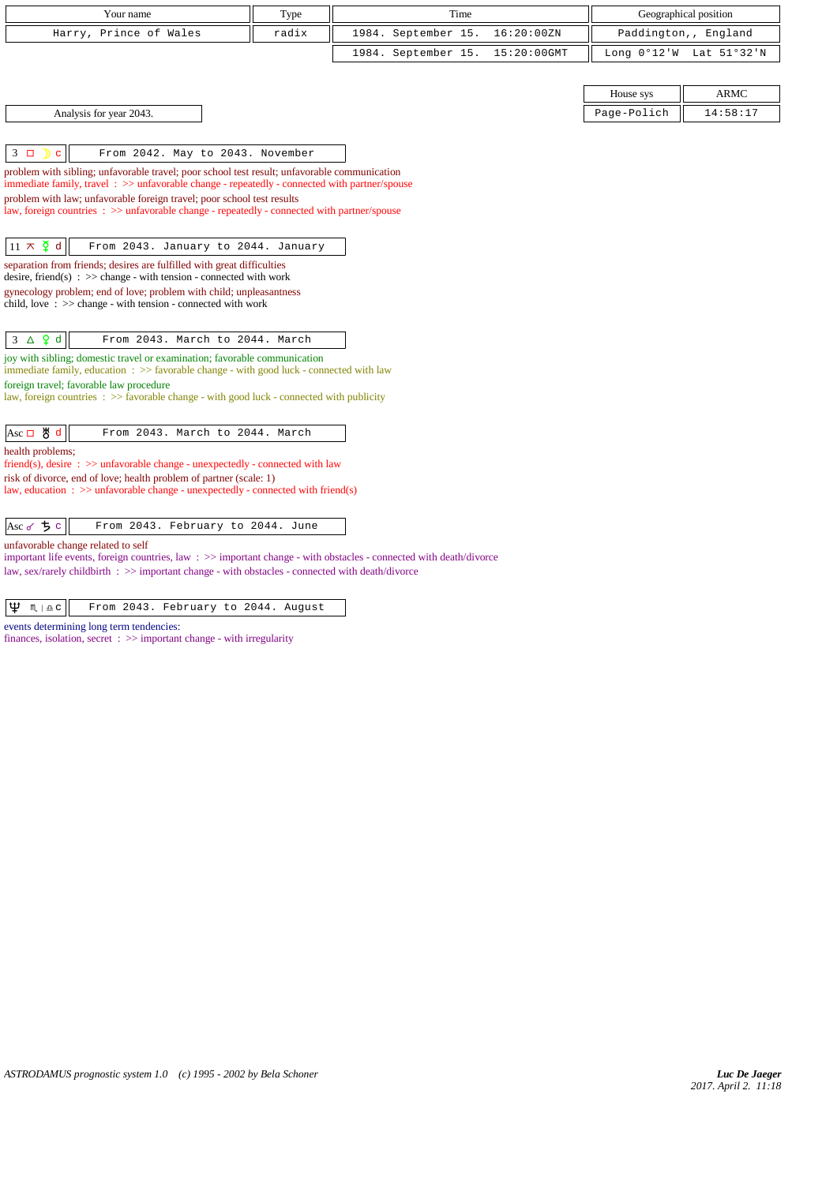| Your name                                                                                                                                                                                                                                                                                                                                                                                                                                                                        | Type  |                     | Time |             |                       | Geographical position |
|----------------------------------------------------------------------------------------------------------------------------------------------------------------------------------------------------------------------------------------------------------------------------------------------------------------------------------------------------------------------------------------------------------------------------------------------------------------------------------|-------|---------------------|------|-------------|-----------------------|-----------------------|
| Harry, Prince of Wales                                                                                                                                                                                                                                                                                                                                                                                                                                                           | radix | 1984. September 15. |      | 16:20:00ZN  |                       | Paddington,, England  |
|                                                                                                                                                                                                                                                                                                                                                                                                                                                                                  |       | 1984. September 15. |      | 15:20:00GMT | Long $0^{\circ}12$ 'W | Lat 51°32'N           |
|                                                                                                                                                                                                                                                                                                                                                                                                                                                                                  |       |                     |      |             |                       |                       |
|                                                                                                                                                                                                                                                                                                                                                                                                                                                                                  |       |                     |      |             | House sys             | <b>ARMC</b>           |
| Analysis for year 2043.                                                                                                                                                                                                                                                                                                                                                                                                                                                          |       |                     |      |             | Page-Polich           | 14:58:17              |
|                                                                                                                                                                                                                                                                                                                                                                                                                                                                                  |       |                     |      |             |                       |                       |
| $3\Box$<br>From 2042. May to 2043. November<br>$\mathbf{C}$                                                                                                                                                                                                                                                                                                                                                                                                                      |       |                     |      |             |                       |                       |
| problem with sibling; unfavorable travel; poor school test result; unfavorable communication<br>immediate family, travel $\Rightarrow$ unfavorable change - repeatedly - connected with partner/spouse                                                                                                                                                                                                                                                                           |       |                     |      |             |                       |                       |
| problem with law; unfavorable foreign travel; poor school test results                                                                                                                                                                                                                                                                                                                                                                                                           |       |                     |      |             |                       |                       |
| law, foreign countries : >> unfavorable change - repeatedly - connected with partner/spouse                                                                                                                                                                                                                                                                                                                                                                                      |       |                     |      |             |                       |                       |
| $11 \times \overline{2}$ d<br>From 2043. January to 2044. January                                                                                                                                                                                                                                                                                                                                                                                                                |       |                     |      |             |                       |                       |
| separation from friends; desires are fulfilled with great difficulties                                                                                                                                                                                                                                                                                                                                                                                                           |       |                     |      |             |                       |                       |
| desire, friend(s) : $\gg$ change - with tension - connected with work                                                                                                                                                                                                                                                                                                                                                                                                            |       |                     |      |             |                       |                       |
| gynecology problem; end of love; problem with child; unpleasantness<br>child, love: >> change - with tension - connected with work                                                                                                                                                                                                                                                                                                                                               |       |                     |      |             |                       |                       |
|                                                                                                                                                                                                                                                                                                                                                                                                                                                                                  |       |                     |      |             |                       |                       |
| $3 \Delta$ 9 d<br>From 2043. March to 2044. March                                                                                                                                                                                                                                                                                                                                                                                                                                |       |                     |      |             |                       |                       |
| joy with sibling; domestic travel or examination; favorable communication<br>immediate family, education : >> favorable change - with good luck - connected with law                                                                                                                                                                                                                                                                                                             |       |                     |      |             |                       |                       |
| foreign travel; favorable law procedure                                                                                                                                                                                                                                                                                                                                                                                                                                          |       |                     |      |             |                       |                       |
| law, foreign countries $\Rightarrow$ 5 > 5 > 5 > 5 $\Rightarrow$ 5 $\Rightarrow$ 5 $\Rightarrow$ 5 $\Rightarrow$ 5 $\Rightarrow$ 5 $\Rightarrow$ 5 $\Rightarrow$ 5 $\Rightarrow$ 5 $\Rightarrow$ 5 $\Rightarrow$ 5 $\Rightarrow$ 5 $\Rightarrow$ 5 $\Rightarrow$ 5 $\Rightarrow$ 5 $\Rightarrow$ 5 $\Rightarrow$ 5 $\Rightarrow$ 5 $\Rightarrow$ 5 $\Rightarrow$ 5 $\Rightarrow$ 5 $\Rightarrow$ 5 $\Rightarrow$ 5 $\Rightarrow$ 5 $\Rightarrow$ 5 $\Rightarrow$ 5 $\Rightarrow$ |       |                     |      |             |                       |                       |
|                                                                                                                                                                                                                                                                                                                                                                                                                                                                                  |       |                     |      |             |                       |                       |
| Asc 口 5 d<br>From 2043. March to 2044. March<br>health problems;                                                                                                                                                                                                                                                                                                                                                                                                                 |       |                     |      |             |                       |                       |
| friend(s), desire $\Rightarrow$ >> unfavorable change - unexpectedly - connected with law                                                                                                                                                                                                                                                                                                                                                                                        |       |                     |      |             |                       |                       |
| risk of divorce, end of love; health problem of partner (scale: 1)<br>law, education : $\gg$ unfavorable change - unexpectedly - connected with friend(s)                                                                                                                                                                                                                                                                                                                        |       |                     |      |             |                       |                       |
|                                                                                                                                                                                                                                                                                                                                                                                                                                                                                  |       |                     |      |             |                       |                       |
| Asc $\sigma$ $\frac{1}{2}$ c<br>From 2043. February to 2044. June                                                                                                                                                                                                                                                                                                                                                                                                                |       |                     |      |             |                       |                       |
| unfavorable change related to self                                                                                                                                                                                                                                                                                                                                                                                                                                               |       |                     |      |             |                       |                       |
| important life events, foreign countries, law $\Rightarrow$ important change - with obstacles - connected with death/divorce<br>law, sex/rarely childbirth : >> important change - with obstacles - connected with death/divorce                                                                                                                                                                                                                                                 |       |                     |      |             |                       |                       |
|                                                                                                                                                                                                                                                                                                                                                                                                                                                                                  |       |                     |      |             |                       |                       |

 $\boxed{\Psi \quad \text{M} \mid \text{a-c}}$  From 2043. February to 2044. August

events determining long term tendencies:

finances, isolation, secret :  $\gg$  important change - with irregularity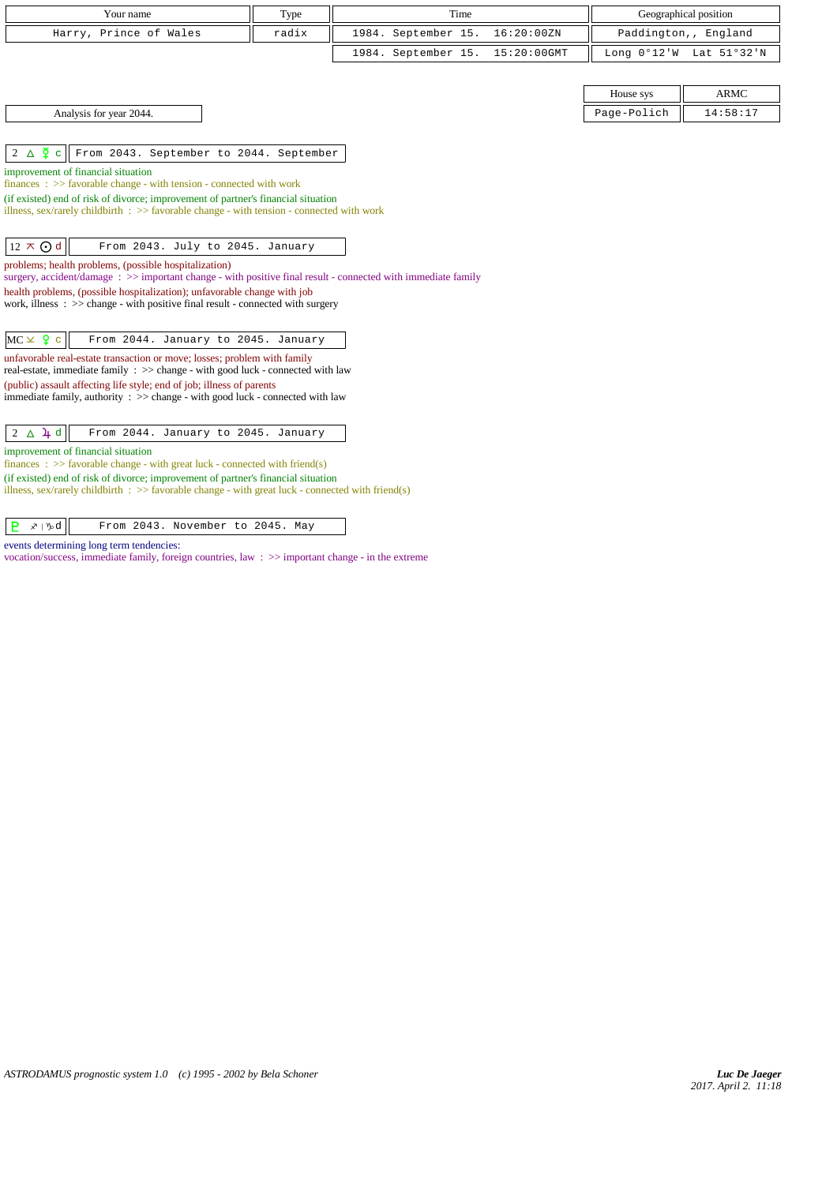| Your name                                                                                                                                                                              | Type  | Time                |             |             | Geographical position   |
|----------------------------------------------------------------------------------------------------------------------------------------------------------------------------------------|-------|---------------------|-------------|-------------|-------------------------|
| Harry, Prince of Wales                                                                                                                                                                 | radix | 1984. September 15. | 16:20:00ZN  |             | Paddington,, England    |
|                                                                                                                                                                                        |       | 1984. September 15. | 15:20:00GMT |             | Long 0°12'W Lat 51°32'N |
|                                                                                                                                                                                        |       |                     |             |             |                         |
|                                                                                                                                                                                        |       |                     |             | House sys   | <b>ARMC</b>             |
| Analysis for year 2044.                                                                                                                                                                |       |                     |             | Page-Polich | 14:58:17                |
|                                                                                                                                                                                        |       |                     |             |             |                         |
| $2\Delta \Phi$ c<br>From 2043. September to 2044. September                                                                                                                            |       |                     |             |             |                         |
| improvement of financial situation                                                                                                                                                     |       |                     |             |             |                         |
| finances : $\gg$ favorable change - with tension - connected with work                                                                                                                 |       |                     |             |             |                         |
| (if existed) end of risk of divorce; improvement of partner's financial situation<br>illness, sex/rarely childbirth : $\gg$ favorable change - with tension - connected with work      |       |                     |             |             |                         |
|                                                                                                                                                                                        |       |                     |             |             |                         |
| $12 \pi Q d$<br>From 2043. July to 2045. January                                                                                                                                       |       |                     |             |             |                         |
| problems; health problems, (possible hospitalization)                                                                                                                                  |       |                     |             |             |                         |
| surgery, accident/damage: >> important change - with positive final result - connected with immediate family                                                                           |       |                     |             |             |                         |
| health problems, (possible hospitalization); unfavorable change with job<br>work, illness $\Rightarrow$ >> change - with positive final result - connected with surgery                |       |                     |             |             |                         |
|                                                                                                                                                                                        |       |                     |             |             |                         |
| $MC \times 9$ c<br>From 2044. January to 2045. January                                                                                                                                 |       |                     |             |             |                         |
| unfavorable real-estate transaction or move; losses; problem with family                                                                                                               |       |                     |             |             |                         |
| real-estate, immediate family : >> change - with good luck - connected with law                                                                                                        |       |                     |             |             |                         |
| (public) assault affecting life style; end of job; illness of parents<br>immediate family, authority : >> change - with good luck - connected with law                                 |       |                     |             |             |                         |
|                                                                                                                                                                                        |       |                     |             |             |                         |
| $2\Delta\mu d$<br>From 2044. January to 2045. January                                                                                                                                  |       |                     |             |             |                         |
| improvement of financial situation                                                                                                                                                     |       |                     |             |             |                         |
| finances : $\gg$ favorable change - with great luck - connected with friend(s)                                                                                                         |       |                     |             |             |                         |
| (if existed) end of risk of divorce; improvement of partner's financial situation<br>illness, sex/rarely childbirth : >> favorable change - with great luck - connected with friend(s) |       |                     |             |             |                         |
|                                                                                                                                                                                        |       |                     |             |             |                         |

| $P \times \mathcal{P}$<br>From 2043. November to 2045. May |  |
|------------------------------------------------------------|--|
|------------------------------------------------------------|--|

events determining long term tendencies:

vocation/success, immediate family, foreign countries, law : >> important change - in the extreme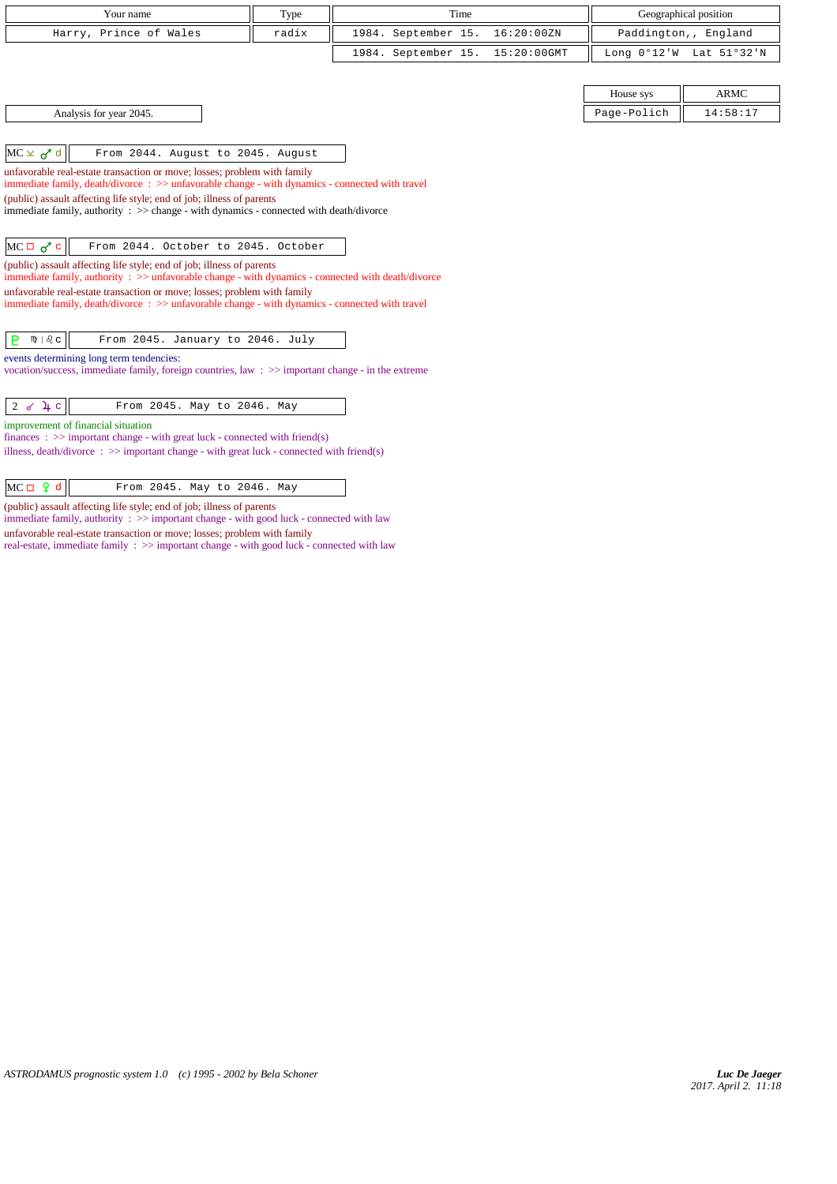| Your name              | Type  | Time                            | Geographical position   |
|------------------------|-------|---------------------------------|-------------------------|
| Harry, Prince of Wales | radix | 1984. September 15. 16:20:00ZN  | Paddington,, England    |
|                        |       | 1984. September 15. 15:20:00GMT | Long 0°12'W Lat 51°32'N |

Analysis for year 2045. Page-Polich 14:58:17

 $MC \times d$  d From 2044. August to 2045. August

unfavorable real-estate transaction or move; losses; problem with family

immediate family, death/divorce : >> unfavorable change - with dynamics - connected with travel

(public) assault affecting life style; end of job; illness of parents

immediate family, authority : >> change - with dynamics - connected with death/divorce

 $MC \Box \overline{O'} c$  From 2044. October to 2045. October

(public) assault affecting life style; end of job; illness of parents immediate family, authority : >> unfavorable change - with dynamics - connected with death/divorce

unfavorable real-estate transaction or move; losses; problem with family immediate family, death/divorce : >> unfavorable change - with dynamics - connected with travel

 $\boxed{\mathsf{P}}$   $\mathsf{m}$  |  $\mathbb{Q}$  From 2045. January to 2046. July

events determining long term tendencies:

vocation/success, immediate family, foreign countries, law : >> important change - in the extreme

 $\begin{array}{|c|c|c|c|c|}\n\hline\n2 & d & \text{if } c & \text{if } c & \text{if } c & \text{if } c & \text{if } c & \text{if } c & \text{if } c & \text{if } c & \text{if } c & \text{if } c & \text{if } c & \text{if } c & \text{if } c & \text{if } c & \text{if } c & \text{if } c & \text{if } c & \text{if } c & \text{if } c & \text{if } c & \text{if } c & \text{if } c & \text{if } c & \text{if } c & \text{if } c & \text{if } c & \text{if } c & \text{if }$ 

improvement of financial situation

finances : >> important change - with great luck - connected with friend(s)

illness, death/divorce : >> important change - with great luck - connected with friend(s)

| $MC \Box Q d$<br>From 2045. May to 2046. May |
|----------------------------------------------|
|----------------------------------------------|

(public) assault affecting life style; end of job; illness of parents

immediate family, authority : >> important change - with good luck - connected with law unfavorable real-estate transaction or move; losses; problem with family

real-estate, immediate family : >> important change - with good luck - connected with law

House sys  $\parallel$  ARMC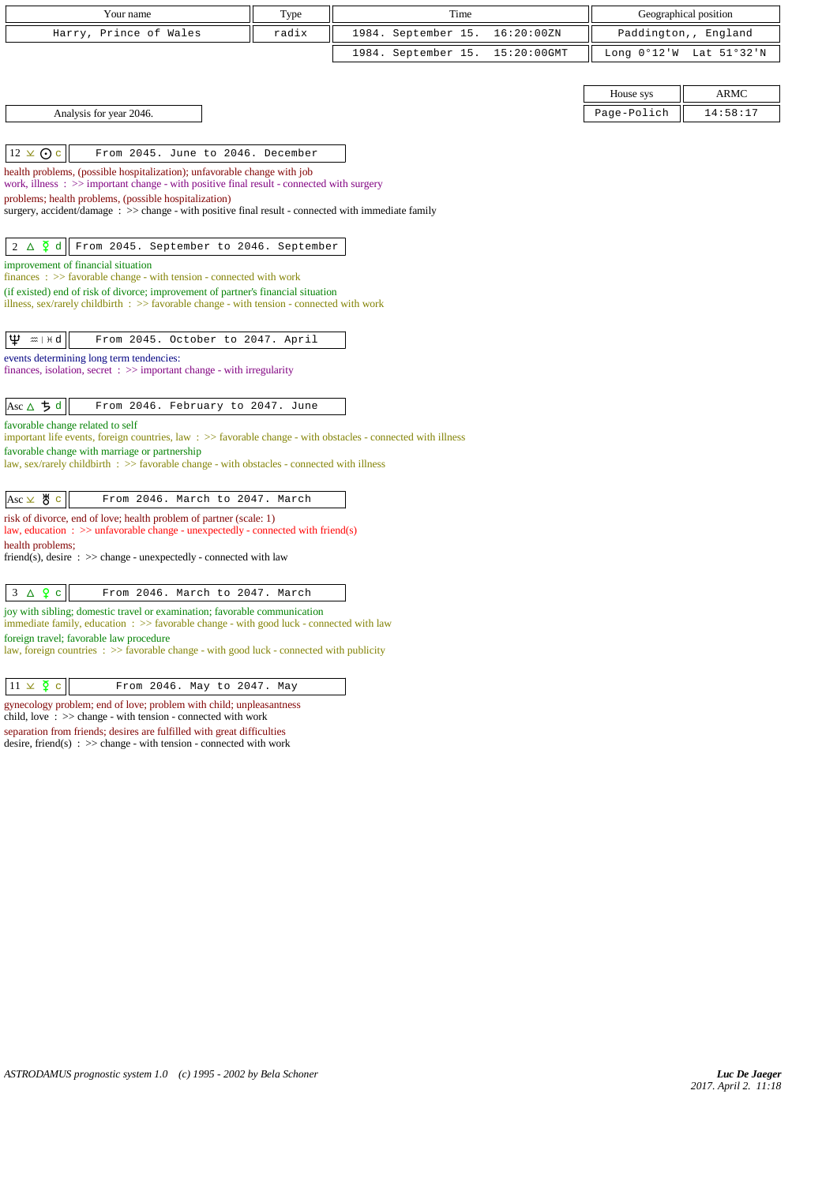| Your name                                                                                                                                                                         | Type  |                     | Time |             |              | Geographical position |
|-----------------------------------------------------------------------------------------------------------------------------------------------------------------------------------|-------|---------------------|------|-------------|--------------|-----------------------|
| Harry, Prince of Wales                                                                                                                                                            | radix | 1984. September 15. |      | 16:20:00ZN  | Paddington,, | England               |
|                                                                                                                                                                                   |       | 1984. September 15. |      | 15:20:00GMT | Long 0°12'W  | Lat 51°32'N           |
|                                                                                                                                                                                   |       |                     |      |             |              |                       |
|                                                                                                                                                                                   |       |                     |      |             | House sys    | <b>ARMC</b>           |
| Analysis for year 2046.                                                                                                                                                           |       |                     |      |             | Page-Polich  | 14:58:17              |
|                                                                                                                                                                                   |       |                     |      |             |              |                       |
| $12 \times ①$ c<br>From 2045. June to 2046. December                                                                                                                              |       |                     |      |             |              |                       |
| health problems, (possible hospitalization); unfavorable change with job<br>work, illness $\Rightarrow$ >> important change - with positive final result - connected with surgery |       |                     |      |             |              |                       |
| problems; health problems, (possible hospitalization)                                                                                                                             |       |                     |      |             |              |                       |
| surgery, accident/damage $\therefore$ $\gg$ change - with positive final result - connected with immediate family                                                                 |       |                     |      |             |              |                       |
|                                                                                                                                                                                   |       |                     |      |             |              |                       |
| $2 \triangle \frac{5}{4}$ d<br>From 2045. September to 2046. September                                                                                                            |       |                     |      |             |              |                       |
| improvement of financial situation<br>$finances : \gg$ favorable change - with tension - connected with work                                                                      |       |                     |      |             |              |                       |
| (if existed) end of risk of divorce; improvement of partner's financial situation                                                                                                 |       |                     |      |             |              |                       |
| illness, sex/rarely childbirth $\therefore$ >> favorable change - with tension - connected with work                                                                              |       |                     |      |             |              |                       |
| Ψ<br>From 2045. October to 2047. April<br>$m + d$                                                                                                                                 |       |                     |      |             |              |                       |
| events determining long term tendencies:                                                                                                                                          |       |                     |      |             |              |                       |
| finances, isolation, secret $\Rightarrow$ important change - with irregularity                                                                                                    |       |                     |      |             |              |                       |
| Asc △ ち d<br>From 2046. February to 2047. June                                                                                                                                    |       |                     |      |             |              |                       |
| favorable change related to self                                                                                                                                                  |       |                     |      |             |              |                       |
| important life events, foreign countries, law $\Rightarrow$ Savorable change - with obstacles - connected with illness                                                            |       |                     |      |             |              |                       |
| favorable change with marriage or partnership<br>law, sex/rarely childbirth $\Rightarrow$ Savorable change - with obstacles - connected with illness                              |       |                     |      |             |              |                       |
|                                                                                                                                                                                   |       |                     |      |             |              |                       |
| $Asc \times \overset{\mathsf{M}}{\mathsf{S}} \circ$<br>From 2046. March to 2047. March                                                                                            |       |                     |      |             |              |                       |
| risk of divorce, end of love; health problem of partner (scale: 1)                                                                                                                |       |                     |      |             |              |                       |
| law, education : $\gg$ unfavorable change - unexpectedly - connected with friend(s)<br>health problems;                                                                           |       |                     |      |             |              |                       |
| friend(s), desire $\Rightarrow$ >> change - unexpectedly - connected with law                                                                                                     |       |                     |      |             |              |                       |
|                                                                                                                                                                                   |       |                     |      |             |              |                       |
| $3 \Delta$ $2 c$<br>From 2046. March to 2047. March                                                                                                                               |       |                     |      |             |              |                       |
| joy with sibling; domestic travel or examination; favorable communication<br>immediate family, education : >> favorable change - with good luck - connected with law              |       |                     |      |             |              |                       |
| foreign travel; favorable law procedure                                                                                                                                           |       |                     |      |             |              |                       |
| law, foreign countries $\Rightarrow$ > favorable change - with good luck - connected with publicity                                                                               |       |                     |      |             |              |                       |

 $\boxed{11 \times \Sigma$  c From 2046. May to 2047. May

gynecology problem; end of love; problem with child; unpleasantness child, love : >> change - with tension - connected with work

separation from friends; desires are fulfilled with great difficulties

desire, friend(s)  $\therefore$  >> change - with tension - connected with work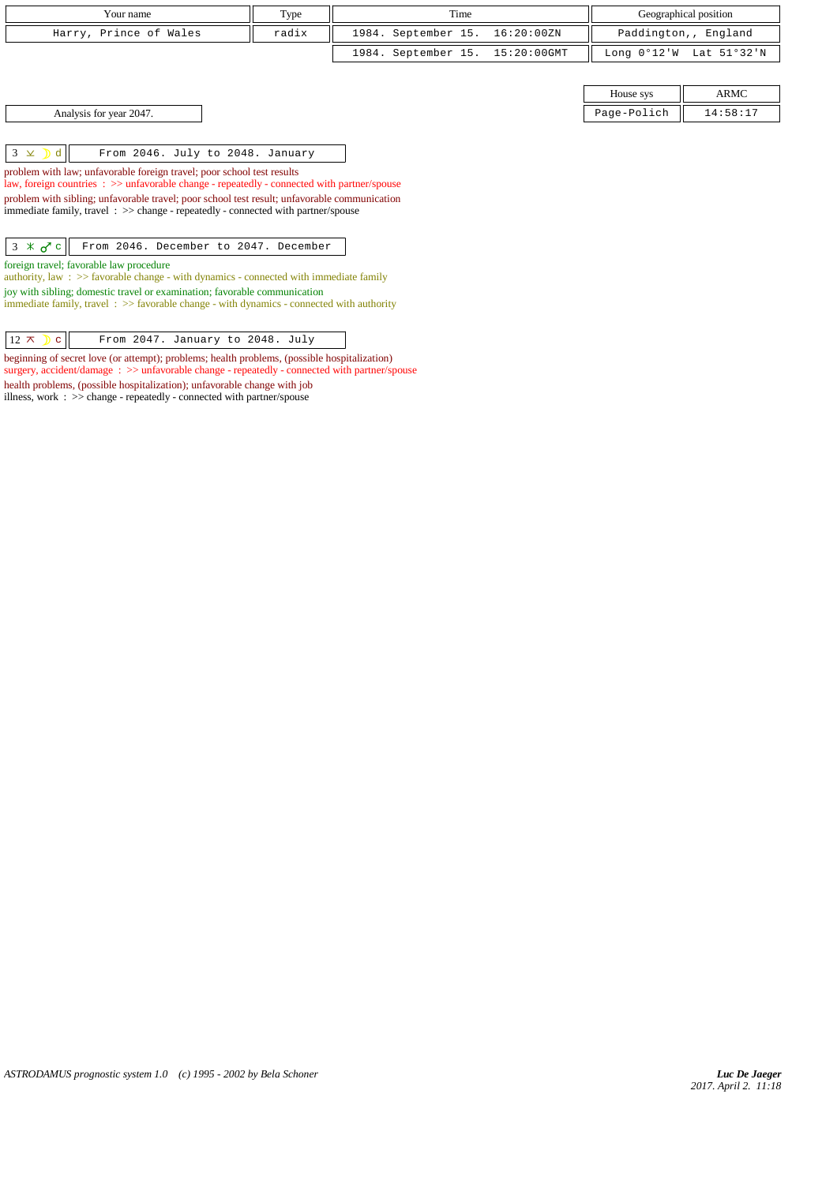| Your name                                          | Type  | Time                            |             | Geographical position   |
|----------------------------------------------------|-------|---------------------------------|-------------|-------------------------|
| Harry, Prince of Wales                             | radix | 1984. September 15. 16:20:00ZN  |             | Paddington,, England    |
|                                                    |       | 1984. September 15. 15:20:00GMT |             | Long 0°12'W Lat 51°32'N |
|                                                    |       |                                 |             |                         |
|                                                    |       |                                 | House sys   | ARMC                    |
| Analysis for year 2047.                            |       |                                 | Page-Polich | 14:58:17                |
|                                                    |       |                                 |             |                         |
| $3 \times$ d  <br>From 2046. July to 2048. January |       |                                 |             |                         |

problem with law; unfavorable foreign travel; poor school test results

law, foreign countries : >> unfavorable change - repeatedly - connected with partner/spouse problem with sibling; unfavorable travel; poor school test result; unfavorable communication immediate family, travel : >> change - repeatedly - connected with partner/spouse

 $3 \times \sigma$  c From 2046. December to 2047. December

foreign travel; favorable law procedure

authority, law : >> favorable change - with dynamics - connected with immediate family joy with sibling; domestic travel or examination; favorable communication immediate family, travel : >> favorable change - with dynamics - connected with authority

 $\boxed{12 \times \ }$  C From 2047. January to 2048. July

beginning of secret love (or attempt); problems; health problems, (possible hospitalization) surgery, accident/damage : >> unfavorable change - repeatedly - connected with partner/spouse health problems, (possible hospitalization); unfavorable change with job illness, work : >> change - repeatedly - connected with partner/spouse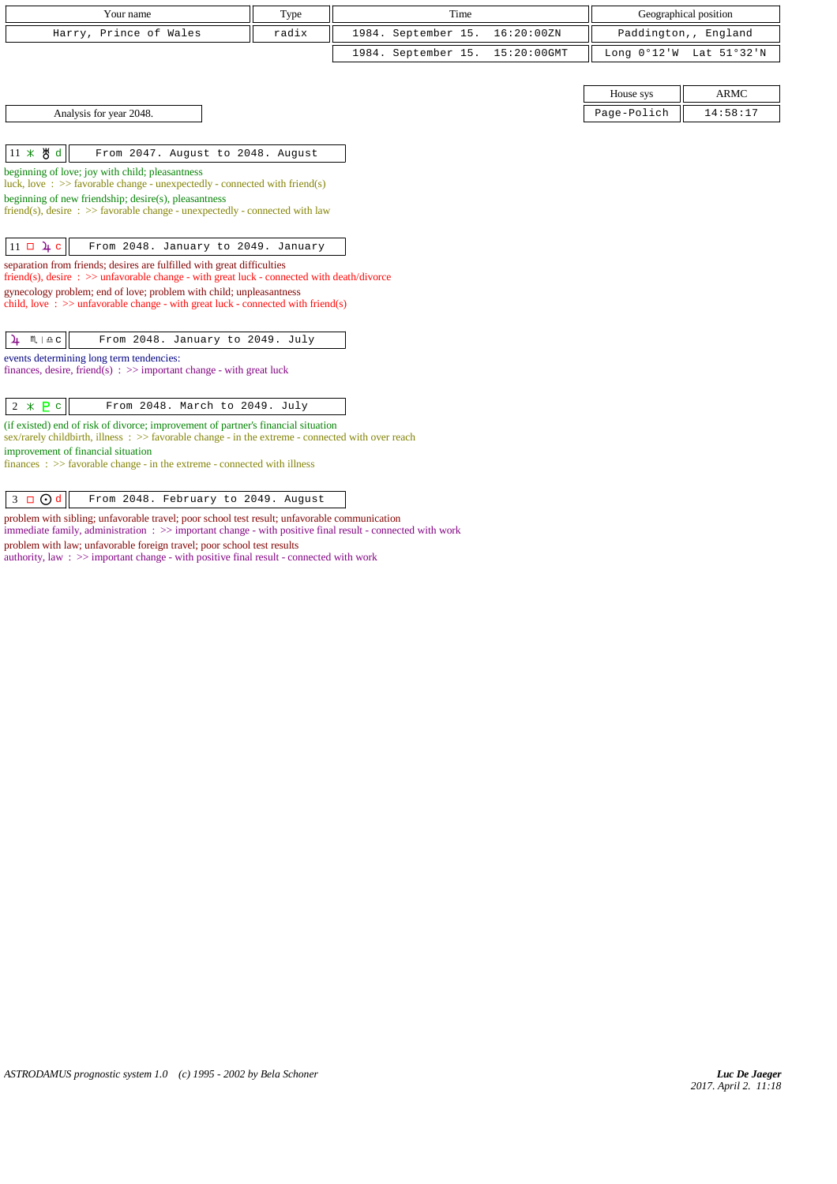| Your name              | Type  | Time                            | Geographical position                     |
|------------------------|-------|---------------------------------|-------------------------------------------|
| Harry, Prince of Wales | radix | 1984. September 15. 16:20:00ZN  | Paddington,, England                      |
|                        |       | 1984. September 15. 15:20:00GMT | Long $0^{\circ}12'W$ Lat $51^{\circ}32'W$ |
|                        |       |                                 |                                           |
|                        |       |                                 | <b>ARMC</b><br>House sys                  |

Analysis for year 2048. Page-Polich 2018.

 $\left|11 \times \mathcal{B} \text{ d}\right|$  From 2047. August to 2048. August

beginning of love; joy with child; pleasantness

luck, love : >> favorable change - unexpectedly - connected with friend(s)

beginning of new friendship; desire(s), pleasantness

friend(s), desire :  $\gg$  favorable change - unexpectedly - connected with law

 $\boxed{11 \Box \Delta t \Box}$  From 2048. January to 2049. January

separation from friends; desires are fulfilled with great difficulties friend(s), desire : >> unfavorable change - with great luck - connected with death/divorce

gynecology problem; end of love; problem with child; unpleasantness

child, love :  $>$  unfavorable change - with great luck - connected with friend(s)

| $\frac{1}{4}$ $m \neq c$ | From 2048. January to 2049. July |  |  |
|--------------------------|----------------------------------|--|--|

events determining long term tendencies:

finances, desire, friend(s) :  $\gg$  important change - with great luck

| $2 \times P c$ |  | From 2048. March to 2049. July |
|----------------|--|--------------------------------|
|----------------|--|--------------------------------|

(if existed) end of risk of divorce; improvement of partner's financial situation

sex/rarely childbirth, illness : >> favorable change - in the extreme - connected with over reach improvement of financial situation

finances : >> favorable change - in the extreme - connected with illness

 $3 \bigcup 3$   $\bigcup$  d  $\bigcup$  From 2048. February to 2049. August

problem with sibling; unfavorable travel; poor school test result; unfavorable communication immediate family, administration : >> important change - with positive final result - connected with work problem with law; unfavorable foreign travel; poor school test results

authority, law : >> important change - with positive final result - connected with work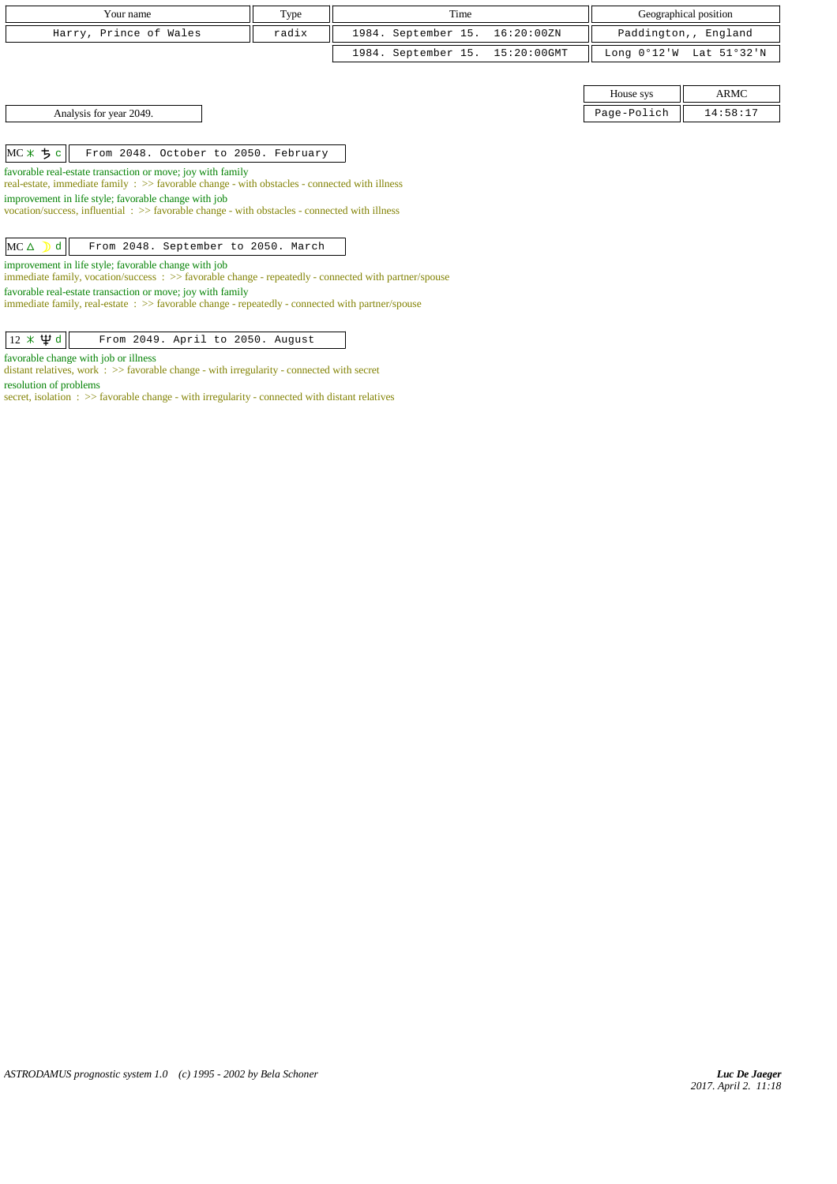| Your name                                                                                                                                                      | Type  | Time                |             | Geographical position                |          |  |  |
|----------------------------------------------------------------------------------------------------------------------------------------------------------------|-------|---------------------|-------------|--------------------------------------|----------|--|--|
| Harry, Prince of Wales                                                                                                                                         | radix | 1984. September 15. | 16:20:00ZN  | Paddington,, England                 |          |  |  |
|                                                                                                                                                                |       | 1984. September 15. | 15:20:00GMT | Long $0^{\circ}12$ 'W<br>Lat 51°32'N |          |  |  |
|                                                                                                                                                                |       |                     |             |                                      |          |  |  |
|                                                                                                                                                                |       |                     |             | House sys                            | ARMC     |  |  |
| Analysis for year 2049.                                                                                                                                        |       |                     |             | Page-Polich                          | 14:58:17 |  |  |
|                                                                                                                                                                |       |                     |             |                                      |          |  |  |
| $MC * 5 c$<br>From 2048. October to 2050. February                                                                                                             |       |                     |             |                                      |          |  |  |
| favorable real-estate transaction or move; joy with family<br>real-estate, immediate family : >> favorable change - with obstacles - connected with illness    |       |                     |             |                                      |          |  |  |
| improvement in life style; favorable change with job<br>vocation/success, influential $\Rightarrow$ Savorable change - with obstacles - connected with illness |       |                     |             |                                      |          |  |  |
|                                                                                                                                                                |       |                     |             |                                      |          |  |  |
| $MC \triangle$<br>From 2048. September to 2050. March<br>d                                                                                                     |       |                     |             |                                      |          |  |  |
| improvement in life style; favorable change with job                                                                                                           |       |                     |             |                                      |          |  |  |

immediate family, vocation/success : >> favorable change - repeatedly - connected with partner/spouse

favorable real-estate transaction or move; joy with family immediate family, real-estate : >> favorable change - repeatedly - connected with partner/spouse

 $\sqrt{12 \times \Psi d}$  From 2049. April to 2050. August

favorable change with job or illness

distant relatives, work : >> favorable change - with irregularity - connected with secret resolution of problems

secret, isolation : >> favorable change - with irregularity - connected with distant relatives